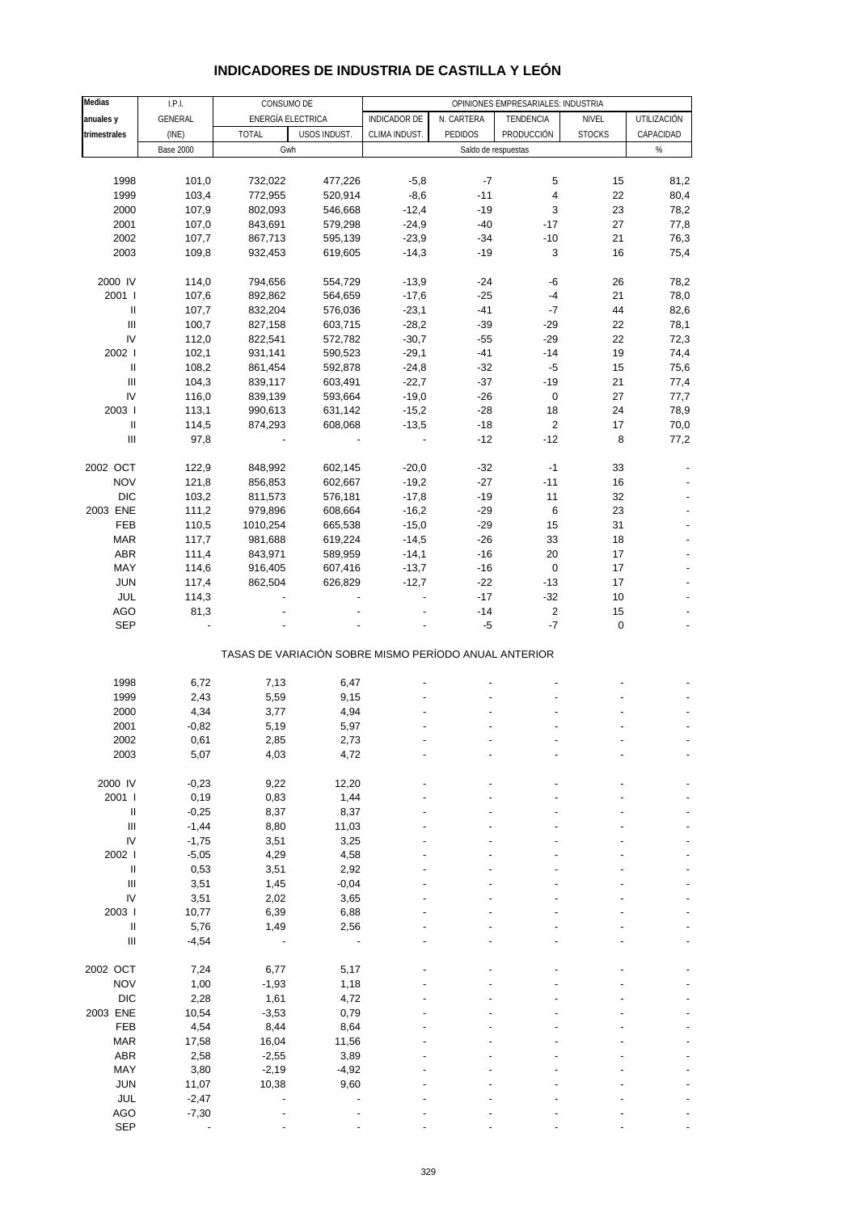| INDICADORES DE INDUSTRIA DE CASTILLA Y LEON |  |
|---------------------------------------------|--|
|---------------------------------------------|--|

| Medias                                                                                                                                                                                                                                                                                                                                                                                                                                                                                                                                   | I.P.I.           | CONSUMO DE                                            |              | OPINIONES EMPRESARIALES: INDUSTRIA |                |                     |               |             |  |  |
|------------------------------------------------------------------------------------------------------------------------------------------------------------------------------------------------------------------------------------------------------------------------------------------------------------------------------------------------------------------------------------------------------------------------------------------------------------------------------------------------------------------------------------------|------------------|-------------------------------------------------------|--------------|------------------------------------|----------------|---------------------|---------------|-------------|--|--|
| anuales y                                                                                                                                                                                                                                                                                                                                                                                                                                                                                                                                | GENERAL          | ENERGÍA ELECTRICA                                     |              | <b>INDICADOR DE</b>                | N. CARTERA     | TENDENCIA           | NIVEL         | UTILIZACIÓN |  |  |
| trimestrales                                                                                                                                                                                                                                                                                                                                                                                                                                                                                                                             | (INE)            | <b>TOTAL</b>                                          | USOS INDUST. | CLIMA INDUST.                      | <b>PEDIDOS</b> | PRODUCCIÓN          | <b>STOCKS</b> | CAPACIDAD   |  |  |
|                                                                                                                                                                                                                                                                                                                                                                                                                                                                                                                                          | <b>Base 2000</b> | Gwh                                                   |              |                                    |                | Saldo de respuestas |               | %           |  |  |
|                                                                                                                                                                                                                                                                                                                                                                                                                                                                                                                                          |                  |                                                       |              |                                    |                |                     |               |             |  |  |
| 1998                                                                                                                                                                                                                                                                                                                                                                                                                                                                                                                                     | 101,0            | 732,022                                               | 477,226      | $-5,8$                             | $-7$           | 5                   | 15            | 81,2        |  |  |
| 1999                                                                                                                                                                                                                                                                                                                                                                                                                                                                                                                                     | 103,4            | 772,955                                               | 520,914      | $-8,6$                             | $-11$          | 4                   | 22            | 80,4        |  |  |
| 2000                                                                                                                                                                                                                                                                                                                                                                                                                                                                                                                                     | 107,9            | 802,093                                               | 546,668      | $-12,4$                            | $-19$          | 3                   | 23            | 78,2        |  |  |
| 2001                                                                                                                                                                                                                                                                                                                                                                                                                                                                                                                                     | 107,0            | 843,691                                               | 579,298      | $-24,9$                            | $-40$          | $-17$               | 27            | 77,8        |  |  |
|                                                                                                                                                                                                                                                                                                                                                                                                                                                                                                                                          |                  |                                                       |              |                                    | $-34$          | $-10$               | 21            |             |  |  |
| 2002                                                                                                                                                                                                                                                                                                                                                                                                                                                                                                                                     | 107,7            | 867,713                                               | 595,139      | $-23,9$                            |                |                     |               | 76,3        |  |  |
| 2003                                                                                                                                                                                                                                                                                                                                                                                                                                                                                                                                     | 109,8            | 932,453                                               | 619,605      | $-14,3$                            | $-19$          | 3                   | 16            | 75,4        |  |  |
|                                                                                                                                                                                                                                                                                                                                                                                                                                                                                                                                          |                  |                                                       |              |                                    |                |                     |               |             |  |  |
| 2000 IV                                                                                                                                                                                                                                                                                                                                                                                                                                                                                                                                  | 114,0            | 794,656                                               | 554,729      | $-13,9$                            | $-24$          | -6                  | 26            | 78,2        |  |  |
| 2001 l                                                                                                                                                                                                                                                                                                                                                                                                                                                                                                                                   | 107,6            | 892,862                                               | 564,659      | $-17,6$                            | $-25$          | $-4$                | 21            | 78,0        |  |  |
| $\, \parallel$                                                                                                                                                                                                                                                                                                                                                                                                                                                                                                                           | 107,7            | 832,204                                               | 576,036      | $-23,1$                            | $-41$          | $-7$                | 44            | 82,6        |  |  |
| $\mathbf{III}$                                                                                                                                                                                                                                                                                                                                                                                                                                                                                                                           | 100,7            | 827,158                                               | 603,715      | $-28,2$                            | $-39$          | $-29$               | 22            | 78,1        |  |  |
| IV                                                                                                                                                                                                                                                                                                                                                                                                                                                                                                                                       | 112,0            | 822,541                                               | 572,782      | $-30,7$                            | $-55$          | $-29$               | 22            | 72,3        |  |  |
| 2002                                                                                                                                                                                                                                                                                                                                                                                                                                                                                                                                     | 102,1            | 931,141                                               | 590,523      | $-29,1$                            | $-41$          | $-14$               | 19            | 74,4        |  |  |
| $\, \parallel$                                                                                                                                                                                                                                                                                                                                                                                                                                                                                                                           | 108,2            | 861,454                                               | 592,878      | $-24,8$                            | $-32$          | $-5$                | 15            | 75,6        |  |  |
| Ш                                                                                                                                                                                                                                                                                                                                                                                                                                                                                                                                        | 104,3            | 839,117                                               | 603,491      | $-22,7$                            | $-37$          | -19                 | 21            | 77,4        |  |  |
| IV                                                                                                                                                                                                                                                                                                                                                                                                                                                                                                                                       | 116,0            | 839,139                                               | 593,664      | $-19,0$                            | $-26$          | 0                   | 27            | 77,7        |  |  |
| 2003                                                                                                                                                                                                                                                                                                                                                                                                                                                                                                                                     | 113,1            | 990,613                                               | 631,142      | $-15,2$                            | $-28$          | 18                  | 24            | 78,9        |  |  |
| $\, \parallel$                                                                                                                                                                                                                                                                                                                                                                                                                                                                                                                           | 114,5            | 874,293                                               | 608,068      | $-13,5$                            | $-18$          | $\overline{c}$      | 17            | 70,0        |  |  |
| Ш                                                                                                                                                                                                                                                                                                                                                                                                                                                                                                                                        | 97,8             |                                                       |              |                                    | $-12$          | $-12$               | 8             | 77,2        |  |  |
|                                                                                                                                                                                                                                                                                                                                                                                                                                                                                                                                          |                  |                                                       |              |                                    |                |                     |               |             |  |  |
| 2002 OCT                                                                                                                                                                                                                                                                                                                                                                                                                                                                                                                                 | 122,9            | 848,992                                               | 602,145      | $-20,0$                            | $-32$          | $-1$                | 33            |             |  |  |
| <b>NOV</b>                                                                                                                                                                                                                                                                                                                                                                                                                                                                                                                               | 121,8            | 856,853                                               | 602,667      | $-19,2$                            | $-27$          | $-11$               | 16            |             |  |  |
| <b>DIC</b>                                                                                                                                                                                                                                                                                                                                                                                                                                                                                                                               | 103,2            | 811,573                                               | 576,181      | $-17,8$                            | $-19$          | 11                  | 32            |             |  |  |
| 2003 ENE                                                                                                                                                                                                                                                                                                                                                                                                                                                                                                                                 | 111,2            | 979,896                                               | 608,664      | $-16,2$                            | $-29$          | 6                   | 23            |             |  |  |
| FEB                                                                                                                                                                                                                                                                                                                                                                                                                                                                                                                                      | 110,5            | 1010,254                                              | 665,538      | $-15,0$                            | $-29$          | 15                  | 31            |             |  |  |
| <b>MAR</b>                                                                                                                                                                                                                                                                                                                                                                                                                                                                                                                               | 117,7            | 981,688                                               | 619,224      | $-14,5$                            | $-26$          | 33                  | 18            |             |  |  |
| ABR                                                                                                                                                                                                                                                                                                                                                                                                                                                                                                                                      | 111,4            |                                                       |              |                                    | $-16$          | 20                  | 17            |             |  |  |
|                                                                                                                                                                                                                                                                                                                                                                                                                                                                                                                                          |                  | 843,971                                               | 589,959      | $-14,1$                            |                |                     |               |             |  |  |
| MAY                                                                                                                                                                                                                                                                                                                                                                                                                                                                                                                                      | 114,6            | 916,405                                               | 607,416      | $-13,7$                            | $-16$          | $\mathbf 0$         | 17            |             |  |  |
| <b>JUN</b>                                                                                                                                                                                                                                                                                                                                                                                                                                                                                                                               | 117,4            | 862,504                                               | 626,829      | $-12,7$                            | $-22$          | $-13$               | 17            |             |  |  |
| JUL                                                                                                                                                                                                                                                                                                                                                                                                                                                                                                                                      | 114,3            |                                                       |              |                                    | $-17$          | $-32$               | 10            |             |  |  |
| <b>AGO</b>                                                                                                                                                                                                                                                                                                                                                                                                                                                                                                                               | 81,3             |                                                       |              |                                    | $-14$          | $\sqrt{2}$          | 15            |             |  |  |
| <b>SEP</b>                                                                                                                                                                                                                                                                                                                                                                                                                                                                                                                               |                  |                                                       |              |                                    | $-5$           | $-7$                | 0             |             |  |  |
|                                                                                                                                                                                                                                                                                                                                                                                                                                                                                                                                          |                  | TASAS DE VARIACIÓN SOBRE MISMO PERÍODO ANUAL ANTERIOR |              |                                    |                |                     |               |             |  |  |
|                                                                                                                                                                                                                                                                                                                                                                                                                                                                                                                                          |                  |                                                       |              |                                    |                |                     |               |             |  |  |
| 1998                                                                                                                                                                                                                                                                                                                                                                                                                                                                                                                                     | 6,72             | 7,13                                                  | 6,47         |                                    |                |                     |               |             |  |  |
| 1999                                                                                                                                                                                                                                                                                                                                                                                                                                                                                                                                     | 2,43             | 5,59                                                  | 9,15         |                                    |                |                     |               |             |  |  |
| 2000                                                                                                                                                                                                                                                                                                                                                                                                                                                                                                                                     | 4,34             | 3,77                                                  | 4,94         |                                    |                |                     |               |             |  |  |
| 2001                                                                                                                                                                                                                                                                                                                                                                                                                                                                                                                                     | $-0,82$          | 5,19                                                  | 5,97         |                                    |                |                     |               |             |  |  |
| 2002                                                                                                                                                                                                                                                                                                                                                                                                                                                                                                                                     | 0,61             | 2,85                                                  | 2,73         |                                    |                |                     |               |             |  |  |
| 2003                                                                                                                                                                                                                                                                                                                                                                                                                                                                                                                                     | 5,07             | 4,03                                                  | 4,72         |                                    |                |                     |               |             |  |  |
|                                                                                                                                                                                                                                                                                                                                                                                                                                                                                                                                          |                  |                                                       |              |                                    |                |                     |               |             |  |  |
| 2000 IV                                                                                                                                                                                                                                                                                                                                                                                                                                                                                                                                  | $-0,23$          | 9,22                                                  | 12,20        |                                    |                |                     |               |             |  |  |
| 2001 l                                                                                                                                                                                                                                                                                                                                                                                                                                                                                                                                   | 0,19             | 0,83                                                  | 1,44         |                                    |                |                     |               |             |  |  |
| $\ensuremath{\mathsf{II}}$                                                                                                                                                                                                                                                                                                                                                                                                                                                                                                               | $-0,25$          | 8,37                                                  | 8,37         |                                    |                |                     |               |             |  |  |
| $\ensuremath{\mathsf{III}}\xspace$                                                                                                                                                                                                                                                                                                                                                                                                                                                                                                       | $-1,44$          | 8,80                                                  | 11,03        |                                    |                |                     |               |             |  |  |
| IV                                                                                                                                                                                                                                                                                                                                                                                                                                                                                                                                       | $-1,75$          | 3,51                                                  | 3,25         |                                    |                |                     |               |             |  |  |
| 2002                                                                                                                                                                                                                                                                                                                                                                                                                                                                                                                                     | $-5,05$          | 4,29                                                  | 4,58         |                                    |                |                     |               |             |  |  |
| $\, \parallel$                                                                                                                                                                                                                                                                                                                                                                                                                                                                                                                           | 0,53             | 3,51                                                  | 2,92         |                                    |                |                     |               |             |  |  |
| $\ensuremath{\mathsf{III}}\xspace$                                                                                                                                                                                                                                                                                                                                                                                                                                                                                                       | 3,51             | 1,45                                                  | $-0,04$      |                                    |                |                     |               |             |  |  |
| $\mathsf{IV}$                                                                                                                                                                                                                                                                                                                                                                                                                                                                                                                            | 3,51             | 2,02                                                  | 3,65         |                                    |                |                     |               |             |  |  |
| 2003                                                                                                                                                                                                                                                                                                                                                                                                                                                                                                                                     | 10,77            | 6,39                                                  |              |                                    |                |                     |               |             |  |  |
|                                                                                                                                                                                                                                                                                                                                                                                                                                                                                                                                          |                  |                                                       | 6,88         |                                    |                |                     |               |             |  |  |
| $\mathop{\mathrm{II}}% \nolimits_{\mathop{\mathrm{II}}% \nolimits} \mathop{\mathrm{II}}% \nolimits_{\mathop{\mathrm{II}}% \nolimits} \mathop{\mathrm{II}}% \nolimits_{\mathop{\mathrm{II}}% \nolimits} \mathop{\mathrm{II}}% \nolimits_{\mathop{\mathrm{II}}% \nolimits} \mathop{\mathrm{II}}% \nolimits_{\mathop{\mathrm{II}}% \nolimits} \mathop{\mathrm{II}}% \nolimits_{\mathop{\mathrm{II}}% \nolimits} \mathop{\mathrm{II}}% \nolimits_{\mathop{\mathrm{II}}% \nolimits} \mathop{\mathrm{II}}% \nolimits_{\mathop{\mathrm{II}}% \$ | 5,76             | 1,49                                                  | 2,56         |                                    |                |                     |               |             |  |  |
| $\ensuremath{\mathsf{III}}\xspace$                                                                                                                                                                                                                                                                                                                                                                                                                                                                                                       | $-4,54$          |                                                       |              |                                    |                |                     |               |             |  |  |
| 2002 OCT                                                                                                                                                                                                                                                                                                                                                                                                                                                                                                                                 | 7,24             | 6,77                                                  |              |                                    |                |                     |               |             |  |  |
|                                                                                                                                                                                                                                                                                                                                                                                                                                                                                                                                          |                  |                                                       | 5,17         |                                    |                |                     |               |             |  |  |
| <b>NOV</b>                                                                                                                                                                                                                                                                                                                                                                                                                                                                                                                               | 1,00             | $-1,93$                                               | 1,18         |                                    |                |                     |               |             |  |  |
| <b>DIC</b>                                                                                                                                                                                                                                                                                                                                                                                                                                                                                                                               | 2,28             | 1,61                                                  | 4,72         |                                    |                |                     |               |             |  |  |
| 2003 ENE                                                                                                                                                                                                                                                                                                                                                                                                                                                                                                                                 | 10,54            | $-3,53$                                               | 0,79         |                                    |                |                     |               |             |  |  |
| FEB                                                                                                                                                                                                                                                                                                                                                                                                                                                                                                                                      | 4,54             | 8,44                                                  | 8,64         |                                    |                |                     |               |             |  |  |
| <b>MAR</b>                                                                                                                                                                                                                                                                                                                                                                                                                                                                                                                               | 17,58            | 16,04                                                 | 11,56        |                                    |                |                     |               |             |  |  |
| ABR                                                                                                                                                                                                                                                                                                                                                                                                                                                                                                                                      | 2,58             | $-2,55$                                               | 3,89         |                                    |                |                     |               |             |  |  |
| MAY                                                                                                                                                                                                                                                                                                                                                                                                                                                                                                                                      | 3,80             | $-2,19$                                               | $-4,92$      |                                    |                |                     |               |             |  |  |
| <b>JUN</b>                                                                                                                                                                                                                                                                                                                                                                                                                                                                                                                               | 11,07            | 10,38                                                 | 9,60         |                                    |                |                     |               |             |  |  |
| JUL                                                                                                                                                                                                                                                                                                                                                                                                                                                                                                                                      | $-2,47$          |                                                       |              |                                    |                |                     |               |             |  |  |
| AGO                                                                                                                                                                                                                                                                                                                                                                                                                                                                                                                                      | $-7,30$          |                                                       |              |                                    |                |                     |               |             |  |  |
| <b>SEP</b>                                                                                                                                                                                                                                                                                                                                                                                                                                                                                                                               |                  |                                                       |              |                                    |                |                     |               |             |  |  |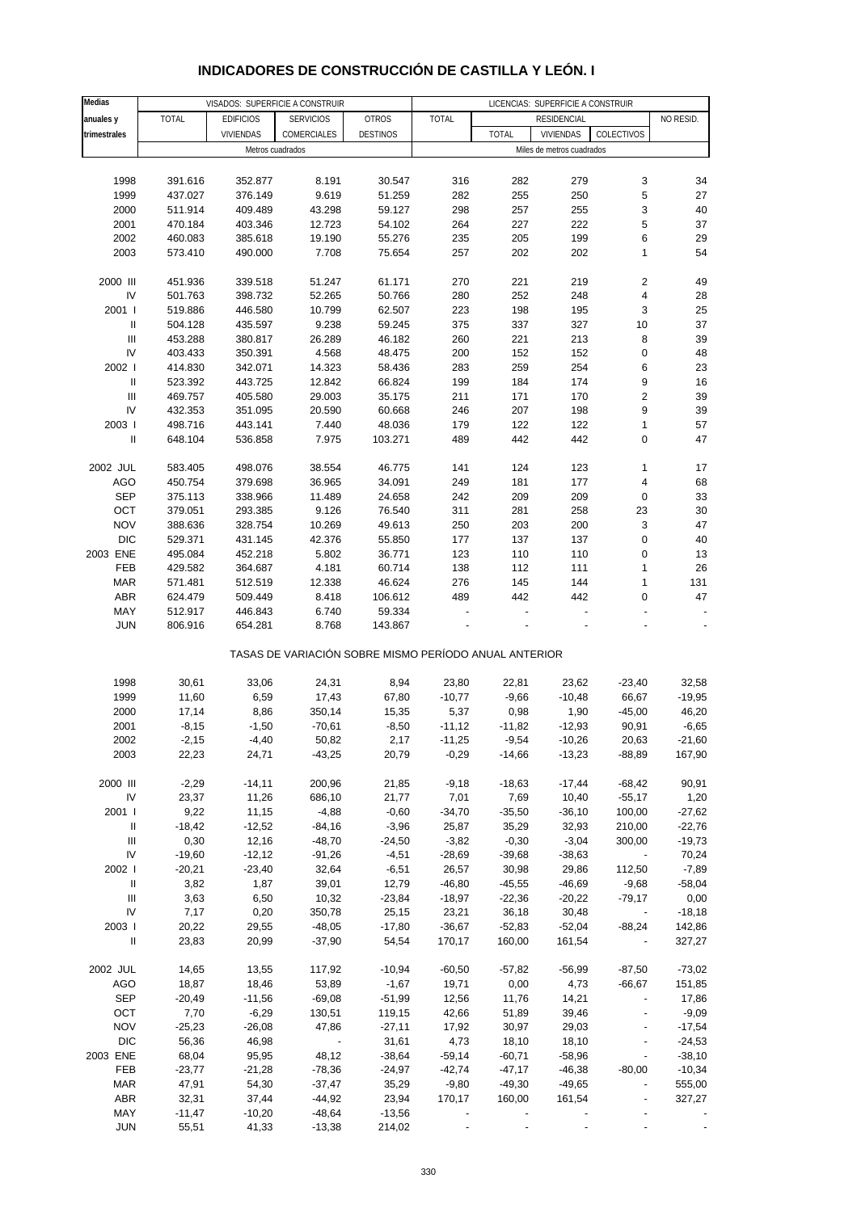# **INDICADORES DE CONSTRUCCIÓN DE CASTILLA Y LEÓN. I**

| Medias                             |              |                  | LICENCIAS: SUPERFICIE A CONSTRUIR                     |                 |              |              |                           |                          |           |
|------------------------------------|--------------|------------------|-------------------------------------------------------|-----------------|--------------|--------------|---------------------------|--------------------------|-----------|
| anuales y                          | <b>TOTAL</b> | <b>EDIFICIOS</b> | VISADOS: SUPERFICIE A CONSTRUIR<br><b>SERVICIOS</b>   | <b>OTROS</b>    | <b>TOTAL</b> |              | RESIDENCIAL               |                          | NO RESID. |
| trimestrales                       |              | <b>VIVIENDAS</b> | COMERCIALES                                           | <b>DESTINOS</b> |              | <b>TOTAL</b> | VIVIENDAS                 | COLECTIVOS               |           |
|                                    |              |                  |                                                       |                 |              |              |                           |                          |           |
|                                    |              | Metros cuadrados |                                                       |                 |              |              | Miles de metros cuadrados |                          |           |
|                                    |              |                  |                                                       |                 |              |              |                           |                          |           |
| 1998                               | 391.616      | 352.877          | 8.191                                                 | 30.547          | 316          | 282          | 279                       | 3                        | 34        |
| 1999                               | 437.027      | 376.149          | 9.619                                                 | 51.259          | 282          | 255          | 250                       | 5                        | 27        |
| 2000                               | 511.914      | 409.489          | 43.298                                                | 59.127          | 298          | 257          | 255                       | 3                        | 40        |
| 2001                               | 470.184      | 403.346          | 12.723                                                | 54.102          | 264          | 227          | 222                       | 5                        | 37        |
| 2002                               | 460.083      | 385.618          | 19.190                                                | 55.276          | 235          | 205          | 199                       | 6                        | 29        |
|                                    |              |                  |                                                       |                 |              |              |                           |                          |           |
| 2003                               | 573.410      | 490.000          | 7.708                                                 | 75.654          | 257          | 202          | 202                       | 1                        | 54        |
|                                    |              |                  |                                                       |                 |              |              |                           |                          |           |
| 2000 III                           | 451.936      | 339.518          | 51.247                                                | 61.171          | 270          | 221          | 219                       | $\boldsymbol{2}$         | 49        |
| IV                                 | 501.763      | 398.732          | 52.265                                                | 50.766          | 280          | 252          | 248                       | 4                        | 28        |
| 2001 l                             | 519.886      | 446.580          | 10.799                                                | 62.507          | 223          | 198          | 195                       | 3                        | 25        |
| Ш                                  | 504.128      | 435.597          | 9.238                                                 | 59.245          | 375          | 337          | 327                       | 10                       | 37        |
| $\ensuremath{\mathsf{III}}\xspace$ | 453.288      | 380.817          | 26.289                                                | 46.182          | 260          | 221          | 213                       | 8                        | 39        |
|                                    |              |                  |                                                       |                 |              |              |                           |                          |           |
| IV                                 | 403.433      | 350.391          | 4.568                                                 | 48.475          | 200          | 152          | 152                       | 0                        | 48        |
| 2002 l                             | 414.830      | 342.071          | 14.323                                                | 58.436          | 283          | 259          | 254                       | 6                        | 23        |
| $\ensuremath{\mathsf{II}}$         | 523.392      | 443.725          | 12.842                                                | 66.824          | 199          | 184          | 174                       | 9                        | 16        |
| Ш                                  | 469.757      | 405.580          | 29.003                                                | 35.175          | 211          | 171          | 170                       | $\overline{\mathbf{c}}$  | 39        |
| IV                                 | 432.353      | 351.095          | 20.590                                                | 60.668          | 246          | 207          | 198                       | 9                        | 39        |
| 2003                               | 498.716      | 443.141          | 7.440                                                 | 48.036          | 179          | 122          | 122                       | 1                        | 57        |
|                                    |              |                  |                                                       |                 |              |              |                           |                          |           |
| Ш                                  | 648.104      | 536.858          | 7.975                                                 | 103.271         | 489          | 442          | 442                       | 0                        | 47        |
|                                    |              |                  |                                                       |                 |              |              |                           |                          |           |
| 2002 JUL                           | 583.405      | 498.076          | 38.554                                                | 46.775          | 141          | 124          | 123                       | 1                        | 17        |
| AGO                                | 450.754      | 379.698          | 36.965                                                | 34.091          | 249          | 181          | 177                       | 4                        | 68        |
| <b>SEP</b>                         | 375.113      | 338.966          | 11.489                                                | 24.658          | 242          | 209          | 209                       | 0                        | 33        |
| OCT                                | 379.051      | 293.385          | 9.126                                                 | 76.540          | 311          | 281          | 258                       | 23                       | 30        |
| <b>NOV</b>                         | 388.636      | 328.754          | 10.269                                                | 49.613          | 250          | 203          | 200                       | 3                        | 47        |
|                                    |              |                  |                                                       |                 |              |              |                           |                          |           |
| DIC                                | 529.371      | 431.145          | 42.376                                                | 55.850          | 177          | 137          | 137                       | 0                        | 40        |
| 2003 ENE                           | 495.084      | 452.218          | 5.802                                                 | 36.771          | 123          | 110          | 110                       | 0                        | 13        |
| FEB                                | 429.582      | 364.687          | 4.181                                                 | 60.714          | 138          | 112          | 111                       | 1                        | 26        |
| <b>MAR</b>                         | 571.481      | 512.519          | 12.338                                                | 46.624          | 276          | 145          | 144                       | 1                        | 131       |
| <b>ABR</b>                         | 624.479      | 509.449          | 8.418                                                 | 106.612         | 489          | 442          | 442                       | 0                        | 47        |
| MAY                                | 512.917      | 446.843          | 6.740                                                 | 59.334          |              |              |                           |                          |           |
| <b>JUN</b>                         |              |                  |                                                       |                 |              |              |                           |                          |           |
|                                    | 806.916      | 654.281          | 8.768                                                 | 143.867         |              |              |                           |                          |           |
|                                    |              |                  | TASAS DE VARIACIÓN SOBRE MISMO PERÍODO ANUAL ANTERIOR |                 |              |              |                           |                          |           |
|                                    |              |                  |                                                       |                 |              |              |                           |                          |           |
| 1998                               | 30,61        | 33,06            | 24,31                                                 | 8,94            | 23,80        | 22,81        | 23,62                     | $-23,40$                 | 32,58     |
| 1999                               | 11,60        | 6,59             | 17,43                                                 | 67,80           | $-10,77$     | $-9,66$      | $-10,48$                  | 66,67                    | $-19,95$  |
| 2000                               | 17,14        | 8,86             | 350,14                                                | 15,35           | 5,37         | 0,98         | 1,90                      | $-45,00$                 | 46,20     |
| 2001                               | $-8,15$      | $-1,50$          | $-70,61$                                              | $-8,50$         | $-11,12$     | $-11,82$     | $-12,93$                  | 90,91                    | $-6,65$   |
| 2002                               | $-2,15$      | $-4,40$          | 50,82                                                 | 2,17            | $-11,25$     | $-9,54$      | $-10,26$                  | 20,63                    | $-21,60$  |
| 2003                               | 22,23        | 24,71            | $-43,25$                                              | 20,79           | $-0,29$      | $-14,66$     | $-13,23$                  | $-88,89$                 | 167,90    |
|                                    |              |                  |                                                       |                 |              |              |                           |                          |           |
|                                    |              |                  |                                                       |                 |              |              |                           |                          |           |
| 2000 III                           | $-2,29$      | $-14, 11$        | 200,96                                                | 21,85           | $-9,18$      | $-18,63$     | $-17,44$                  | $-68,42$                 | 90,91     |
| IV                                 | 23,37        | 11,26            | 686,10                                                | 21,77           | 7,01         | 7,69         | 10,40                     | $-55,17$                 | 1,20      |
| 2001                               | 9,22         | 11,15            | $-4,88$                                               | $-0,60$         | $-34,70$     | $-35,50$     | $-36,10$                  | 100,00                   | $-27,62$  |
| Ш                                  | $-18,42$     | $-12,52$         | $-84,16$                                              | $-3,96$         | 25,87        | 35,29        | 32,93                     | 210,00                   | $-22,76$  |
| Ш                                  | 0,30         | 12,16            | $-48,70$                                              | $-24,50$        | $-3,82$      | $-0,30$      | $-3,04$                   | 300,00                   | $-19,73$  |
| IV                                 | $-19,60$     | $-12,12$         | $-91,26$                                              | $-4,51$         | $-28,69$     | $-39,68$     | $-38,63$                  |                          | 70,24     |
| 2002                               | $-20,21$     | $-23,40$         | 32,64                                                 | $-6,51$         | 26,57        | 30,98        | 29,86                     | 112,50                   | $-7,89$   |
|                                    |              |                  |                                                       |                 |              |              |                           |                          |           |
| $\, \parallel$                     | 3,82         | 1,87             | 39,01                                                 | 12,79           | $-46,80$     | $-45,55$     | $-46,69$                  | $-9,68$                  | $-58,04$  |
| $\ensuremath{\mathsf{III}}\xspace$ | 3,63         | 6,50             | 10,32                                                 | $-23,84$        | $-18,97$     | $-22,36$     | $-20,22$                  | $-79,17$                 | 0,00      |
| IV                                 | 7,17         | 0,20             | 350,78                                                | 25,15           | 23,21        | 36,18        | 30,48                     |                          | $-18,18$  |
| 2003                               | 20,22        | 29,55            | $-48,05$                                              | $-17,80$        | $-36,67$     | $-52,83$     | $-52,04$                  | $-88,24$                 | 142,86    |
| $\, \parallel$                     | 23,83        | 20,99            | $-37,90$                                              | 54,54           | 170,17       | 160,00       | 161,54                    | $\overline{\phantom{a}}$ | 327,27    |
|                                    |              |                  |                                                       |                 |              |              |                           |                          |           |
| 2002 JUL                           | 14,65        | 13,55            | 117,92                                                | $-10,94$        | $-60,50$     | $-57,82$     | $-56,99$                  | $-87,50$                 | $-73,02$  |
|                                    |              |                  |                                                       |                 |              |              |                           |                          |           |
| AGO                                | 18,87        | 18,46            | 53,89                                                 | $-1,67$         | 19,71        | 0,00         | 4,73                      | $-66,67$                 | 151,85    |
| <b>SEP</b>                         | $-20,49$     | $-11,56$         | $-69,08$                                              | $-51,99$        | 12,56        | 11,76        | 14,21                     |                          | 17,86     |
| OCT                                | 7,70         | $-6,29$          | 130,51                                                | 119,15          | 42,66        | 51,89        | 39,46                     | $\blacksquare$           | $-9,09$   |
| <b>NOV</b>                         | $-25,23$     | $-26,08$         | 47,86                                                 | $-27,11$        | 17,92        | 30,97        | 29,03                     | $\overline{\phantom{a}}$ | $-17,54$  |
| <b>DIC</b>                         | 56,36        | 46,98            | $\overline{\phantom{a}}$                              | 31,61           | 4,73         | 18,10        | 18,10                     | $\blacksquare$           | $-24,53$  |
| 2003 ENE                           | 68,04        | 95,95            | 48,12                                                 | $-38,64$        | $-59,14$     | $-60,71$     | $-58,96$                  | $\overline{\phantom{a}}$ | $-38,10$  |
|                                    |              |                  |                                                       |                 | $-42,74$     |              |                           |                          |           |
| FEB                                | $-23,77$     | $-21,28$         | $-78,36$                                              | $-24,97$        |              | $-47,17$     | $-46,38$                  | $-80,00$                 | $-10,34$  |
| <b>MAR</b>                         | 47,91        | 54,30            | $-37,47$                                              | 35,29           | $-9,80$      | $-49,30$     | $-49,65$                  | $\blacksquare$           | 555,00    |
| <b>ABR</b>                         | 32,31        | 37,44            | $-44,92$                                              | 23,94           | 170,17       | 160,00       | 161,54                    | $\overline{\phantom{a}}$ | 327,27    |
| MAY                                | $-11,47$     | $-10,20$         | $-48,64$                                              | $-13,56$        |              |              |                           |                          |           |
| <b>JUN</b>                         | 55,51        | 41,33            | $-13,38$                                              | 214,02          |              |              |                           |                          |           |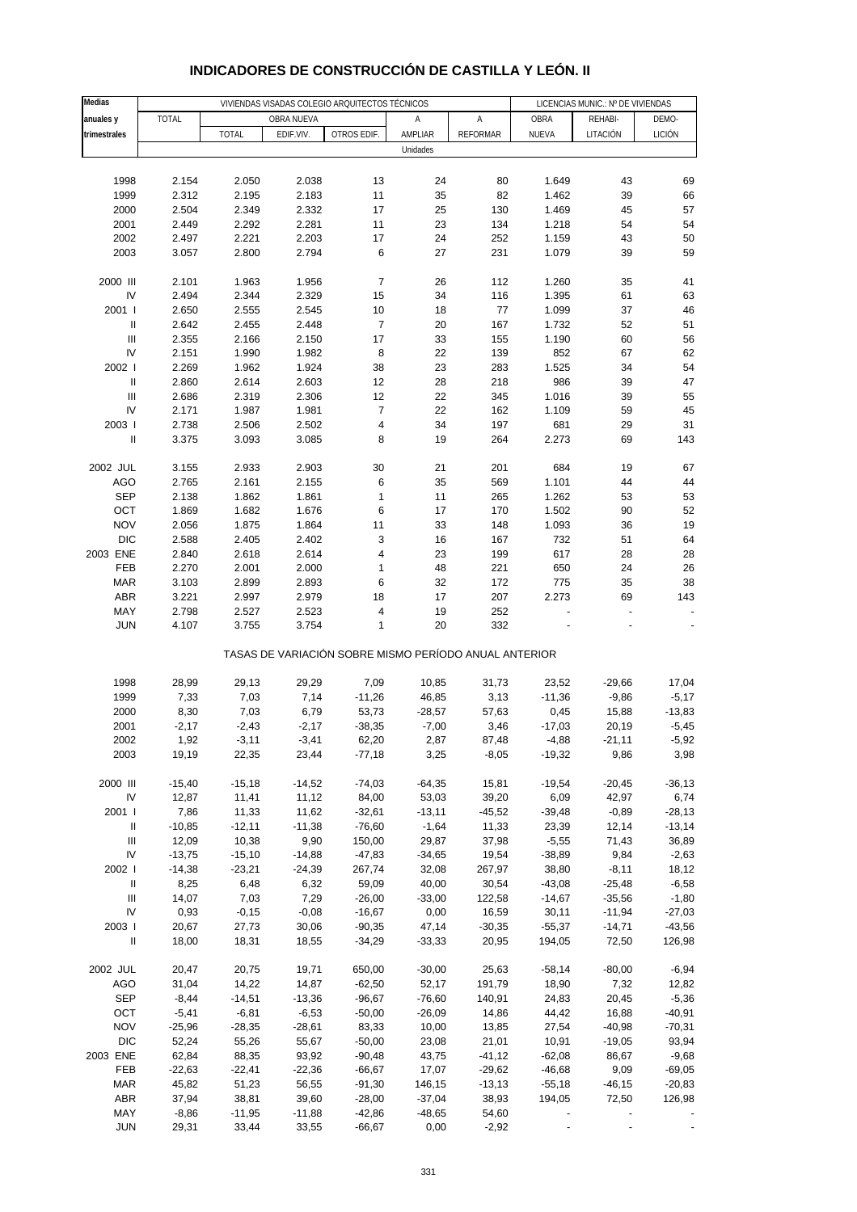| Medias                             |                  |                   |                   | VIVIENDAS VISADAS COLEGIO ARQUITECTOS TÉCNICOS        |                  |                   | LICENCIAS MUNIC.: Nº DE VIVIENDAS |                      |                      |
|------------------------------------|------------------|-------------------|-------------------|-------------------------------------------------------|------------------|-------------------|-----------------------------------|----------------------|----------------------|
| anuales y                          | <b>TOTAL</b>     |                   | OBRA NUEVA        |                                                       | Α                | Α                 | OBRA                              | REHABI-              | DEMO-                |
| trimestrales                       |                  | <b>TOTAL</b>      | EDIF.VIV.         | OTROS EDIF.                                           | AMPLIAR          | <b>REFORMAR</b>   | NUEVA                             | LITACIÓN             | <b>LICIÓN</b>        |
|                                    |                  |                   |                   |                                                       | Unidades         |                   |                                   |                      |                      |
|                                    |                  |                   |                   |                                                       |                  |                   |                                   |                      |                      |
| 1998                               | 2.154            | 2.050             | 2.038             | 13                                                    | 24               | 80                | 1.649                             | 43                   | 69                   |
| 1999                               | 2.312            | 2.195             | 2.183             | 11                                                    | 35               | 82                | 1.462                             | 39                   | 66                   |
| 2000                               | 2.504            | 2.349             | 2.332             | 17                                                    | 25               | 130               | 1.469                             | 45                   | 57                   |
| 2001                               | 2.449            | 2.292             | 2.281             | 11                                                    | 23               | 134               | 1.218                             | 54                   | 54                   |
| 2002                               | 2.497            | 2.221             | 2.203             | 17                                                    | 24<br>27         | 252<br>231        | 1.159                             | 43                   | 50<br>59             |
| 2003                               | 3.057            | 2.800             | 2.794             | 6                                                     |                  |                   | 1.079                             | 39                   |                      |
| 2000 III                           | 2.101            | 1.963             | 1.956             | $\overline{\mathcal{I}}$                              | 26               | 112               | 1.260                             | 35                   | 41                   |
| IV                                 | 2.494            | 2.344             | 2.329             | 15                                                    | 34               | 116               | 1.395                             | 61                   | 63                   |
| 2001 l                             | 2.650            | 2.555             | 2.545             | 10                                                    | 18               | 77                | 1.099                             | 37                   | 46                   |
| $\ensuremath{\mathsf{II}}$         | 2.642            | 2.455             | 2.448             | $\overline{7}$                                        | 20               | 167               | 1.732                             | 52                   | 51                   |
| Ш                                  | 2.355            | 2.166             | 2.150             | 17                                                    | 33               | 155               | 1.190                             | 60                   | 56                   |
| IV                                 | 2.151            | 1.990             | 1.982             | 8                                                     | 22               | 139               | 852                               | 67                   | 62                   |
| 2002                               | 2.269            | 1.962             | 1.924             | 38                                                    | 23               | 283               | 1.525                             | 34                   | 54                   |
| Ш                                  | 2.860            | 2.614             | 2.603             | 12                                                    | 28               | 218               | 986                               | 39                   | 47                   |
| $\mathbf{III}$                     | 2.686            | 2.319             | 2.306             | 12                                                    | 22               | 345               | 1.016                             | 39                   | 55                   |
| IV<br>2003                         | 2.171<br>2.738   | 1.987<br>2.506    | 1.981<br>2.502    | $\overline{\mathcal{I}}$<br>4                         | 22<br>34         | 162<br>197        | 1.109<br>681                      | 59<br>29             | 45<br>31             |
| $\sf II$                           | 3.375            | 3.093             | 3.085             | 8                                                     | 19               | 264               | 2.273                             | 69                   | 143                  |
|                                    |                  |                   |                   |                                                       |                  |                   |                                   |                      |                      |
| 2002 JUL                           | 3.155            | 2.933             | 2.903             | 30                                                    | 21               | 201               | 684                               | 19                   | 67                   |
| <b>AGO</b>                         | 2.765            | 2.161             | 2.155             | 6                                                     | 35               | 569               | 1.101                             | 44                   | 44                   |
| <b>SEP</b>                         | 2.138            | 1.862             | 1.861             | $\mathbf{1}$                                          | 11               | 265               | 1.262                             | 53                   | 53                   |
| OCT                                | 1.869            | 1.682             | 1.676             | 6                                                     | 17               | 170               | 1.502                             | 90                   | 52                   |
| <b>NOV</b>                         | 2.056            | 1.875             | 1.864             | 11                                                    | 33               | 148               | 1.093                             | 36                   | 19                   |
| <b>DIC</b>                         | 2.588            | 2.405             | 2.402             | 3                                                     | 16               | 167               | 732                               | 51                   | 64                   |
| 2003 ENE                           | 2.840            | 2.618             | 2.614             | 4                                                     | 23               | 199               | 617                               | 28                   | 28                   |
| FEB                                | 2.270            | 2.001             | 2.000             | 1                                                     | 48               | 221               | 650                               | 24                   | 26                   |
| <b>MAR</b>                         | 3.103            | 2.899             | 2.893             | 6                                                     | 32               | 172               | 775                               | 35                   | 38                   |
| ABR                                | 3.221            | 2.997             | 2.979             | 18                                                    | 17               | 207               | 2.273                             | 69                   | 143                  |
| MAY<br><b>JUN</b>                  | 2.798<br>4.107   | 2.527<br>3.755    | 2.523<br>3.754    | 4<br>1                                                | 19<br>20         | 252<br>332        |                                   |                      |                      |
|                                    |                  |                   |                   |                                                       |                  |                   |                                   |                      |                      |
|                                    |                  |                   |                   | TASAS DE VARIACIÓN SOBRE MISMO PERÍODO ANUAL ANTERIOR |                  |                   |                                   |                      |                      |
|                                    |                  |                   |                   |                                                       |                  |                   |                                   |                      |                      |
| 1998                               | 28,99            | 29,13             | 29,29             | 7,09                                                  | 10,85            | 31,73             | 23,52                             | $-29,66$             | 17,04                |
| 1999                               | 7,33             | 7,03              | 7,14              | $-11,26$                                              | 46,85            | 3,13              | $-11,36$                          | $-9,86$              | $-5,17$              |
| 2000                               | 8,30             | 7,03              | 6,79              | 53,73                                                 | $-28,57$         | 57,63             | 0,45                              | 15,88                | $-13,83$             |
| 2001                               | $-2,17$          | $-2,43$           | $-2,17$           | $-38,35$                                              | $-7,00$          | 3,46              | $-17,03$                          | 20,19                | $-5,45$              |
| 2002<br>2003                       | 1,92<br>19,19    | $-3,11$<br>22,35  | $-3,41$<br>23,44  | 62,20<br>$-77,18$                                     | 2,87<br>3,25     | 87,48             | $-4,88$<br>$-19,32$               | $-21,11$<br>9,86     | $-5,92$<br>3,98      |
|                                    |                  |                   |                   |                                                       |                  | $-8,05$           |                                   |                      |                      |
| 2000 III                           | $-15,40$         | $-15,18$          | $-14,52$          | $-74,03$                                              | $-64,35$         | 15,81             | $-19,54$                          | $-20,45$             | $-36, 13$            |
| IV                                 | 12,87            | 11,41             | 11,12             | 84,00                                                 | 53,03            | 39,20             | 6,09                              | 42,97                | 6,74                 |
| 2001 l                             | 7,86             | 11,33             | 11,62             | $-32,61$                                              | $-13,11$         | $-45,52$          | $-39,48$                          | $-0,89$              | $-28,13$             |
| Ш                                  | $-10,85$         | $-12,11$          | $-11,38$          | $-76,60$                                              | $-1,64$          | 11,33             | 23,39                             | 12,14                | $-13,14$             |
| $\ensuremath{\mathsf{III}}\xspace$ | 12,09            | 10,38             | 9,90              | 150,00                                                | 29,87            | 37,98             | $-5,55$                           | 71,43                | 36,89                |
| IV                                 | $-13,75$         | $-15,10$          | $-14,88$          | $-47,83$                                              | $-34,65$         | 19,54             | $-38,89$                          | 9,84                 | $-2,63$              |
| 2002                               | $-14,38$         | $-23,21$          | $-24,39$          | 267,74                                                | 32,08            | 267,97            | 38,80                             | $-8,11$              | 18,12                |
| $\ensuremath{\mathsf{II}}$         | 8,25             | 6,48              | 6,32              | 59,09                                                 | 40,00            | 30,54             | $-43,08$                          | $-25,48$             | $-6,58$              |
| $\ensuremath{\mathsf{III}}\xspace$ | 14,07            | 7,03              | 7,29              | $-26,00$                                              | $-33,00$         | 122,58            | $-14,67$                          | $-35,56$             | $-1,80$              |
| IV<br>2003                         | 0,93<br>20,67    | $-0,15$<br>27,73  | $-0,08$<br>30,06  | $-16,67$<br>$-90,35$                                  | 0,00<br>47,14    | 16,59<br>$-30,35$ | 30,11<br>$-55,37$                 | $-11,94$<br>$-14,71$ | $-27,03$<br>$-43,56$ |
| $\ensuremath{\mathsf{II}}$         | 18,00            | 18,31             | 18,55             | $-34,29$                                              | $-33,33$         | 20,95             | 194,05                            | 72,50                | 126,98               |
|                                    |                  |                   |                   |                                                       |                  |                   |                                   |                      |                      |
| 2002 JUL                           | 20,47            | 20,75             | 19,71             | 650,00                                                | $-30,00$         | 25,63             | $-58,14$                          | $-80,00$             | $-6,94$              |
| <b>AGO</b>                         | 31,04            | 14,22             | 14,87             | $-62,50$                                              | 52,17            | 191,79            | 18,90                             | 7,32                 | 12,82                |
| <b>SEP</b>                         | $-8,44$          | $-14,51$          | $-13,36$          | $-96,67$                                              | $-76,60$         | 140,91            | 24,83                             | 20,45                | $-5,36$              |
| OCT                                | $-5,41$          | $-6,81$           | $-6,53$           | $-50,00$                                              | $-26,09$         | 14,86             | 44,42                             | 16,88                | $-40,91$             |
| <b>NOV</b>                         | $-25,96$         | $-28,35$          | $-28,61$          | 83,33                                                 | 10,00            | 13,85             | 27,54                             | $-40,98$             | $-70,31$             |
| <b>DIC</b>                         | 52,24            | 55,26             | 55,67             | $-50,00$                                              | 23,08            | 21,01             | 10,91                             | $-19,05$             | 93,94                |
| 2003 ENE                           | 62,84            | 88,35             | 93,92             | $-90,48$                                              | 43,75            | $-41, 12$         | $-62,08$                          | 86,67                | $-9,68$              |
| FEB                                | $-22,63$         | $-22,41$          | $-22,36$          | $-66,67$                                              | 17,07            | $-29,62$          | $-46,68$                          | 9,09                 | $-69,05$             |
| <b>MAR</b>                         | 45,82            | 51,23             | 56,55             | $-91,30$                                              | 146,15           | $-13,13$          | $-55,18$                          | $-46, 15$            | $-20,83$             |
| <b>ABR</b>                         | 37,94            | 38,81             | 39,60             | $-28,00$                                              | $-37,04$         | 38,93             | 194,05                            | 72,50                | 126,98               |
| MAY<br>JUN                         | $-8,86$<br>29,31 | $-11,95$<br>33,44 | $-11,88$<br>33,55 | $-42,86$<br>$-66,67$                                  | $-48,65$<br>0,00 | 54,60<br>$-2,92$  |                                   |                      |                      |
|                                    |                  |                   |                   |                                                       |                  |                   |                                   |                      |                      |

### **INDICADORES DE CONSTRUCCIÓN DE CASTILLA Y LEÓN. II**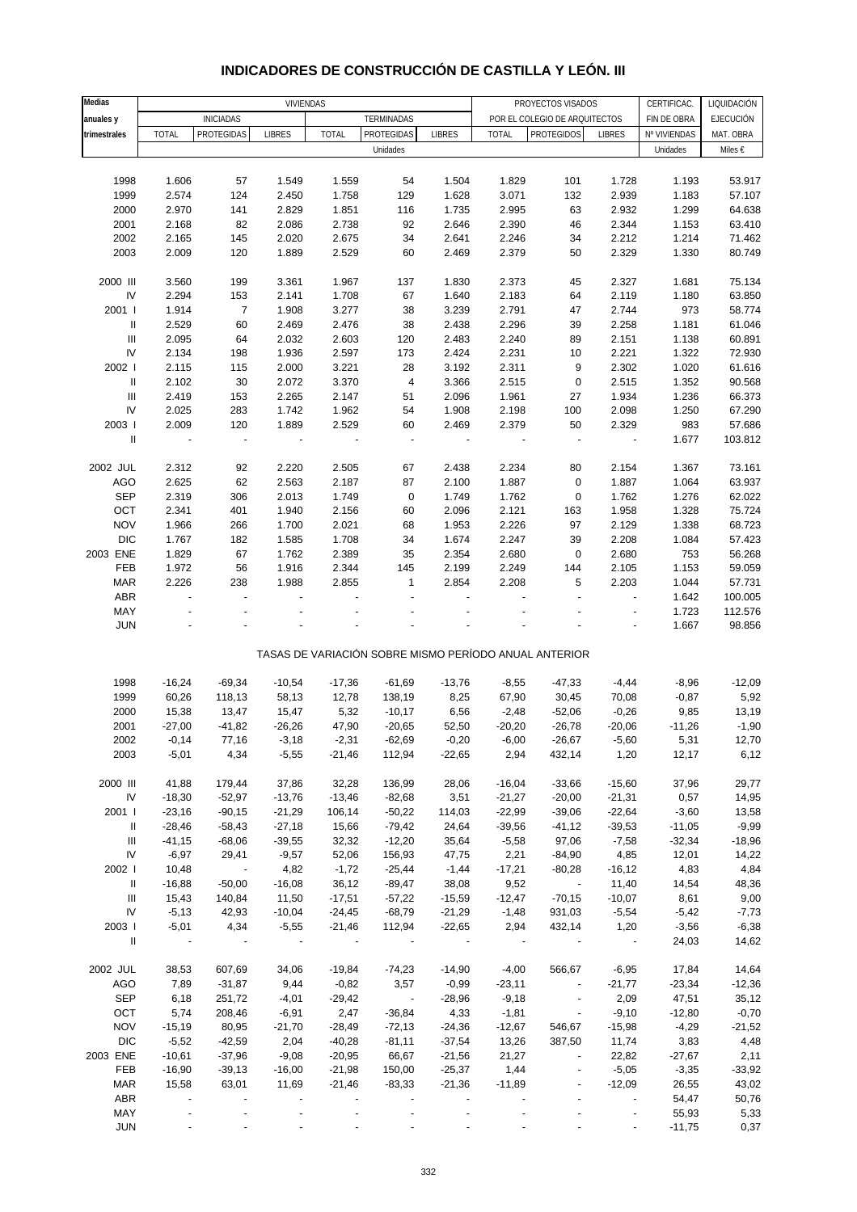#### **Medias** CERTIFICAC. LIQUIDACIÓN **anuales y fin**iciadas for the terminadas terminadas terminales por el colegio de arquitectos finde obra fejecución **trimestrales |** TOTAL PROTEGIDAS |LIBRES | TOTAL |PROTEGIDAS |LIBRES | TOTAL |PROTEGIDOS| LIBRES |Nº VIVIENDAS |MAT. OBRA Unidades Miles € 1998 1.606 57 1.549 1.559 54 1.504 1.829 101 1.728 1.193 53.917 1999 2.574 124 2.450 1.758 129 1.628 3.071 132 2.939 1.183 57.107 2000 2.970 141 2.829 1.851 116 1.735 2.995 63 2.932 1.299 64.638 2001 2.168 82 2.086 2.738 92 2.646 2.390 46 2.344 1.153 63.410 2002 2.165 145 2.020 2.675 34 2.641 2.246 34 2.212 1.214 71.462 2003 2.009 120 1.889 2.529 60 2.469 2.379 50 2.329 1.330 80.749 2000 III 3.560 199 3.361 1.967 137 1.830 2.373 45 2.327 1.681 75.134 IV 2.294 153 2.141 1.708 67 1.640 2.183 64 2.119 1.180 63.850 2001 I 1.914 7 1.908 3.277 38 3.239 2.791 47 2.744 973 58.774 II 2.529 60 2.469 2.476 38 2.438 2.296 39 2.258 1.181 61.046 III 2.095 64 2.032 2.603 120 2.483 2.240 89 2.151 1.138 60.891 IV 2.134 198 1.936 2.597 173 2.424 2.231 10 2.221 1.322 72.930 2002 I 2.115 115 2.000 3.221 28 3.192 2.311 9 2.302 1.020 61.616 II 2.102 30 2.072 3.370 4 3.366 2.515 0 2.515 1.352 90.568 III 2.419 153 2.265 2.147 51 2.096 1.961 27 1.934 1.236 66.373 IV 2.025 283 1.742 1.962 54 1.908 2.198 100 2.098 1.250 67.290 2003 I 2.009 120 1.889 2.529 60 2.469 2.379 50 2.329 983 57.686 II - - - - - - - - - 1.677 103.812 2002 JUL 2.312 92 2.220 2.505 67 2.438 2.234 80 2.154 1.367 73.161 AGO 2.625 62 2.563 2.187 87 2.100 1.887 0 1.887 1.064 63.937 SEP 2.319 306 2.013 1.749 0 1.749 1.762 0 1.762 1.276 62.022 OCT 2.341 401 1.940 2.156 60 2.096 2.121 163 1.958 1.328 75.724 NOV 1.966 266 1.700 2.021 68 1.953 2.226 97 2.129 1.338 68.723 DIC 1.767 182 1.585 1.708 34 1.674 2.247 39 2.208 1.084 57.423 2003 ENE 1.829 67 1.762 2.389 35 2.354 2.680 0 2.680 753 56.268 FEB 1.972 56 1.916 2.344 145 2.199 2.249 144 2.105 1.153 59.059 MAR 2.226 238 1.988 2.855 1 2.854 2.208 5 2.203 1.044 57.731 ABR - - - - - - - - - 1.642 100.005 MAY - - - - - - - - - 1.723 112.576 JUN - - - - - - - - - 1.667 98.856 TASAS DE VARIACIÓN SOBRE MISMO PERÍODO ANUAL ANTERIOR 1998 -16,24 -69,34 -10,54 -17,36 -61,69 -13,76 -8,55 -47,33 -4,44 -8,96 -12,09 1999 60,26 118,13 58,13 12,78 138,19 8,25 67,90 30,45 70,08 -0,87 5,92 2000 15,38 13,47 15,47 5,32 -10,17 6,56 -2,48 -52,06 -0,26 9,85 13,19 2001 -27,00 -41,82 -26,26 47,90 -20,65 52,50 -20,20 -26,78 -20,06 -11,26 -1,90 2002 -0,14 77,16 -3,18 -2,31 -62,69 -0,20 -6,00 -26,67 -5,60 5,31 12,70 2003 -5,01 4,34 -5,55 -21,46 112,94 -22,65 2,94 432,14 1,20 12,17 6,12 2000 III 41,88 179,44 37,86 32,28 136,99 28,06 -16,04 -33,66 -15,60 37,96 29,77 IV -18,30 -52,97 -13,76 -13,46 -82,68 3,51 -21,27 -20,00 -21,31 0,57 14,95 2001 I -23,16 -90,15 -21,29 106,14 -50,22 114,03 -22,99 -39,06 -22,64 -3,60 13,58 II -28,46 -58,43 -27,18 15,66 -79,42 24,64 -39,56 -41,12 -39,53 -11,05 -9,99 III -41,15 -68,06 -39,55 32,32 -12,20 35,64 -5,58 97,06 -7,58 -32,34 -18,96 IV -6,97 29,41 -9,57 52,06 156,93 47,75 2,21 -84,90 4,85 12,01 14,22 2002 I 10,48 - 4,82 -1,72 -25,44 -1,44 -17,21 -80,28 -16,12 4,83 4,84 II -16,88 -50,00 -16,08 36,12 -89,47 38,08 9,52 - 11,40 14,54 48,36 III 15,43 140,84 11,50 -17,51 -57,22 -15,59 -12,47 -70,15 -10,07 8,61 9,00 IV -5,13 42,93 -10,04 -24,45 -68,79 -21,29 -1,48 931,03 -5,54 -5,42 -7,73 2003 I -5,01 4,34 -5,55 -21,46 112,94 -22,65 2,94 432,14 1,20 -3,56 -6,38  $||$  - - - - - - - - - - - - - - 24,03 14,62 2002 JUL 38,53 607,69 34,06 -19,84 -74,23 -14,90 -4,00 566,67 -6,95 17,84 14,64 AGO 7,89 -31,87 9,44 -0,82 3,57 -0,99 -23,11 - -21,77 -23,34 -12,36 SEP 6,18 251,72 -4,01 -29,42 - -28,96 -9,18 - 2,09 47,51 35,12 OCT 5,74 208,46 -6,91 2,47 -36,84 4,33 -1,81 - -9,10 -12,80 -0,70 NOV -15,19 80,95 -21,70 -28,49 -72,13 -24,36 -12,67 546,67 -15,98 -4,29 -21,52 DIC -5,52 -42,59 2,04 -40,28 -81,11 -37,54 13,26 387,50 11,74 3,83 4,48 2003 ENE -10,61 -37,96 -9,08 -20,95 66,67 -21,56 21,27 - 22,82 -27,67 2,11 FEB -16,90 -39,13 -16,00 -21,98 150,00 -25,37 1,44 - - -5,05 -3,35 -33,92 MAR 15,58 63,01 11,69 -21,46 -83,33 -21,36 -11,89 - -12,09 26,55 43,02 ABR - - - - - - - - - - - - - - - - - 54,47 50,76 MAY - - - - - - - - - 55,93 5,33 Unidades VIVIENDAS PROYECTOS VISADOS

#### **INDICADORES DE CONSTRUCCIÓN DE CASTILLA Y LEÓN. III**

JUN - - - - - - - - - -11,75 0,37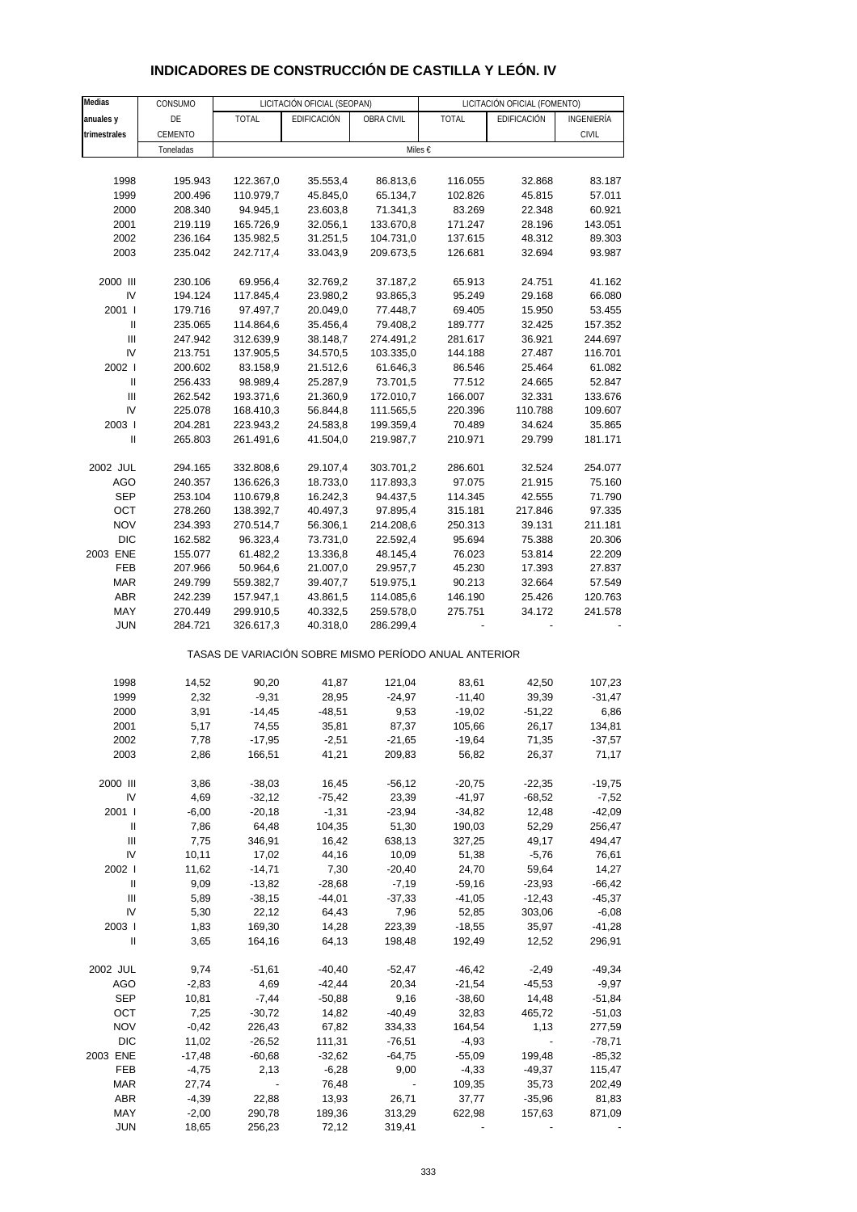| Medias                             | CONSUMO   |              | LICITACIÓN OFICIAL (SEOPAN) |                                                       |              | LICITACIÓN OFICIAL (FOMENTO) |              |
|------------------------------------|-----------|--------------|-----------------------------|-------------------------------------------------------|--------------|------------------------------|--------------|
| anuales y                          | DE        | <b>TOTAL</b> | EDIFICACIÓN                 | OBRA CIVIL                                            | <b>TOTAL</b> | EDIFICACIÓN                  | INGENIERÍA   |
| trimestrales                       | CEMENTO   |              |                             |                                                       |              |                              | <b>CIVIL</b> |
|                                    | Toneladas |              |                             | Miles €                                               |              |                              |              |
|                                    |           |              |                             |                                                       |              |                              |              |
| 1998                               | 195.943   | 122.367,0    | 35.553,4                    | 86.813,6                                              | 116.055      | 32.868                       | 83.187       |
| 1999                               | 200.496   | 110.979,7    | 45.845,0                    | 65.134,7                                              | 102.826      | 45.815                       | 57.011       |
| 2000                               | 208.340   | 94.945,1     | 23.603,8                    | 71.341,3                                              | 83.269       | 22.348                       | 60.921       |
| 2001                               | 219.119   | 165.726,9    | 32.056,1                    | 133.670,8                                             | 171.247      | 28.196                       | 143.051      |
| 2002                               | 236.164   | 135.982,5    | 31.251,5                    | 104.731,0                                             | 137.615      | 48.312                       | 89.303       |
| 2003                               | 235.042   | 242.717,4    | 33.043,9                    | 209.673,5                                             | 126.681      | 32.694                       | 93.987       |
|                                    |           |              |                             |                                                       |              |                              |              |
| 2000 III                           | 230.106   | 69.956,4     | 32.769,2                    | 37.187,2                                              | 65.913       | 24.751                       | 41.162       |
| IV                                 | 194.124   | 117.845,4    | 23.980,2                    | 93.865,3                                              | 95.249       | 29.168                       | 66.080       |
| 2001 l                             | 179.716   | 97.497,7     | 20.049,0                    | 77.448,7                                              | 69.405       | 15.950                       | 53.455       |
| Ш                                  | 235.065   | 114.864,6    | 35.456,4                    | 79.408,2                                              | 189.777      | 32.425                       | 157.352      |
| $\ensuremath{\mathsf{III}}\xspace$ | 247.942   | 312.639,9    | 38.148,7                    | 274.491,2                                             | 281.617      | 36.921                       | 244.697      |
| IV                                 | 213.751   | 137.905,5    | 34.570,5                    | 103.335,0                                             | 144.188      | 27.487                       | 116.701      |
| 2002                               | 200.602   | 83.158,9     | 21.512,6                    | 61.646,3                                              | 86.546       | 25.464                       | 61.082       |
| Ш                                  | 256.433   | 98.989,4     | 25.287,9                    | 73.701,5                                              | 77.512       | 24.665                       | 52.847       |
| Ш                                  | 262.542   | 193.371,6    | 21.360,9                    | 172.010,7                                             | 166.007      | 32.331                       | 133.676      |
| IV                                 | 225.078   | 168.410,3    | 56.844,8                    | 111.565,5                                             | 220.396      | 110.788                      | 109.607      |
| 2003                               | 204.281   | 223.943,2    | 24.583,8                    | 199.359,4                                             | 70.489       | 34.624                       | 35.865       |
| $\mathbf{I}$                       |           |              |                             |                                                       |              | 29.799                       |              |
|                                    | 265.803   | 261.491,6    | 41.504,0                    | 219.987,7                                             | 210.971      |                              | 181.171      |
| 2002 JUL                           | 294.165   | 332.808,6    | 29.107,4                    | 303.701,2                                             | 286.601      | 32.524                       | 254.077      |
| <b>AGO</b>                         | 240.357   | 136.626,3    | 18.733,0                    | 117.893,3                                             | 97.075       | 21.915                       | 75.160       |
| <b>SEP</b>                         | 253.104   | 110.679,8    | 16.242,3                    | 94.437,5                                              | 114.345      | 42.555                       | 71.790       |
| OCT                                | 278.260   | 138.392,7    | 40.497,3                    | 97.895,4                                              | 315.181      | 217.846                      | 97.335       |
| <b>NOV</b>                         | 234.393   | 270.514,7    | 56.306,1                    | 214.208,6                                             | 250.313      | 39.131                       | 211.181      |
| <b>DIC</b>                         | 162.582   | 96.323,4     | 73.731,0                    | 22.592,4                                              | 95.694       | 75.388                       | 20.306       |
| 2003 ENE                           | 155.077   | 61.482,2     | 13.336,8                    | 48.145,4                                              | 76.023       | 53.814                       | 22.209       |
| FEB                                | 207.966   | 50.964,6     | 21.007,0                    | 29.957,7                                              | 45.230       | 17.393                       | 27.837       |
|                                    |           |              |                             |                                                       |              |                              |              |
| <b>MAR</b>                         | 249.799   | 559.382,7    | 39.407,7                    | 519.975,1                                             | 90.213       | 32.664                       | 57.549       |
| <b>ABR</b>                         | 242.239   | 157.947,1    | 43.861,5                    | 114.085,6                                             | 146.190      | 25.426                       | 120.763      |
| MAY                                | 270.449   | 299.910,5    | 40.332,5                    | 259.578,0                                             | 275.751      | 34.172                       | 241.578      |
| <b>JUN</b>                         | 284.721   | 326.617,3    | 40.318,0                    | 286.299,4                                             |              |                              |              |
|                                    |           |              |                             | TASAS DE VARIACIÓN SOBRE MISMO PERÍODO ANUAL ANTERIOR |              |                              |              |
|                                    |           |              |                             |                                                       |              |                              |              |
| 1998                               | 14,52     | 90,20        | 41,87                       | 121,04                                                | 83,61        | 42,50                        | 107,23       |
| 1999                               | 2,32      | $-9,31$      | 28,95                       | $-24,97$                                              | $-11,40$     | 39,39                        | $-31,47$     |
| 2000                               | 3,91      | $-14,45$     | $-48,51$                    | 9,53                                                  | $-19,02$     | $-51,22$                     | 6,86         |
| 2001                               | 5,17      | 74,55        | 35,81                       | 87,37                                                 | 105,66       | 26,17                        | 134,81       |
| 2002                               | 7,78      | $-17,95$     | $-2,51$                     | $-21,65$                                              | $-19,64$     | 71,35                        | $-37,57$     |
| 2003                               | 2,86      | 166,51       | 41,21                       | 209,83                                                | 56,82        | 26,37                        | 71,17        |
| 2000 III                           | 3,86      | $-38,03$     | 16,45                       | $-56, 12$                                             | $-20,75$     | $-22,35$                     | $-19,75$     |
|                                    |           |              |                             |                                                       |              |                              |              |
| IV                                 | 4,69      | $-32,12$     | $-75,42$                    | 23,39                                                 | -41,97       | $-68,52$                     | $-7,52$      |
| 2001 l                             | $-6,00$   | $-20,18$     | $-1,31$                     | $-23,94$                                              | $-34,82$     | 12,48                        | $-42,09$     |
| Ш                                  | 7,86      | 64,48        | 104,35                      | 51,30                                                 | 190,03       | 52,29                        | 256,47       |
| Ш                                  | 7,75      | 346,91       | 16,42                       | 638,13                                                | 327,25       | 49,17                        | 494,47       |
| IV                                 | 10,11     | 17,02        | 44,16                       | 10,09                                                 | 51,38        | $-5,76$                      | 76,61        |
| 2002 l                             | 11,62     | $-14,71$     | 7,30                        | $-20,40$                                              | 24,70        | 59,64                        | 14,27        |
| Ш                                  | 9,09      | $-13,82$     | $-28,68$                    | $-7,19$                                               | $-59,16$     | $-23,93$                     | $-66,42$     |
| Ш                                  | 5,89      | $-38,15$     | $-44,01$                    | $-37,33$                                              | $-41,05$     | -12,43                       | $-45,37$     |

 IV 5,30 22,12 64,43 7,96 52,85 303,06 -6,08 2003 I 1,83 169,30 14,28 223,39 -18,55 35,97 -41,28 II 3,65 164,16 64,13 198,48 192,49 12,52 296,91

2002 JUL 9,74 -51,61 -40,40 -52,47 -46,42 -2,49 -49,34 AGO -2,83 4,69 -42,44 20,34 -21,54 -45,53 -9,97 SEP 10,81 -7,44 -50,88 9,16 -38,60 14,48 -51,84 OCT 7,25 -30,72 14,82 -40,49 32,83 465,72 -51,03 NOV -0,42 226,43 67,82 334,33 164,54 1,13 277,59 DIC 11,02 -26,52 111,31 -76,51 -4,93 - -78,71 2003 ENE -17,48 -60,68 -32,62 -64,75 -55,09 199,48 -85,32 FEB -4,75 2,13 -6,28 9,00 -4,33 -49,37 115,47 MAR 27,74 - 76,48 - 109,35 35,73 202,49 ABR -4,39 22,88 13,93 26,71 37,77 -35,96 81,83 MAY -2,00 290,78 189,36 313,29 622,98 157,63 871,09 JUN 18,65 256,23 72,12 319,41 - - -

### **INDICADORES DE CONSTRUCCIÓN DE CASTILLA Y LEÓN. IV**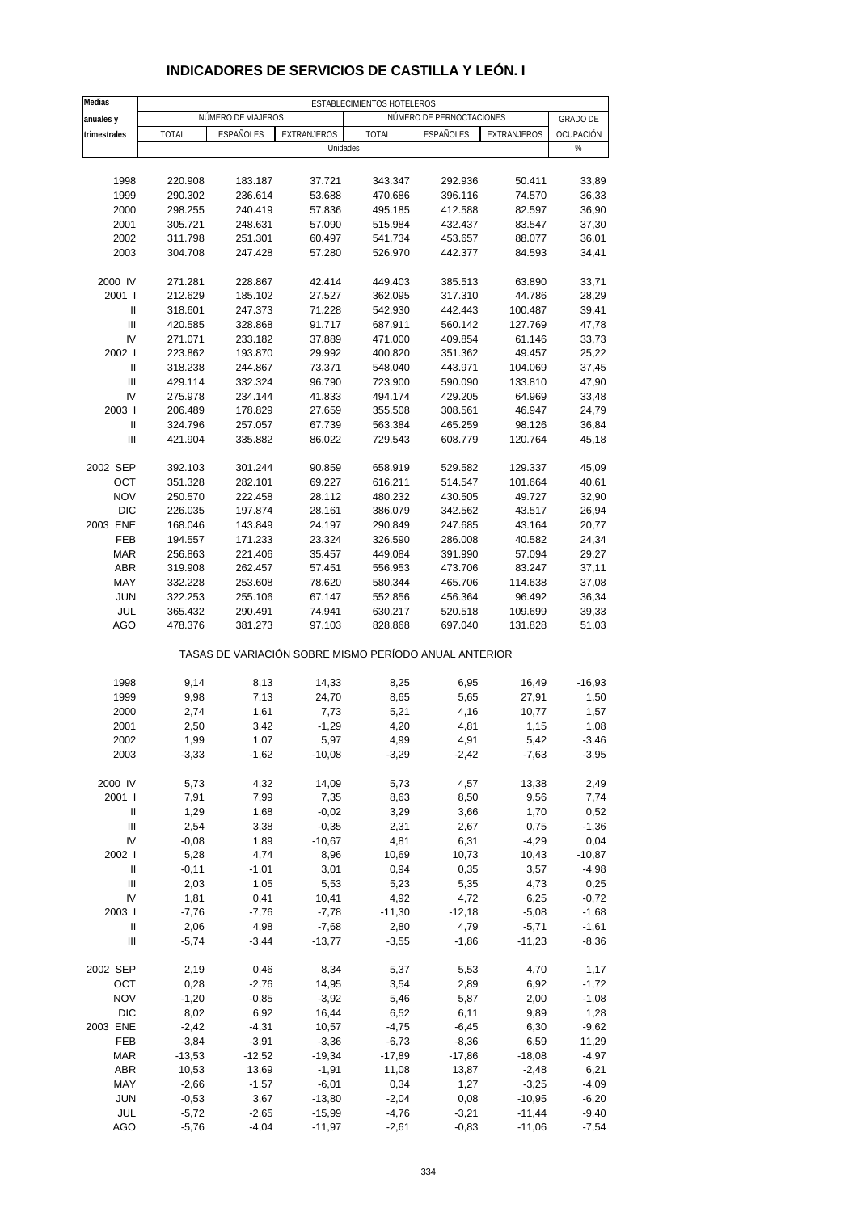| <b>Medias</b>                      |                 |                    |                                                       | ESTABLECIMIENTOS HOTELEROS |                          |                 |                  |
|------------------------------------|-----------------|--------------------|-------------------------------------------------------|----------------------------|--------------------------|-----------------|------------------|
| anuales y                          |                 | NÚMERO DE VIAJEROS |                                                       |                            | NÚMERO DE PERNOCTACIONES |                 | <b>GRADO DE</b>  |
| trimestrales                       | <b>TOTAL</b>    | <b>ESPAÑOLES</b>   | EXTRANJEROS                                           | <b>TOTAL</b>               | ESPAÑOLES                | EXTRANJEROS     | OCUPACIÓN        |
|                                    |                 |                    | Unidades                                              |                            |                          |                 | %                |
|                                    |                 |                    |                                                       |                            |                          |                 |                  |
|                                    |                 |                    |                                                       |                            |                          |                 |                  |
| 1998                               | 220.908         | 183.187            | 37.721                                                | 343.347                    | 292.936                  | 50.411          | 33,89            |
| 1999                               | 290.302         | 236.614            | 53.688                                                | 470.686                    | 396.116                  | 74.570          | 36,33            |
| 2000                               | 298.255         | 240.419            | 57.836                                                | 495.185                    | 412.588                  | 82.597          | 36,90            |
| 2001                               | 305.721         | 248.631            | 57.090                                                | 515.984                    | 432.437                  | 83.547          | 37,30            |
| 2002                               | 311.798         | 251.301            | 60.497                                                | 541.734                    | 453.657                  | 88.077          | 36,01            |
| 2003                               | 304.708         | 247.428            | 57.280                                                | 526.970                    | 442.377                  | 84.593          | 34,41            |
| 2000 IV                            | 271.281         | 228.867            | 42.414                                                | 449.403                    | 385.513                  | 63.890          | 33,71            |
| 2001 l                             | 212.629         | 185.102            | 27.527                                                | 362.095                    | 317.310                  | 44.786          | 28,29            |
| Ш                                  | 318.601         | 247.373            | 71.228                                                | 542.930                    | 442.443                  | 100.487         | 39,41            |
| $\ensuremath{\mathsf{III}}\xspace$ | 420.585         | 328.868            | 91.717                                                | 687.911                    | 560.142                  | 127.769         | 47,78            |
| IV                                 | 271.071         | 233.182            | 37.889                                                | 471.000                    | 409.854                  | 61.146          | 33,73            |
| 2002 l                             | 223.862         | 193.870            | 29.992                                                | 400.820                    | 351.362                  | 49.457          | 25,22            |
| Ш                                  | 318.238         | 244.867            | 73.371                                                | 548.040                    | 443.971                  | 104.069         | 37,45            |
| Ш                                  | 429.114         | 332.324            | 96.790                                                | 723.900                    | 590.090                  | 133.810         | 47,90            |
| IV                                 | 275.978         | 234.144            | 41.833                                                | 494.174                    | 429.205                  | 64.969          | 33,48            |
| 2003                               | 206.489         | 178.829            | 27.659                                                | 355.508                    | 308.561                  | 46.947          | 24,79            |
| Ш                                  | 324.796         | 257.057            | 67.739                                                | 563.384                    | 465.259                  | 98.126          | 36,84            |
| Ш                                  | 421.904         | 335.882            | 86.022                                                | 729.543                    | 608.779                  | 120.764         | 45,18            |
|                                    |                 |                    |                                                       |                            |                          |                 |                  |
| 2002 SEP                           | 392.103         | 301.244            | 90.859                                                | 658.919                    | 529.582                  | 129.337         | 45,09            |
| OCT                                | 351.328         | 282.101            | 69.227                                                | 616.211                    | 514.547                  | 101.664         | 40,61            |
| <b>NOV</b>                         | 250.570         | 222.458            | 28.112                                                | 480.232                    | 430.505                  | 49.727          | 32,90            |
| <b>DIC</b>                         | 226.035         | 197.874            | 28.161                                                | 386.079                    | 342.562                  | 43.517          | 26,94            |
| 2003 ENE                           | 168.046         | 143.849            | 24.197                                                | 290.849                    | 247.685                  | 43.164          | 20,77            |
| <b>FEB</b>                         | 194.557         | 171.233            | 23.324                                                | 326.590                    | 286.008                  | 40.582          | 24,34            |
| <b>MAR</b>                         | 256.863         | 221.406            | 35.457                                                | 449.084                    | 391.990                  | 57.094          | 29,27            |
| <b>ABR</b>                         | 319.908         | 262.457            | 57.451                                                | 556.953                    | 473.706                  | 83.247          | 37,11            |
| MAY                                | 332.228         | 253.608            | 78.620                                                | 580.344                    | 465.706                  | 114.638         | 37,08            |
| <b>JUN</b>                         | 322.253         | 255.106            | 67.147                                                | 552.856                    | 456.364                  | 96.492          | 36,34            |
| JUL                                | 365.432         | 290.491            | 74.941                                                | 630.217                    | 520.518                  | 109.699         | 39,33            |
| <b>AGO</b>                         | 478.376         | 381.273            | 97.103                                                | 828.868                    | 697.040                  | 131.828         | 51,03            |
|                                    |                 |                    | TASAS DE VARIACIÓN SOBRE MISMO PERÍODO ANUAL ANTERIOR |                            |                          |                 |                  |
| 1998                               | 9,14            | 8,13               | 14,33                                                 | 8,25                       | 6,95                     | 16,49           | $-16,93$         |
| 1999                               | 9,98            | 7,13               | 24,70                                                 | 8,65                       | 5,65                     | 27,91           | 1,50             |
| 2000                               | 2,74            | 1,61               | 7,73                                                  | 5,21                       | 4,16                     | 10,77           | 1,57             |
| 2001                               | 2,50            | 3,42               | $-1,29$                                               | 4,20                       | 4,81                     | 1,15            | 1,08             |
|                                    |                 |                    |                                                       |                            |                          |                 |                  |
| 2002<br>2003                       | 1,99<br>$-3,33$ | 1,07<br>$-1,62$    | 5,97<br>$-10,08$                                      | 4,99<br>$-3,29$            | 4,91<br>$-2,42$          | 5,42<br>$-7,63$ | -3,46<br>$-3,95$ |
|                                    |                 |                    |                                                       |                            |                          |                 |                  |
| 2000 IV                            | 5,73            | 4,32               | 14,09                                                 | 5,73                       | 4,57                     | 13,38           | 2,49             |
| 2001 l                             | 7,91            | 7,99               | 7,35                                                  | 8,63                       | 8,50                     | 9,56            | 7,74             |
| Ш                                  | 1,29            | 1,68               | $-0,02$                                               | 3,29                       | 3,66                     | 1,70            | 0,52             |
| Ш                                  | 2,54            | 3,38               | $-0,35$                                               | 2,31                       | 2,67                     | 0,75            | $-1,36$          |
| IV                                 | $-0,08$         | 1,89               | $-10,67$                                              | 4,81                       | 6,31                     | $-4,29$         | 0,04             |
| 2002                               | 5,28            | 4,74               | 8,96                                                  | 10,69                      | 10,73                    | 10,43           | $-10,87$         |
| Ш                                  | $-0,11$         | $-1,01$            | 3,01                                                  | 0,94                       | 0,35                     | 3,57            | $-4,98$          |
| Ш                                  | 2,03            | 1,05               | 5,53                                                  | 5,23                       | 5,35                     | 4,73            | 0,25             |
| IV                                 | 1,81            | 0,41               | 10,41                                                 | 4,92                       | 4,72                     | 6,25            | $-0,72$          |
| 2003                               | $-7,76$         | $-7,76$            | $-7,78$                                               | $-11,30$                   | $-12,18$                 | $-5,08$         | $-1,68$          |
| Ш                                  | 2,06            | 4,98               | $-7,68$                                               | 2,80                       | 4,79                     | $-5,71$         | $-1,61$          |
| $\ensuremath{\mathsf{III}}\xspace$ | $-5,74$         | $-3,44$            | $-13,77$                                              | $-3,55$                    | $-1,86$                  | $-11,23$        | $-8,36$          |
| 2002 SEP                           | 2,19            | 0,46               | 8,34                                                  | 5,37                       | 5,53                     | 4,70            | 1,17             |
| OCT                                | 0,28            | $-2,76$            | 14,95                                                 | 3,54                       | 2,89                     | 6,92            | $-1,72$          |
| <b>NOV</b>                         | $-1,20$         | $-0,85$            | $-3,92$                                               | 5,46                       | 5,87                     | 2,00            | $-1,08$          |
| <b>DIC</b>                         | 8,02            | 6,92               | 16,44                                                 | 6,52                       | 6,11                     | 9,89            | 1,28             |
| 2003 ENE                           | $-2,42$         | $-4,31$            | 10,57                                                 | $-4,75$                    | $-6,45$                  | 6,30            | $-9,62$          |
| FEB                                | $-3,84$         | $-3,91$            | $-3,36$                                               | $-6,73$                    | $-8,36$                  | 6,59            | 11,29            |
| <b>MAR</b>                         | $-13,53$        | $-12,52$           | $-19,34$                                              | $-17,89$                   | $-17,86$                 | $-18,08$        | $-4,97$          |
|                                    |                 |                    |                                                       |                            |                          |                 |                  |
| <b>ABR</b>                         | 10,53           | 13,69              | $-1,91$                                               | 11,08                      | 13,87                    | $-2,48$         | 6,21             |
| MAY                                | $-2,66$         | $-1,57$            | $-6,01$                                               | 0,34                       | 1,27                     | $-3,25$         | $-4,09$          |
| <b>JUN</b>                         | $-0,53$         | 3,67               | $-13,80$                                              | $-2,04$                    | 0,08                     | $-10,95$        | $-6,20$          |
| JUL                                | $-5,72$         | $-2,65$            | $-15,99$                                              | $-4,76$                    | $-3,21$                  | $-11,44$        | $-9,40$          |
| <b>AGO</b>                         | $-5,76$         | $-4,04$            | $-11,97$                                              | $-2,61$                    | $-0,83$                  | $-11,06$        | $-7,54$          |

### **INDICADORES DE SERVICIOS DE CASTILLA Y LEÓN. I**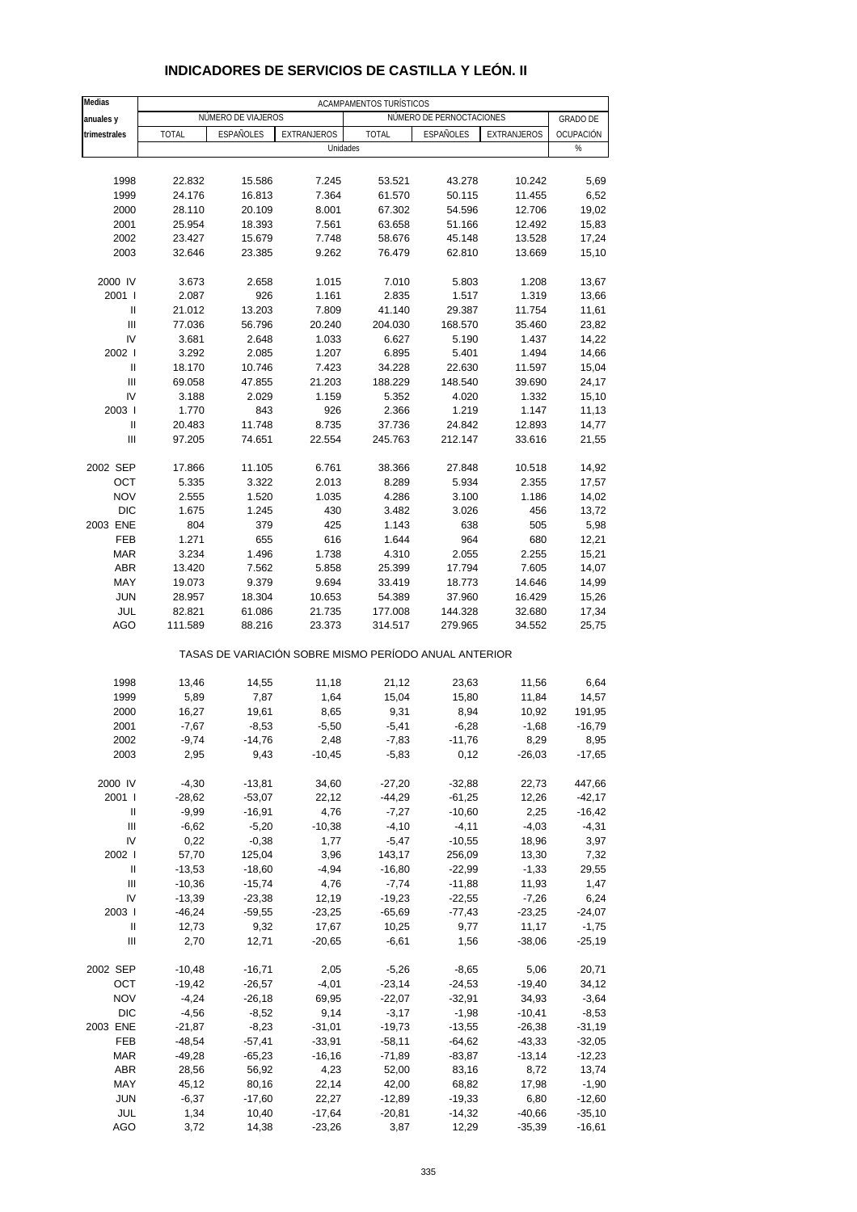| Medias                             | ACAMPAMENTOS TURÍSTICOS |                    |                                                       |                |                          |              |                 |  |  |  |
|------------------------------------|-------------------------|--------------------|-------------------------------------------------------|----------------|--------------------------|--------------|-----------------|--|--|--|
| anuales y                          |                         | NÚMERO DE VIAJEROS |                                                       |                | NÚMERO DE PERNOCTACIONES |              | <b>GRADO DE</b> |  |  |  |
| trimestrales                       | <b>TOTAL</b>            | <b>ESPAÑOLES</b>   | <b>EXTRANJEROS</b>                                    | <b>TOTAL</b>   | ESPAÑOLES                | EXTRANJEROS  | OCUPACIÓN       |  |  |  |
|                                    |                         |                    | Unidades                                              |                |                          |              | $\%$            |  |  |  |
|                                    |                         |                    |                                                       |                |                          |              |                 |  |  |  |
| 1998                               | 22.832                  | 15.586             | 7.245                                                 | 53.521         | 43.278                   | 10.242       | 5,69            |  |  |  |
| 1999                               | 24.176                  | 16.813             | 7.364                                                 | 61.570         | 50.115                   | 11.455       | 6,52            |  |  |  |
| 2000                               | 28.110                  | 20.109             | 8.001                                                 | 67.302         | 54.596                   | 12.706       | 19,02           |  |  |  |
| 2001                               | 25.954                  | 18.393             | 7.561                                                 | 63.658         | 51.166                   | 12.492       | 15,83           |  |  |  |
| 2002                               | 23.427                  | 15.679             | 7.748                                                 | 58.676         | 45.148                   | 13.528       | 17,24           |  |  |  |
| 2003                               | 32.646                  | 23.385             | 9.262                                                 | 76.479         | 62.810                   | 13.669       | 15,10           |  |  |  |
|                                    |                         |                    |                                                       |                |                          |              |                 |  |  |  |
| 2000 IV                            | 3.673                   | 2.658              | 1.015                                                 | 7.010          | 5.803                    | 1.208        | 13,67           |  |  |  |
| 2001 l                             | 2.087                   | 926                | 1.161                                                 | 2.835          | 1.517                    | 1.319        | 13,66           |  |  |  |
| Ш                                  | 21.012                  | 13.203             | 7.809                                                 | 41.140         | 29.387                   | 11.754       | 11,61           |  |  |  |
| $\mathbf{III}$                     | 77.036                  | 56.796             | 20.240                                                | 204.030        | 168.570                  | 35.460       | 23,82           |  |  |  |
| IV                                 | 3.681                   | 2.648              | 1.033                                                 | 6.627          | 5.190                    | 1.437        | 14,22           |  |  |  |
| 2002 l                             | 3.292                   | 2.085              | 1.207                                                 | 6.895          | 5.401                    | 1.494        | 14,66           |  |  |  |
| Ш                                  | 18.170                  | 10.746             | 7.423                                                 | 34.228         | 22.630                   | 11.597       | 15,04           |  |  |  |
| $\mathbf{III}$                     | 69.058                  | 47.855             | 21.203                                                | 188.229        | 148.540                  | 39.690       | 24,17           |  |  |  |
| IV                                 | 3.188                   | 2.029              | 1.159                                                 | 5.352          | 4.020                    | 1.332        | 15,10           |  |  |  |
| 2003                               | 1.770                   | 843                | 926                                                   | 2.366          | 1.219                    | 1.147        | 11,13           |  |  |  |
| Ш                                  | 20.483                  | 11.748             | 8.735                                                 | 37.736         | 24.842                   | 12.893       | 14,77           |  |  |  |
| $\mathbf{III}$                     | 97.205                  | 74.651             | 22.554                                                | 245.763        | 212.147                  | 33.616       | 21,55           |  |  |  |
|                                    |                         |                    |                                                       |                |                          |              |                 |  |  |  |
| 2002 SEP                           | 17.866                  | 11.105             | 6.761                                                 | 38.366         | 27.848                   | 10.518       | 14,92           |  |  |  |
| OCT                                | 5.335                   | 3.322              | 2.013                                                 | 8.289          | 5.934                    | 2.355        | 17,57           |  |  |  |
| <b>NOV</b>                         | 2.555                   | 1.520              | 1.035                                                 | 4.286          | 3.100                    | 1.186        | 14,02           |  |  |  |
| <b>DIC</b>                         | 1.675                   | 1.245              | 430                                                   | 3.482          | 3.026                    | 456          | 13,72           |  |  |  |
| 2003 ENE                           | 804                     | 379                | 425                                                   | 1.143          | 638<br>964               | 505          | 5,98            |  |  |  |
| <b>FEB</b><br><b>MAR</b>           | 1.271<br>3.234          | 655<br>1.496       | 616<br>1.738                                          | 1.644<br>4.310 | 2.055                    | 680<br>2.255 | 12,21<br>15,21  |  |  |  |
| <b>ABR</b>                         | 13.420                  | 7.562              | 5.858                                                 | 25.399         | 17.794                   | 7.605        | 14,07           |  |  |  |
| MAY                                | 19.073                  | 9.379              | 9.694                                                 | 33.419         | 18.773                   | 14.646       | 14,99           |  |  |  |
| <b>JUN</b>                         | 28.957                  | 18.304             | 10.653                                                | 54.389         | 37.960                   | 16.429       | 15,26           |  |  |  |
| JUL                                | 82.821                  | 61.086             | 21.735                                                | 177.008        | 144.328                  | 32.680       | 17,34           |  |  |  |
| AGO                                | 111.589                 | 88.216             | 23.373                                                | 314.517        | 279.965                  | 34.552       | 25,75           |  |  |  |
|                                    |                         |                    | TASAS DE VARIACIÓN SOBRE MISMO PERÍODO ANUAL ANTERIOR |                |                          |              |                 |  |  |  |
|                                    |                         |                    |                                                       |                |                          |              |                 |  |  |  |
| 1998                               | 13,46                   | 14,55              | 11,18                                                 | 21,12          | 23,63                    | 11,56        | 6,64            |  |  |  |
| 1999                               | 5,89                    | 7,87               | 1,64                                                  | 15,04          | 15,80                    | 11,84        | 14,57           |  |  |  |
| 2000                               | 16,27                   | 19,61              | 8,65                                                  | 9,31           | 8,94                     | 10,92        | 191,95          |  |  |  |
| 2001                               | $-7,67$                 | $-8,53$            | $-5,50$                                               | $-5,41$        | $-6,28$                  | $-1,68$      | $-16,79$        |  |  |  |
| 2002                               | $-9,74$                 | $-14,76$           | 2,48                                                  | -7,83          | -11,76                   | 8,29         | 8,95            |  |  |  |
| 2003                               | 2,95                    | 9,43               | $-10,45$                                              | $-5,83$        | 0,12                     | $-26,03$     | $-17,65$        |  |  |  |
| 2000 IV                            | $-4,30$                 | $-13,81$           | 34,60                                                 | $-27,20$       | $-32,88$                 | 22,73        | 447,66          |  |  |  |
| 2001 l                             | $-28,62$                | $-53,07$           | 22,12                                                 | $-44,29$       | $-61,25$                 | 12,26        | $-42,17$        |  |  |  |
| Ш                                  | $-9,99$                 | $-16,91$           | 4,76                                                  | $-7,27$        | $-10,60$                 | 2,25         | $-16,42$        |  |  |  |
| $\ensuremath{\mathsf{III}}\xspace$ | $-6,62$                 | $-5,20$            | $-10,38$                                              | $-4,10$        | $-4, 11$                 | $-4,03$      | $-4,31$         |  |  |  |
| IV                                 | 0,22                    | $-0,38$            | 1,77                                                  | $-5,47$        | $-10,55$                 | 18,96        | 3,97            |  |  |  |
| 2002 l                             | 57,70                   | 125,04             | 3,96                                                  | 143,17         | 256,09                   | 13,30        | 7,32            |  |  |  |
| Ш                                  | $-13,53$                | $-18,60$           | $-4,94$                                               | $-16,80$       | $-22,99$                 | $-1,33$      | 29,55           |  |  |  |
| $\mathbf{III}$                     | $-10,36$                | $-15,74$           | 4,76                                                  | $-7,74$        | $-11,88$                 | 11,93        | 1,47            |  |  |  |
| IV                                 | $-13,39$                | $-23,38$           | 12,19                                                 | $-19,23$       | $-22,55$                 | $-7,26$      | 6,24            |  |  |  |
| 2003                               | $-46,24$                | $-59,55$           | $-23,25$                                              | $-65,69$       | $-77,43$                 | $-23,25$     | $-24,07$        |  |  |  |
| Ш                                  | 12,73                   | 9,32               | 17,67                                                 | 10,25          | 9,77                     | 11,17        | $-1,75$         |  |  |  |
| $\ensuremath{\mathsf{III}}\xspace$ | 2,70                    | 12,71              | $-20,65$                                              | $-6,61$        | 1,56                     | $-38,06$     | $-25,19$        |  |  |  |
| 2002 SEP                           | $-10,48$                | $-16,71$           | 2,05                                                  | $-5,26$        | $-8,65$                  | 5,06         | 20,71           |  |  |  |
| OCT                                | $-19,42$                | $-26,57$           | $-4,01$                                               | $-23,14$       | $-24,53$                 | $-19,40$     | 34,12           |  |  |  |
| <b>NOV</b>                         | $-4,24$                 | $-26,18$           | 69,95                                                 | $-22,07$       | $-32,91$                 | 34,93        | $-3,64$         |  |  |  |
| <b>DIC</b>                         | $-4,56$                 | $-8,52$            | 9,14                                                  | $-3,17$        | $-1,98$                  | $-10,41$     | $-8,53$         |  |  |  |
| 2003 ENE                           | $-21,87$                | $-8,23$            | $-31,01$                                              | $-19,73$       | $-13,55$                 | $-26,38$     | $-31,19$        |  |  |  |
| FEB                                | $-48,54$                | $-57,41$           | $-33,91$                                              | $-58,11$       | $-64,62$                 | $-43,33$     | $-32,05$        |  |  |  |
| <b>MAR</b>                         | $-49,28$                | $-65,23$           | $-16, 16$                                             | $-71,89$       | $-83,87$                 | $-13,14$     | -12,23          |  |  |  |
| ABR                                | 28,56                   | 56,92              | 4,23                                                  | 52,00          | 83,16                    | 8,72         | 13,74           |  |  |  |
| MAY                                | 45,12                   | 80,16              | 22,14                                                 | 42,00          | 68,82                    | 17,98        | $-1,90$         |  |  |  |
| <b>JUN</b>                         | $-6,37$                 | $-17,60$           | 22,27                                                 | $-12,89$       | $-19,33$                 | 6,80         | $-12,60$        |  |  |  |
| JUL                                | 1,34                    | 10,40              | $-17,64$                                              | $-20,81$       | $-14,32$                 | $-40,66$     | $-35,10$        |  |  |  |
| AGO                                | 3,72                    | 14,38              | $-23,26$                                              | 3,87           | 12,29                    | $-35,39$     | $-16,61$        |  |  |  |

### **INDICADORES DE SERVICIOS DE CASTILLA Y LEÓN. II**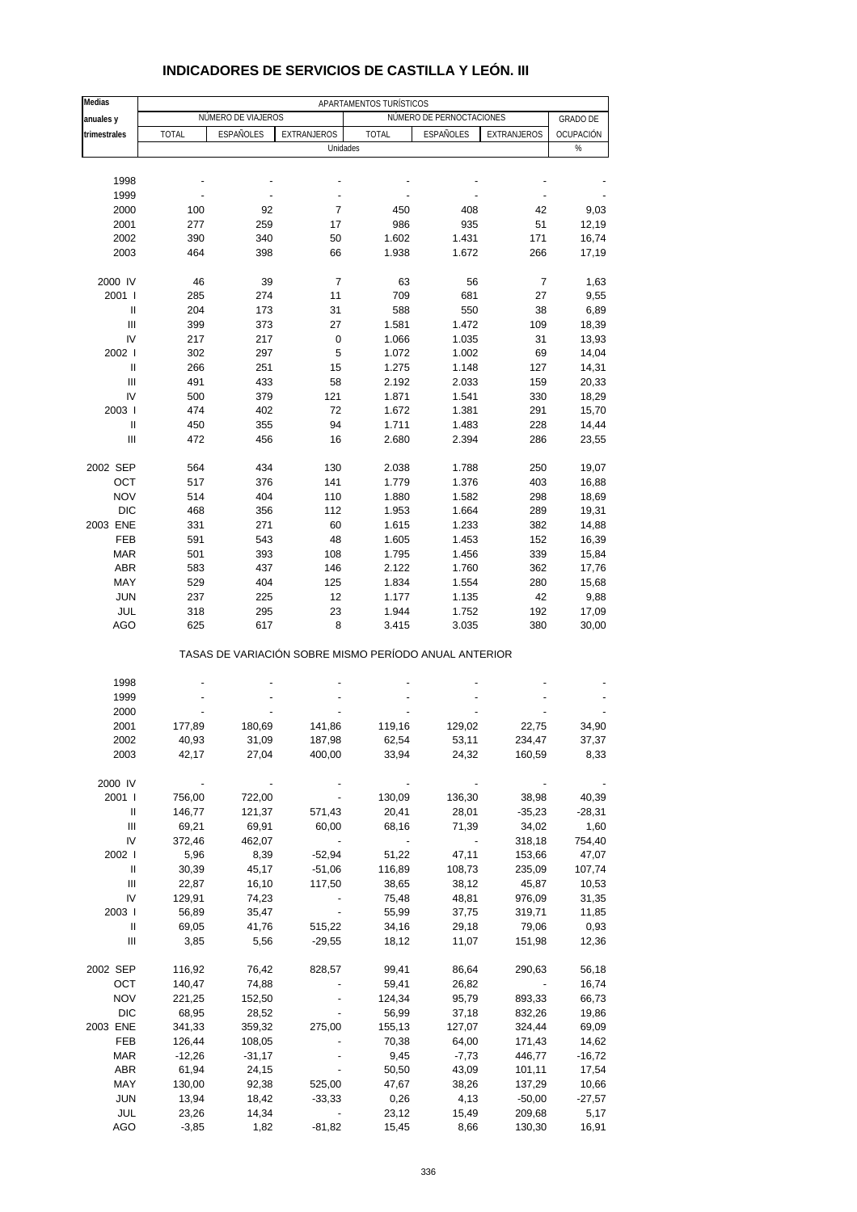| Medias                 | APARTAMENTOS TURÍSTICOS |                    |                                                       |                |                          |                          |                   |  |
|------------------------|-------------------------|--------------------|-------------------------------------------------------|----------------|--------------------------|--------------------------|-------------------|--|
| anuales y              |                         | NÚMERO DE VIAJEROS |                                                       |                | NÚMERO DE PERNOCTACIONES |                          | <b>GRADO DE</b>   |  |
| trimestrales           | <b>TOTAL</b>            | ESPAÑOLES          | <b>EXTRANJEROS</b>                                    | <b>TOTAL</b>   | ESPAÑOLES                | EXTRANJEROS              | OCUPACIÓN         |  |
|                        |                         |                    | Unidades                                              |                |                          |                          | %                 |  |
|                        |                         |                    |                                                       |                |                          |                          |                   |  |
| 1998                   |                         | $\overline{a}$     | ÷,                                                    |                |                          |                          |                   |  |
| 1999                   |                         |                    |                                                       |                |                          |                          |                   |  |
| 2000<br>2001           | 100<br>277              | 92<br>259          | $\overline{7}$<br>17                                  | 450<br>986     | 408                      | 42<br>51                 | 9,03<br>12,19     |  |
| 2002                   | 390                     | 340                | 50                                                    | 1.602          | 935<br>1.431             | 171                      | 16,74             |  |
| 2003                   | 464                     | 398                | 66                                                    | 1.938          | 1.672                    | 266                      | 17,19             |  |
|                        |                         |                    |                                                       |                |                          |                          |                   |  |
| 2000 IV                | 46                      | 39                 | 7                                                     | 63             | 56                       | $\overline{7}$           | 1,63              |  |
| 2001 l                 | 285                     | 274                | 11                                                    | 709            | 681                      | 27                       | 9,55              |  |
| $\mathsf{I}$           | 204                     | 173                | 31                                                    | 588            | 550                      | 38                       | 6,89              |  |
| Ш                      | 399                     | 373                | 27                                                    | 1.581          | 1.472                    | 109                      | 18,39             |  |
| IV                     | 217                     | 217                | 0                                                     | 1.066          | 1.035                    | 31                       | 13,93             |  |
| 2002 l                 | 302                     | 297                | 5                                                     | 1.072          | 1.002                    | 69                       | 14,04             |  |
| Ш                      | 266                     | 251                | 15                                                    | 1.275          | 1.148                    | 127                      | 14,31             |  |
| Ш                      | 491                     | 433                | 58                                                    | 2.192          | 2.033                    | 159                      | 20,33             |  |
| IV                     | 500                     | 379                | 121                                                   | 1.871          | 1.541                    | 330                      | 18,29             |  |
| 2003  <br>$\mathsf{I}$ | 474<br>450              | 402<br>355         | 72<br>94                                              | 1.672<br>1.711 | 1.381<br>1.483           | 291<br>228               | 15,70<br>14,44    |  |
| Ш                      | 472                     | 456                | 16                                                    | 2.680          | 2.394                    | 286                      | 23,55             |  |
|                        |                         |                    |                                                       |                |                          |                          |                   |  |
| 2002 SEP               | 564                     | 434                | 130                                                   | 2.038          | 1.788                    | 250                      | 19,07             |  |
| OCT                    | 517                     | 376                | 141                                                   | 1.779          | 1.376                    | 403                      | 16,88             |  |
| <b>NOV</b>             | 514                     | 404                | 110                                                   | 1.880          | 1.582                    | 298                      | 18,69             |  |
| <b>DIC</b>             | 468                     | 356                | 112                                                   | 1.953          | 1.664                    | 289                      | 19,31             |  |
| 2003 ENE               | 331                     | 271                | 60                                                    | 1.615          | 1.233                    | 382                      | 14,88             |  |
| <b>FEB</b>             | 591                     | 543                | 48                                                    | 1.605          | 1.453                    | 152                      | 16,39             |  |
| <b>MAR</b>             | 501                     | 393                | 108                                                   | 1.795          | 1.456                    | 339                      | 15,84             |  |
| <b>ABR</b>             | 583                     | 437                | 146                                                   | 2.122          | 1.760                    | 362                      | 17,76             |  |
| MAY                    | 529                     | 404                | 125                                                   | 1.834          | 1.554                    | 280                      | 15,68             |  |
| <b>JUN</b>             | 237                     | 225                | 12                                                    | 1.177          | 1.135                    | 42                       | 9,88              |  |
| JUL                    | 318                     | 295                | 23                                                    | 1.944          | 1.752                    | 192                      | 17,09             |  |
| AGO                    | 625                     | 617                | 8                                                     | 3.415          | 3.035                    | 380                      | 30,00             |  |
|                        |                         |                    | TASAS DE VARIACIÓN SOBRE MISMO PERÍODO ANUAL ANTERIOR |                |                          |                          |                   |  |
|                        |                         |                    |                                                       |                |                          |                          |                   |  |
| 1998<br>1999           |                         |                    |                                                       |                |                          |                          |                   |  |
| 2000                   |                         |                    |                                                       |                |                          |                          |                   |  |
| 2001                   | 177,89                  | 180,69             | 141,86                                                | 119,16         | 129,02                   | 22,75                    | 34,90             |  |
| 2002                   | 40,93                   | 31,09              | 187,98                                                | 62,54          | 53,11                    | 234,47                   | 37,37             |  |
| 2003                   | 42,17                   | 27,04              | 400,00                                                | 33,94          | 24,32                    | 160,59                   | 8,33              |  |
|                        |                         |                    |                                                       |                |                          |                          |                   |  |
| 2000 IV                |                         |                    |                                                       |                |                          |                          |                   |  |
| 2001 l                 | 756,00                  | 722,00             |                                                       | 130,09         | 136,30                   | 38,98                    | 40,39             |  |
| Ш                      | 146,77                  | 121,37             | 571,43                                                | 20,41          | 28,01                    | $-35,23$                 | $-28,31$          |  |
| Ш                      | 69,21                   | 69,91              | 60,00                                                 | 68,16          | 71,39                    | 34,02                    | 1,60              |  |
| IV                     | 372,46                  | 462,07             |                                                       |                |                          | 318,18                   | 754,40            |  |
| 2002                   | 5,96                    | 8,39               | $-52,94$                                              | 51,22          | 47,11                    | 153,66                   | 47,07             |  |
| Ш                      | 30,39                   | 45,17              | $-51,06$                                              | 116,89         | 108,73                   | 235,09                   | 107,74            |  |
| Ш                      | 22,87                   | 16,10              | 117,50                                                | 38,65          | 38,12                    | 45,87                    | 10,53             |  |
| IV<br>2003             | 129,91                  | 74,23<br>35,47     |                                                       | 75,48          | 48,81                    | 976,09                   | 31,35             |  |
| Ш                      | 56,89<br>69,05          | 41,76              | 515,22                                                | 55,99<br>34,16 | 37,75<br>29,18           | 319,71<br>79,06          | 11,85<br>0,93     |  |
| Ш                      | 3,85                    | 5,56               | $-29,55$                                              | 18,12          | 11,07                    | 151,98                   | 12,36             |  |
|                        |                         |                    |                                                       |                |                          |                          |                   |  |
| 2002 SEP               | 116,92                  | 76,42              | 828,57                                                | 99,41          | 86,64                    | 290,63                   | 56,18             |  |
| OCT                    | 140,47                  | 74,88              |                                                       | 59,41          | 26,82                    | $\overline{\phantom{a}}$ | 16,74             |  |
| <b>NOV</b>             | 221,25                  | 152,50             |                                                       | 124,34         | 95,79                    | 893,33                   | 66,73             |  |
| <b>DIC</b>             | 68,95                   | 28,52              |                                                       | 56,99          | 37,18                    | 832,26                   | 19,86             |  |
| 2003 ENE               | 341,33                  | 359,32             | 275,00                                                | 155,13         | 127,07                   | 324,44                   | 69,09             |  |
| FEB                    | 126,44                  | 108,05             |                                                       | 70,38          | 64,00                    | 171,43                   | 14,62             |  |
| MAR                    | $-12,26$                | $-31,17$           |                                                       | 9,45           | $-7,73$                  | 446,77                   | $-16,72$          |  |
| ABR                    | 61,94                   | 24,15              |                                                       | 50,50          | 43,09                    | 101,11                   | 17,54             |  |
| MAY<br><b>JUN</b>      | 130,00<br>13,94         | 92,38<br>18,42     | 525,00<br>$-33,33$                                    | 47,67<br>0,26  | 38,26<br>4,13            | 137,29<br>$-50,00$       | 10,66<br>$-27,57$ |  |
| JUL                    | 23,26                   | 14,34              |                                                       | 23,12          | 15,49                    | 209,68                   | 5,17              |  |
| AGO                    | $-3,85$                 | 1,82               | $-81,82$                                              | 15,45          | 8,66                     | 130,30                   | 16,91             |  |

#### **INDICADORES DE SERVICIOS DE CASTILLA Y LEÓN. III**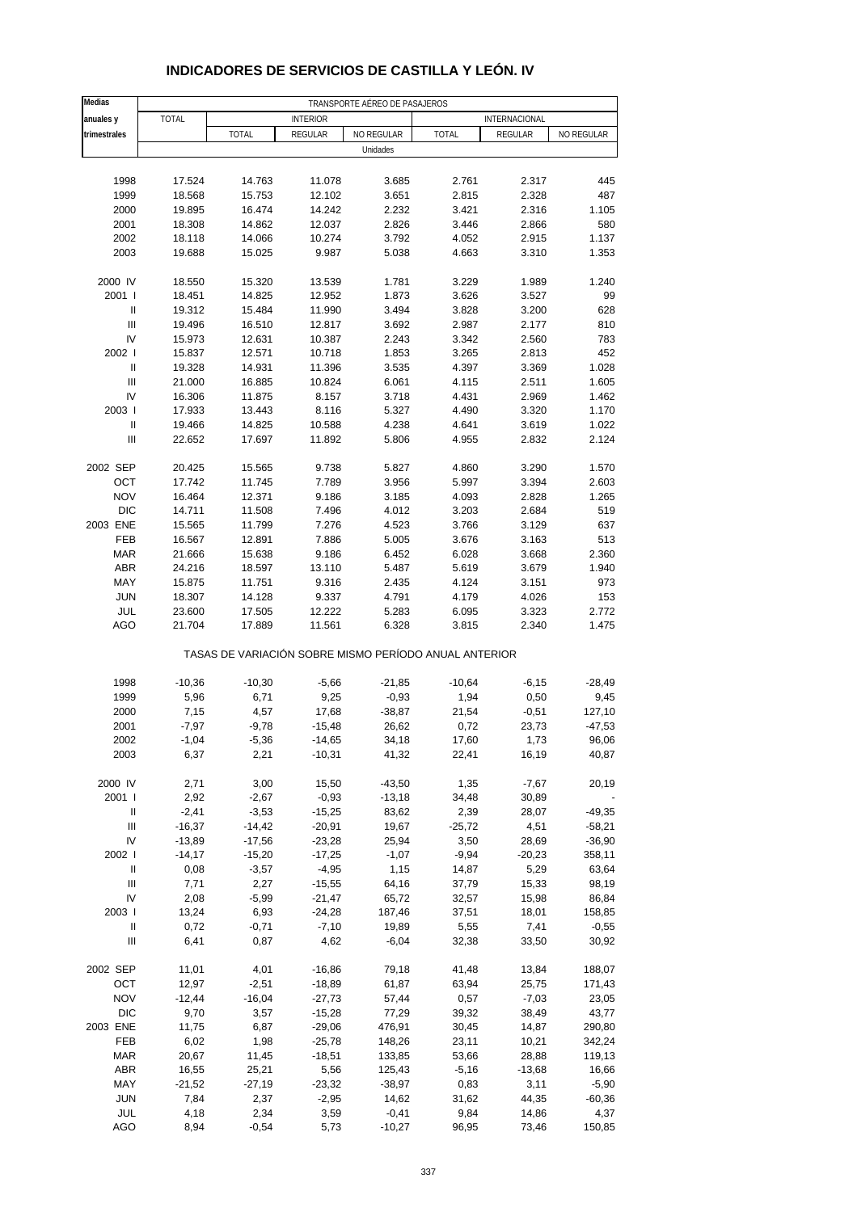| Medias                     | TRANSPORTE AÉREO DE PASAJEROS |                                                       |                 |                |                                       |                |              |  |  |
|----------------------------|-------------------------------|-------------------------------------------------------|-----------------|----------------|---------------------------------------|----------------|--------------|--|--|
| anuales y                  | <b>TOTAL</b>                  |                                                       | <b>INTERIOR</b> |                | INTERNACIONAL                         |                |              |  |  |
| trimestrales               |                               | <b>TOTAL</b><br><b>REGULAR</b><br>NO REGULAR          |                 |                | <b>TOTAL</b><br>REGULAR<br>NO REGULAR |                |              |  |  |
|                            |                               |                                                       |                 | Unidades       |                                       |                |              |  |  |
|                            |                               |                                                       |                 |                |                                       |                |              |  |  |
| 1998                       | 17.524                        | 14.763                                                | 11.078          | 3.685          | 2.761                                 | 2.317          | 445          |  |  |
| 1999                       | 18.568                        | 15.753                                                | 12.102          | 3.651          | 2.815                                 | 2.328          | 487          |  |  |
| 2000                       | 19.895                        | 16.474                                                | 14.242          | 2.232          | 3.421                                 | 2.316          | 1.105        |  |  |
| 2001                       | 18.308                        | 14.862                                                | 12.037          | 2.826          | 3.446                                 | 2.866          | 580          |  |  |
| 2002                       | 18.118                        | 14.066                                                | 10.274          | 3.792          | 4.052                                 | 2.915          | 1.137        |  |  |
| 2003                       | 19.688                        | 15.025                                                | 9.987           | 5.038          | 4.663                                 | 3.310          | 1.353        |  |  |
| 2000 IV                    | 18.550                        | 15.320                                                | 13.539          | 1.781          | 3.229                                 | 1.989          | 1.240        |  |  |
| 2001 l                     | 18.451                        | 14.825                                                | 12.952          | 1.873          | 3.626                                 | 3.527          | 99           |  |  |
| $\mathsf{I}$               | 19.312                        | 15.484                                                | 11.990          | 3.494          | 3.828                                 | 3.200          | 628          |  |  |
| $\mathbf{III}$             | 19.496                        | 16.510                                                | 12.817          | 3.692          | 2.987                                 | 2.177          | 810          |  |  |
| IV                         | 15.973                        | 12.631                                                | 10.387          | 2.243          | 3.342                                 | 2.560          | 783          |  |  |
| 2002                       | 15.837                        | 12.571                                                | 10.718          | 1.853          | 3.265                                 | 2.813          | 452          |  |  |
| $\ensuremath{\mathsf{II}}$ | 19.328                        | 14.931                                                | 11.396          | 3.535          | 4.397                                 | 3.369          | 1.028        |  |  |
| $\mathbf{III}$             | 21.000                        | 16.885                                                | 10.824          | 6.061          | 4.115                                 | 2.511          | 1.605        |  |  |
| IV                         | 16.306                        | 11.875                                                | 8.157           | 3.718          | 4.431                                 | 2.969          | 1.462        |  |  |
| 2003                       | 17.933                        | 13.443                                                | 8.116           | 5.327          | 4.490                                 | 3.320          | 1.170        |  |  |
| $\mathsf{I}$               | 19.466                        | 14.825                                                | 10.588          | 4.238          | 4.641                                 | 3.619          | 1.022        |  |  |
| III                        | 22.652                        | 17.697                                                | 11.892          | 5.806          | 4.955                                 | 2.832          | 2.124        |  |  |
|                            |                               |                                                       |                 |                |                                       |                |              |  |  |
| 2002 SEP                   | 20.425                        | 15.565                                                | 9.738           | 5.827          | 4.860                                 | 3.290          | 1.570        |  |  |
| OCT<br><b>NOV</b>          | 17.742                        | 11.745                                                | 7.789           | 3.956          | 5.997                                 | 3.394          | 2.603        |  |  |
| <b>DIC</b>                 | 16.464                        | 12.371                                                | 9.186           | 3.185          | 4.093                                 | 2.828          | 1.265        |  |  |
| 2003 ENE                   | 14.711                        | 11.508<br>11.799                                      | 7.496<br>7.276  | 4.012<br>4.523 | 3.203<br>3.766                        | 2.684<br>3.129 | 519<br>637   |  |  |
|                            | 15.565                        |                                                       |                 |                |                                       |                |              |  |  |
| FEB<br><b>MAR</b>          | 16.567                        | 12.891                                                | 7.886           | 5.005          | 3.676<br>6.028                        | 3.163          | 513<br>2.360 |  |  |
|                            | 21.666                        | 15.638                                                | 9.186           | 6.452          |                                       | 3.668          |              |  |  |
| <b>ABR</b>                 | 24.216                        | 18.597                                                | 13.110          | 5.487          | 5.619                                 | 3.679          | 1.940        |  |  |
| <b>MAY</b><br><b>JUN</b>   | 15.875<br>18.307              | 11.751                                                | 9.316<br>9.337  | 2.435<br>4.791 | 4.124                                 | 3.151<br>4.026 | 973<br>153   |  |  |
| JUL                        | 23.600                        | 14.128<br>17.505                                      | 12.222          | 5.283          | 4.179<br>6.095                        | 3.323          | 2.772        |  |  |
| AGO                        | 21.704                        | 17.889                                                | 11.561          | 6.328          | 3.815                                 | 2.340          | 1.475        |  |  |
|                            |                               | TASAS DE VARIACIÓN SOBRE MISMO PERÍODO ANUAL ANTERIOR |                 |                |                                       |                |              |  |  |
|                            |                               |                                                       |                 |                |                                       |                |              |  |  |
| 1998                       | $-10,36$                      | $-10,30$                                              | $-5,66$         | $-21,85$       | $-10,64$                              | $-6,15$        | $-28,49$     |  |  |
| 1999                       | 5,96                          | 6,71                                                  | 9,25            | $-0,93$        | 1,94                                  | 0,50           | 9,45         |  |  |
| 2000                       | 7,15                          | 4,57                                                  | 17,68           | $-38,87$       | 21,54                                 | $-0,51$        | 127,10       |  |  |
| 2001                       | $-7,97$                       | $-9,78$                                               | $-15,48$        | 26,62          | 0,72                                  | 23,73          | $-47,53$     |  |  |
| 2002                       | $-1,04$                       | $-5,36$                                               | $-14,65$        | 34,18          | 17,60                                 | 1,73           | 96,06        |  |  |
| 2003                       | 6,37                          | 2,21                                                  | $-10,31$        | 41,32          | 22,41                                 | 16,19          | 40,87        |  |  |
| 2000 IV                    | 2,71                          | 3,00                                                  | 15,50           | $-43,50$       | 1,35                                  | $-7,67$        | 20,19        |  |  |
| 2001 l                     | 2,92                          | $-2,67$                                               | $-0,93$         | $-13,18$       | 34,48                                 | 30,89          |              |  |  |
| $\ensuremath{\mathsf{II}}$ | $-2,41$                       | $-3,53$                                               | $-15,25$        | 83,62          | 2,39                                  | 28,07          | $-49,35$     |  |  |
| III                        | $-16,37$                      | $-14,42$                                              | $-20,91$        | 19,67          | $-25,72$                              | 4,51           | $-58,21$     |  |  |
| IV                         | $-13,89$                      | $-17,56$                                              | $-23,28$        | 25,94          | 3,50                                  | 28,69          | $-36,90$     |  |  |
| 2002                       | $-14,17$                      | $-15,20$                                              | $-17,25$        | $-1,07$        | $-9,94$                               | $-20,23$       | 358,11       |  |  |
| Ш                          | 0,08                          | $-3,57$                                               | $-4,95$         | 1,15           | 14,87                                 | 5,29           | 63,64        |  |  |
| Ш                          | 7,71                          | 2,27                                                  | $-15,55$        | 64,16          | 37,79                                 | 15,33          | 98,19        |  |  |
| IV                         | 2,08                          | $-5,99$                                               | $-21,47$        | 65,72          | 32,57                                 | 15,98          | 86,84        |  |  |
| 2003                       | 13,24                         | 6,93                                                  | $-24,28$        | 187,46         | 37,51                                 | 18,01          | 158,85       |  |  |
| $\ensuremath{\mathsf{II}}$ | 0,72                          | $-0,71$                                               | $-7,10$         | 19,89          | 5,55                                  | 7,41           | $-0,55$      |  |  |
| $\mathbf{III}$             | 6,41                          | 0,87                                                  | 4,62            | $-6,04$        | 32,38                                 | 33,50          | 30,92        |  |  |
|                            |                               |                                                       |                 |                |                                       |                |              |  |  |
| 2002 SEP                   | 11,01                         | 4,01                                                  | $-16,86$        | 79,18          | 41,48                                 | 13,84          | 188,07       |  |  |
| OCT                        | 12,97                         | $-2,51$                                               | $-18,89$        | 61,87          | 63,94                                 | 25,75          | 171,43       |  |  |
| <b>NOV</b>                 | $-12,44$                      | $-16,04$                                              | $-27,73$        | 57,44          | 0,57                                  | $-7,03$        | 23,05        |  |  |
| <b>DIC</b>                 | 9,70                          | 3,57                                                  | $-15,28$        | 77,29          | 39,32                                 | 38,49          | 43,77        |  |  |
| 2003 ENE                   | 11,75                         | 6,87                                                  | $-29,06$        | 476,91         | 30,45                                 | 14,87          | 290,80       |  |  |
| FEB                        | 6,02                          | 1,98                                                  | $-25,78$        | 148,26         | 23,11                                 | 10,21          | 342,24       |  |  |
| <b>MAR</b>                 | 20,67                         | 11,45                                                 | $-18,51$        | 133,85         | 53,66                                 | 28,88          | 119,13       |  |  |
| <b>ABR</b>                 | 16,55                         | 25,21                                                 | 5,56            | 125,43         | $-5,16$                               | $-13,68$       | 16,66        |  |  |
| MAY                        | $-21,52$                      | $-27,19$                                              | $-23,32$        | $-38,97$       | 0,83                                  | 3,11           | $-5,90$      |  |  |
| <b>JUN</b>                 | 7,84                          | 2,37                                                  | $-2,95$         | 14,62          | 31,62                                 | 44,35          | $-60,36$     |  |  |
| JUL                        | 4,18                          | 2,34                                                  | 3,59            | $-0,41$        | 9,84                                  | 14,86          | 4,37         |  |  |
| <b>AGO</b>                 | 8,94                          | $-0,54$                                               | 5,73            | $-10,27$       | 96,95                                 | 73,46          | 150,85       |  |  |

### **INDICADORES DE SERVICIOS DE CASTILLA Y LEÓN. IV**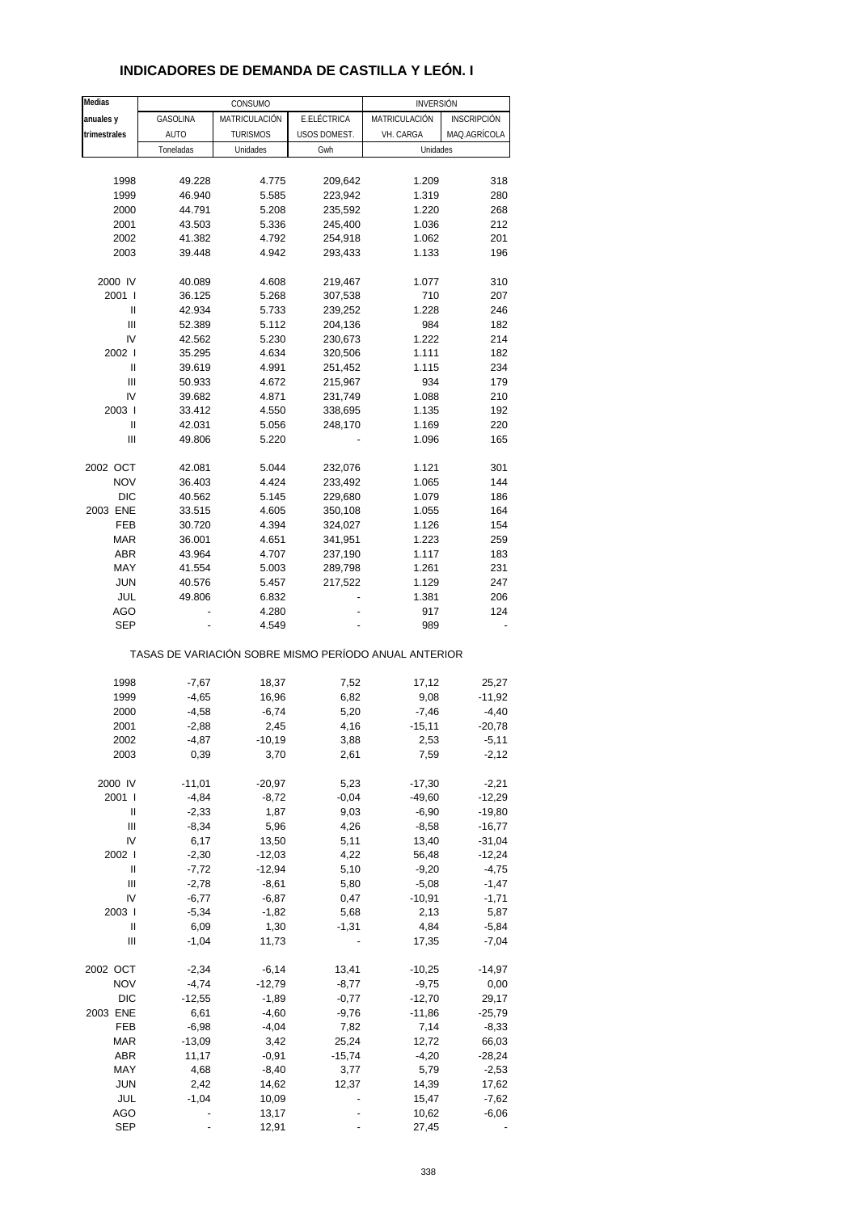| Medias                                                                                                                                                                                                                                                                                                                                                                                                                                                                                                                                   |               | CONSUMO         |              | <b>INVERSIÓN</b>                                      |                    |
|------------------------------------------------------------------------------------------------------------------------------------------------------------------------------------------------------------------------------------------------------------------------------------------------------------------------------------------------------------------------------------------------------------------------------------------------------------------------------------------------------------------------------------------|---------------|-----------------|--------------|-------------------------------------------------------|--------------------|
| anuales y                                                                                                                                                                                                                                                                                                                                                                                                                                                                                                                                | GASOLINA      | MATRICULACIÓN   | E.ELÉCTRICA  | MATRICULACIÓN                                         | <b>INSCRIPCIÓN</b> |
| trimestrales                                                                                                                                                                                                                                                                                                                                                                                                                                                                                                                             | AUTO          | <b>TURISMOS</b> | USOS DOMEST. | VH. CARGA                                             | MAQ.AGRÍCOLA       |
|                                                                                                                                                                                                                                                                                                                                                                                                                                                                                                                                          | Toneladas     | Unidades        | Gwh          | Unidades                                              |                    |
|                                                                                                                                                                                                                                                                                                                                                                                                                                                                                                                                          |               |                 |              |                                                       |                    |
| 1998                                                                                                                                                                                                                                                                                                                                                                                                                                                                                                                                     | 49.228        | 4.775           | 209,642      | 1.209                                                 | 318                |
| 1999                                                                                                                                                                                                                                                                                                                                                                                                                                                                                                                                     | 46.940        | 5.585           | 223,942      | 1.319                                                 | 280                |
| 2000                                                                                                                                                                                                                                                                                                                                                                                                                                                                                                                                     | 44.791        | 5.208           | 235,592      | 1.220                                                 | 268                |
| 2001                                                                                                                                                                                                                                                                                                                                                                                                                                                                                                                                     | 43.503        | 5.336           | 245,400      | 1.036                                                 | 212                |
| 2002                                                                                                                                                                                                                                                                                                                                                                                                                                                                                                                                     | 41.382        | 4.792           | 254,918      | 1.062                                                 | 201                |
| 2003                                                                                                                                                                                                                                                                                                                                                                                                                                                                                                                                     | 39.448        | 4.942           | 293,433      | 1.133                                                 | 196                |
|                                                                                                                                                                                                                                                                                                                                                                                                                                                                                                                                          |               |                 |              |                                                       |                    |
| 2000 IV                                                                                                                                                                                                                                                                                                                                                                                                                                                                                                                                  | 40.089        | 4.608           | 219,467      | 1.077                                                 | 310                |
| 2001 l                                                                                                                                                                                                                                                                                                                                                                                                                                                                                                                                   | 36.125        | 5.268           | 307,538      | 710                                                   | 207                |
| Ш                                                                                                                                                                                                                                                                                                                                                                                                                                                                                                                                        | 42.934        | 5.733           | 239,252      | 1.228                                                 | 246                |
| Ш                                                                                                                                                                                                                                                                                                                                                                                                                                                                                                                                        | 52.389        | 5.112           | 204,136      | 984                                                   | 182                |
| IV                                                                                                                                                                                                                                                                                                                                                                                                                                                                                                                                       | 42.562        | 5.230           | 230,673      | 1.222                                                 | 214                |
| 2002 l                                                                                                                                                                                                                                                                                                                                                                                                                                                                                                                                   | 35.295        | 4.634           | 320,506      | 1.111                                                 | 182                |
| Ш                                                                                                                                                                                                                                                                                                                                                                                                                                                                                                                                        | 39.619        | 4.991           | 251,452      | 1.115                                                 | 234                |
| Ш                                                                                                                                                                                                                                                                                                                                                                                                                                                                                                                                        | 50.933        | 4.672           | 215,967      | 934                                                   | 179                |
| IV                                                                                                                                                                                                                                                                                                                                                                                                                                                                                                                                       | 39.682        | 4.871           | 231,749      | 1.088                                                 | 210                |
| 2003                                                                                                                                                                                                                                                                                                                                                                                                                                                                                                                                     | 33.412        | 4.550           | 338,695      | 1.135                                                 | 192                |
| Ш                                                                                                                                                                                                                                                                                                                                                                                                                                                                                                                                        | 42.031        | 5.056           | 248,170      | 1.169                                                 | 220                |
| Ш                                                                                                                                                                                                                                                                                                                                                                                                                                                                                                                                        | 49.806        | 5.220           |              | 1.096                                                 | 165                |
|                                                                                                                                                                                                                                                                                                                                                                                                                                                                                                                                          |               |                 |              |                                                       |                    |
| 2002 OCT                                                                                                                                                                                                                                                                                                                                                                                                                                                                                                                                 | 42.081        | 5.044           | 232,076      | 1.121                                                 | 301                |
| <b>NOV</b>                                                                                                                                                                                                                                                                                                                                                                                                                                                                                                                               | 36.403        | 4.424           | 233,492      | 1.065                                                 | 144                |
| <b>DIC</b>                                                                                                                                                                                                                                                                                                                                                                                                                                                                                                                               | 40.562        | 5.145           | 229,680      | 1.079                                                 | 186                |
| 2003 ENE                                                                                                                                                                                                                                                                                                                                                                                                                                                                                                                                 | 33.515        | 4.605           | 350,108      | 1.055                                                 | 164                |
| FEB                                                                                                                                                                                                                                                                                                                                                                                                                                                                                                                                      | 30.720        | 4.394           | 324,027      | 1.126                                                 | 154                |
| MAR                                                                                                                                                                                                                                                                                                                                                                                                                                                                                                                                      | 36.001        | 4.651           | 341,951      | 1.223                                                 | 259                |
| <b>ABR</b>                                                                                                                                                                                                                                                                                                                                                                                                                                                                                                                               | 43.964        | 4.707           | 237,190      | 1.117                                                 | 183                |
| MAY                                                                                                                                                                                                                                                                                                                                                                                                                                                                                                                                      | 41.554        | 5.003           | 289,798      | 1.261                                                 | 231                |
| <b>JUN</b>                                                                                                                                                                                                                                                                                                                                                                                                                                                                                                                               | 40.576        | 5.457           | 217,522      | 1.129                                                 | 247                |
| JUL                                                                                                                                                                                                                                                                                                                                                                                                                                                                                                                                      | 49.806        | 6.832           |              | 1.381                                                 | 206                |
| AGO                                                                                                                                                                                                                                                                                                                                                                                                                                                                                                                                      |               | 4.280           |              | 917                                                   | 124                |
| <b>SEP</b>                                                                                                                                                                                                                                                                                                                                                                                                                                                                                                                               |               | 4.549           |              | 989                                                   |                    |
|                                                                                                                                                                                                                                                                                                                                                                                                                                                                                                                                          |               |                 |              | TASAS DE VARIACIÓN SOBRE MISMO PERÍODO ANUAL ANTERIOR |                    |
| 1998                                                                                                                                                                                                                                                                                                                                                                                                                                                                                                                                     | $-7,67$       | 18,37           | 7,52         | 17,12                                                 | 25,27              |
| 1999                                                                                                                                                                                                                                                                                                                                                                                                                                                                                                                                     | $-4,65$       | 16,96           | 6,82         | 9,08                                                  | $-11,92$           |
| 2000                                                                                                                                                                                                                                                                                                                                                                                                                                                                                                                                     | $-4,58$       | $-6,74$         | 5,20         | $-7,46$                                               | $-4,40$            |
| 2001                                                                                                                                                                                                                                                                                                                                                                                                                                                                                                                                     | $-2,88$       | 2,45            | 4,16         | $-15,11$                                              | $-20,78$           |
|                                                                                                                                                                                                                                                                                                                                                                                                                                                                                                                                          |               | $-10,19$        |              |                                                       |                    |
| 2002<br>2003                                                                                                                                                                                                                                                                                                                                                                                                                                                                                                                             | -4,87<br>0,39 | 3,70            | 3,88<br>2,61 | 2,53<br>7,59                                          | -5,11<br>$-2,12$   |
|                                                                                                                                                                                                                                                                                                                                                                                                                                                                                                                                          |               |                 |              |                                                       |                    |
| 2000 IV                                                                                                                                                                                                                                                                                                                                                                                                                                                                                                                                  | $-11,01$      | $-20,97$        | 5,23         | $-17,30$                                              | $-2,21$            |
| 2001 l                                                                                                                                                                                                                                                                                                                                                                                                                                                                                                                                   | $-4,84$       | $-8,72$         | $-0,04$      | $-49,60$                                              | $-12,29$           |
| Ш                                                                                                                                                                                                                                                                                                                                                                                                                                                                                                                                        | $-2,33$       | 1,87            | 9,03         | $-6,90$                                               | $-19,80$           |
| Ш                                                                                                                                                                                                                                                                                                                                                                                                                                                                                                                                        | $-8,34$       | 5,96            | 4,26         | $-8,58$                                               | $-16,77$           |
| IV                                                                                                                                                                                                                                                                                                                                                                                                                                                                                                                                       | 6,17          | 13,50           | 5,11         | 13,40                                                 | $-31,04$           |
| 2002                                                                                                                                                                                                                                                                                                                                                                                                                                                                                                                                     | $-2,30$       | $-12,03$        | 4,22         | 56,48                                                 | $-12,24$           |
| $\sf II$                                                                                                                                                                                                                                                                                                                                                                                                                                                                                                                                 | $-7,72$       | $-12,94$        | 5,10         | $-9,20$                                               | $-4,75$            |
| $\ensuremath{\mathsf{III}}\xspace$                                                                                                                                                                                                                                                                                                                                                                                                                                                                                                       | $-2,78$       | $-8,61$         | 5,80         | $-5,08$                                               | $-1,47$            |
| IV                                                                                                                                                                                                                                                                                                                                                                                                                                                                                                                                       | $-6,77$       | $-6,87$         | 0,47         | $-10,91$                                              | $-1,71$            |
| 2003                                                                                                                                                                                                                                                                                                                                                                                                                                                                                                                                     | $-5,34$       | $-1,82$         | 5,68         | 2,13                                                  | 5,87               |
| $\mathop{\mathrm{II}}% \nolimits_{\mathop{\mathrm{II}}% \nolimits} \mathop{\mathrm{II}}% \nolimits_{\mathop{\mathrm{II}}% \nolimits} \mathop{\mathrm{II}}% \nolimits_{\mathop{\mathrm{II}}% \nolimits} \mathop{\mathrm{II}}% \nolimits_{\mathop{\mathrm{II}}% \nolimits} \mathop{\mathrm{II}}% \nolimits_{\mathop{\mathrm{II}}% \nolimits} \mathop{\mathrm{II}}% \nolimits_{\mathop{\mathrm{II}}% \nolimits} \mathop{\mathrm{II}}% \nolimits_{\mathop{\mathrm{II}}% \nolimits} \mathop{\mathrm{II}}% \nolimits_{\mathop{\mathrm{II}}% \$ | 6,09          | 1,30            | $-1,31$      | 4,84                                                  | $-5,84$            |
| Ш                                                                                                                                                                                                                                                                                                                                                                                                                                                                                                                                        | $-1,04$       | 11,73           |              | 17,35                                                 | $-7,04$            |
|                                                                                                                                                                                                                                                                                                                                                                                                                                                                                                                                          |               |                 |              |                                                       |                    |
| 2002 OCT                                                                                                                                                                                                                                                                                                                                                                                                                                                                                                                                 | $-2,34$       | $-6,14$         | 13,41        | $-10,25$                                              | $-14,97$           |
| <b>NOV</b>                                                                                                                                                                                                                                                                                                                                                                                                                                                                                                                               | $-4,74$       | $-12,79$        | $-8,77$      | $-9,75$                                               | 0,00               |
| DIC                                                                                                                                                                                                                                                                                                                                                                                                                                                                                                                                      | $-12,55$      | $-1,89$         | $-0,77$      | $-12,70$                                              | 29,17              |
| 2003 ENE                                                                                                                                                                                                                                                                                                                                                                                                                                                                                                                                 | 6,61          | $-4,60$         | $-9,76$      | $-11,86$                                              | $-25,79$           |
| FEB                                                                                                                                                                                                                                                                                                                                                                                                                                                                                                                                      | $-6,98$       | $-4,04$         | 7,82         | 7,14                                                  | $-8,33$            |
| <b>MAR</b>                                                                                                                                                                                                                                                                                                                                                                                                                                                                                                                               | $-13,09$      | 3,42            | 25,24        | 12,72                                                 | 66,03              |
| <b>ABR</b>                                                                                                                                                                                                                                                                                                                                                                                                                                                                                                                               | 11,17         | $-0,91$         | $-15,74$     | $-4,20$                                               | $-28,24$           |
| MAY                                                                                                                                                                                                                                                                                                                                                                                                                                                                                                                                      | 4,68          | $-8,40$         | 3,77         | 5,79                                                  | $-2,53$            |
| <b>JUN</b>                                                                                                                                                                                                                                                                                                                                                                                                                                                                                                                               | 2,42          | 14,62           | 12,37        | 14,39                                                 | 17,62              |
| JUL                                                                                                                                                                                                                                                                                                                                                                                                                                                                                                                                      | $-1,04$       | 10,09           |              | 15,47                                                 | $-7,62$            |
| <b>AGO</b>                                                                                                                                                                                                                                                                                                                                                                                                                                                                                                                               |               | 13,17           |              | 10,62                                                 | $-6,06$            |
| <b>SEP</b>                                                                                                                                                                                                                                                                                                                                                                                                                                                                                                                               |               | 12,91           |              | 27,45                                                 |                    |

### **INDICADORES DE DEMANDA DE CASTILLA Y LEÓN. I**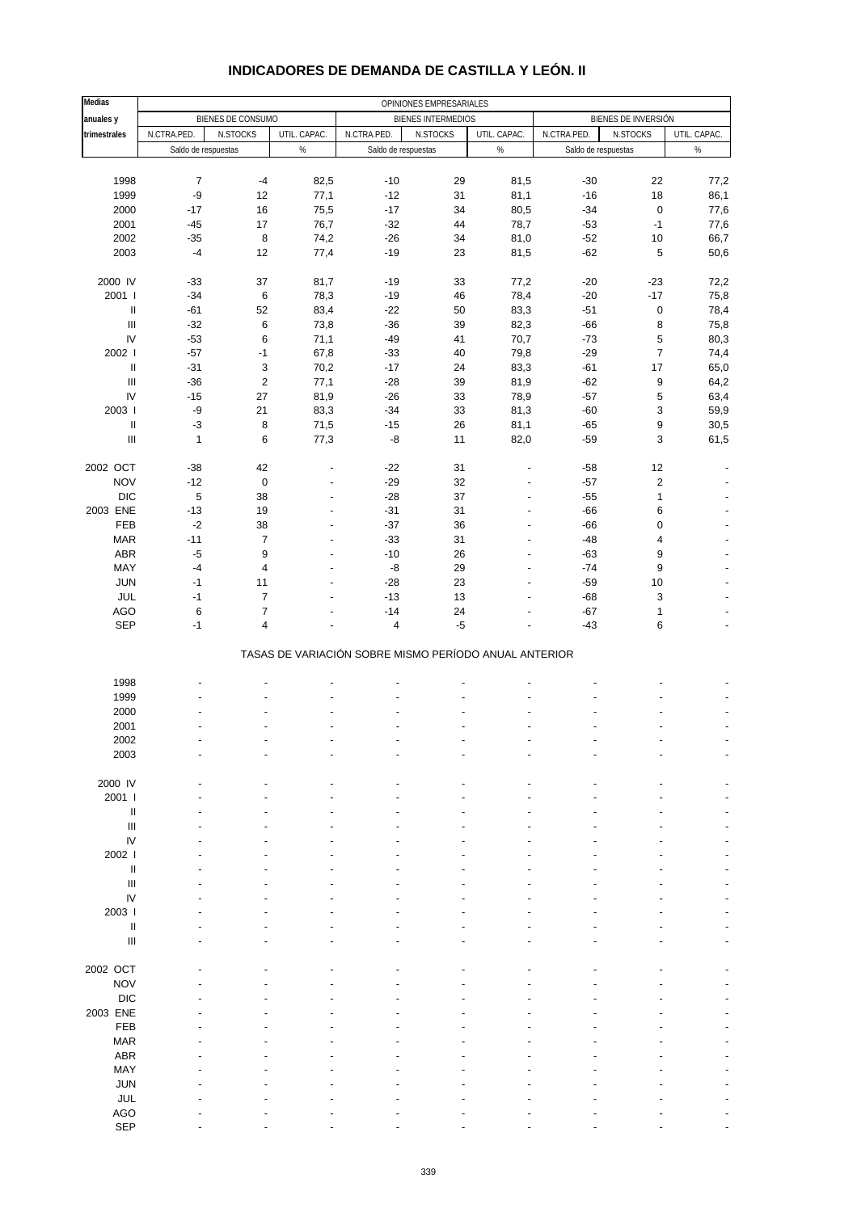| <b>Medias</b>                             | OPINIONES EMPRESARIALES |                   |                                |                                                       |                    |                          |                     |                           |                          |
|-------------------------------------------|-------------------------|-------------------|--------------------------------|-------------------------------------------------------|--------------------|--------------------------|---------------------|---------------------------|--------------------------|
| anuales y                                 |                         | BIENES DE CONSUMO |                                |                                                       | BIENES INTERMEDIOS |                          |                     | BIENES DE INVERSIÓN       |                          |
| trimestrales                              | N.CTRA.PED.             | N.STOCKS          | UTIL. CAPAC.                   | N.CTRA.PED.                                           | N.STOCKS           | UTIL. CAPAC.             | N.CTRA.PED.         | N.STOCKS                  | UTIL. CAPAC.             |
|                                           | Saldo de respuestas     |                   | $\%$                           | Saldo de respuestas                                   |                    | $\%$                     | Saldo de respuestas |                           | $\%$                     |
|                                           |                         |                   |                                |                                                       |                    |                          |                     |                           |                          |
| 1998                                      | $\boldsymbol{7}$        | $-4$              | 82,5                           | $-10$                                                 | 29                 | 81,5                     | $-30$               | 22                        | 77,2                     |
| 1999                                      | -9                      | 12                | 77,1                           | $-12$                                                 | 31                 | 81,1                     | $-16$               | 18                        | 86,1                     |
| 2000                                      | $-17$                   | 16                | 75,5                           | $-17$                                                 | 34                 | 80,5                     | $-34$               | $\pmb{0}$                 | 77,6                     |
| 2001                                      | $-45$                   | 17                | 76,7                           | $-32$                                                 | 44                 | 78,7                     | $-53$               | $-1$                      | 77,6                     |
| 2002                                      | $-35$                   | 8                 | 74,2                           | $-26$                                                 | 34                 | 81,0                     | $-52$               | $10$                      | 66,7                     |
| 2003                                      | $-4$                    | 12                | 77,4                           | $-19$                                                 | 23                 | 81,5                     | $-62$               | 5                         | 50,6                     |
| 2000 IV                                   | $-33$                   | 37                | 81,7                           | $-19$                                                 | 33                 | 77,2                     | $-20$               | $-23$                     | 72,2                     |
| 2001 l                                    | $-34$                   | $\,6\,$           | 78,3                           | $-19$                                                 | 46                 | 78,4                     | $-20$               | $-17$                     | 75,8                     |
| $\, \parallel$                            | $-61$                   | 52                | 83,4                           | $-22$                                                 | 50                 | 83,3                     | $-51$               | $\pmb{0}$                 | 78,4                     |
| $\ensuremath{\mathsf{III}}\xspace$        | $-32$                   | $\,6\,$           | 73,8                           | $-36$                                                 | 39                 | 82,3                     | $-66$               | $\bf 8$                   | 75,8                     |
| IV                                        | $-53$                   | 6                 | 71,1                           | $-49$                                                 | 41                 | 70,7                     | $-73$               | $\sqrt{5}$                | 80,3                     |
| 2002                                      | $-57$                   | $-1$              | 67,8                           | $-33$                                                 | 40                 | 79,8                     | $-29$               | $\overline{7}$            | 74,4                     |
| $\, \parallel$                            | $-31$                   | $\mathsf 3$       | 70,2                           | $-17$                                                 | 24                 | 83,3                     | $-61$               | 17                        | 65,0                     |
| $\label{eq:1} \prod_{i=1}^n \mathbb{I}_i$ | $-36$                   | $\sqrt{2}$        | 77,1                           | $-28$                                                 | 39                 | 81,9                     | $-62$               | $\boldsymbol{9}$          | 64,2                     |
| IV                                        | $-15$                   | 27                | 81,9                           | $-26$                                                 | 33                 | 78,9                     | $-57$               | $\,$ 5 $\,$               | 63,4                     |
| 2003                                      | -9                      | 21                | 83,3                           | $-34$                                                 | 33                 | 81,3                     | $-60$               | $\ensuremath{\mathsf{3}}$ | 59,9                     |
| $\, \parallel$                            | $-3$                    | $\bf8$            | 71,5                           | $-15$                                                 | 26                 | 81,1                     | $-65$               | $\boldsymbol{9}$          | 30,5                     |
| $\mathbf{III}$                            | $\mathbf{1}$            | 6                 | 77,3                           | -8                                                    | 11                 | 82,0                     | $-59$               | 3                         | 61,5                     |
|                                           |                         |                   |                                |                                                       |                    |                          |                     |                           |                          |
| 2002 OCT                                  | $-38$                   | 42                |                                | $-22$                                                 | 31                 |                          | $-58$               | 12                        |                          |
| <b>NOV</b>                                | $-12$                   | $\pmb{0}$         | $\overline{a}$                 | $-29$                                                 | 32                 | $\overline{\phantom{a}}$ | $-57$               | $\sqrt{2}$                |                          |
| DIC                                       | $\,$ 5 $\,$             | 38                | L,                             | $-28$                                                 | 37                 | $\overline{a}$           | $-55$               | $\mathbf{1}$              |                          |
| 2003 ENE<br>FEB                           | $-13$<br>$-2$           | 19<br>38          | ÷,<br>$\overline{\phantom{a}}$ | $-31$<br>$-37$                                        | 31<br>36           | ÷,<br>$\overline{a}$     | $-66$<br>$-66$      | 6<br>0                    |                          |
| <b>MAR</b>                                | $-11$                   | $\boldsymbol{7}$  |                                | $-33$                                                 | 31                 | ÷,                       | $-48$               | 4                         |                          |
| ABR                                       | $-5$                    | 9                 | ÷,                             | $-10$                                                 | 26                 | $\overline{a}$           | $-63$               | 9                         | $\overline{\phantom{a}}$ |
| MAY                                       | $-4$                    | $\overline{4}$    | $\overline{\phantom{a}}$       | -8                                                    | 29                 | $\overline{a}$           | $-74$               | 9                         | $\overline{a}$           |
| <b>JUN</b>                                | $-1$                    | 11                |                                | $-28$                                                 | 23                 | $\overline{a}$           | $-59$               | 10                        |                          |
| JUL                                       | $-1$                    | $\overline{7}$    | ÷,                             | $-13$                                                 | 13                 | $\overline{a}$           | $-68$               | 3                         |                          |
| AGO                                       | 6                       | $\overline{7}$    | ÷                              | $-14$                                                 | 24                 | $\overline{\phantom{a}}$ | $-67$               | $\mathbf{1}$              |                          |
| SEP                                       | $-1$                    | 4                 |                                | 4                                                     | $-5$               |                          | $-43$               | 6                         | ÷,                       |
|                                           |                         |                   |                                |                                                       |                    |                          |                     |                           |                          |
|                                           |                         |                   |                                | TASAS DE VARIACIÓN SOBRE MISMO PERÍODO ANUAL ANTERIOR |                    |                          |                     |                           |                          |
|                                           |                         |                   |                                |                                                       |                    |                          |                     |                           |                          |
| 1998                                      |                         | ÷,                |                                |                                                       |                    | $\overline{a}$           |                     |                           |                          |
| 1999<br>2000                              |                         |                   |                                |                                                       |                    |                          |                     |                           |                          |
| 2001                                      |                         |                   |                                |                                                       |                    |                          | $\overline{a}$      | $\overline{a}$            | $\blacksquare$           |
| 2002                                      |                         |                   |                                |                                                       |                    |                          |                     |                           |                          |
| 2003                                      |                         |                   |                                |                                                       |                    |                          |                     |                           |                          |
|                                           |                         |                   |                                |                                                       |                    |                          |                     |                           |                          |
| 2000 IV                                   |                         |                   |                                |                                                       |                    |                          |                     |                           |                          |
| 2001 l                                    |                         |                   |                                |                                                       |                    |                          |                     |                           |                          |
| Ш                                         |                         |                   |                                |                                                       |                    |                          |                     |                           |                          |
| Ш                                         |                         |                   |                                |                                                       |                    |                          |                     |                           |                          |
| IV                                        |                         |                   |                                |                                                       |                    |                          |                     |                           |                          |
| 2002                                      |                         |                   |                                |                                                       |                    |                          |                     |                           |                          |
| $\label{eq:1} \mathsf{II}$                |                         |                   |                                |                                                       |                    |                          |                     |                           |                          |
| $\ensuremath{\mathsf{III}}\xspace$        |                         |                   |                                |                                                       |                    |                          |                     |                           |                          |
| IV                                        |                         |                   |                                |                                                       |                    |                          |                     |                           |                          |
| 2003  <br>Ш                               |                         |                   |                                |                                                       |                    |                          |                     |                           |                          |
| Ш                                         |                         |                   |                                |                                                       |                    |                          |                     |                           |                          |
|                                           |                         |                   |                                |                                                       |                    |                          |                     |                           |                          |
| 2002 OCT                                  |                         |                   |                                |                                                       |                    |                          |                     |                           |                          |
| <b>NOV</b>                                |                         |                   |                                |                                                       |                    |                          |                     |                           |                          |
| <b>DIC</b>                                |                         |                   |                                |                                                       |                    |                          |                     |                           |                          |
| 2003 ENE                                  |                         |                   |                                |                                                       |                    |                          |                     |                           |                          |
| FEB                                       |                         |                   |                                |                                                       |                    |                          |                     |                           |                          |
| <b>MAR</b>                                |                         |                   |                                |                                                       |                    |                          |                     |                           |                          |
| ABR                                       |                         |                   |                                |                                                       |                    |                          |                     |                           |                          |
| MAY                                       |                         |                   |                                |                                                       |                    |                          |                     |                           |                          |
| <b>JUN</b>                                |                         |                   |                                |                                                       |                    |                          |                     |                           |                          |
| JUL                                       |                         |                   |                                |                                                       |                    |                          |                     |                           |                          |
| <b>AGO</b>                                |                         |                   |                                |                                                       |                    |                          |                     |                           |                          |

### **INDICADORES DE DEMANDA DE CASTILLA Y LEÓN. II**

SEP - - - - - - - - -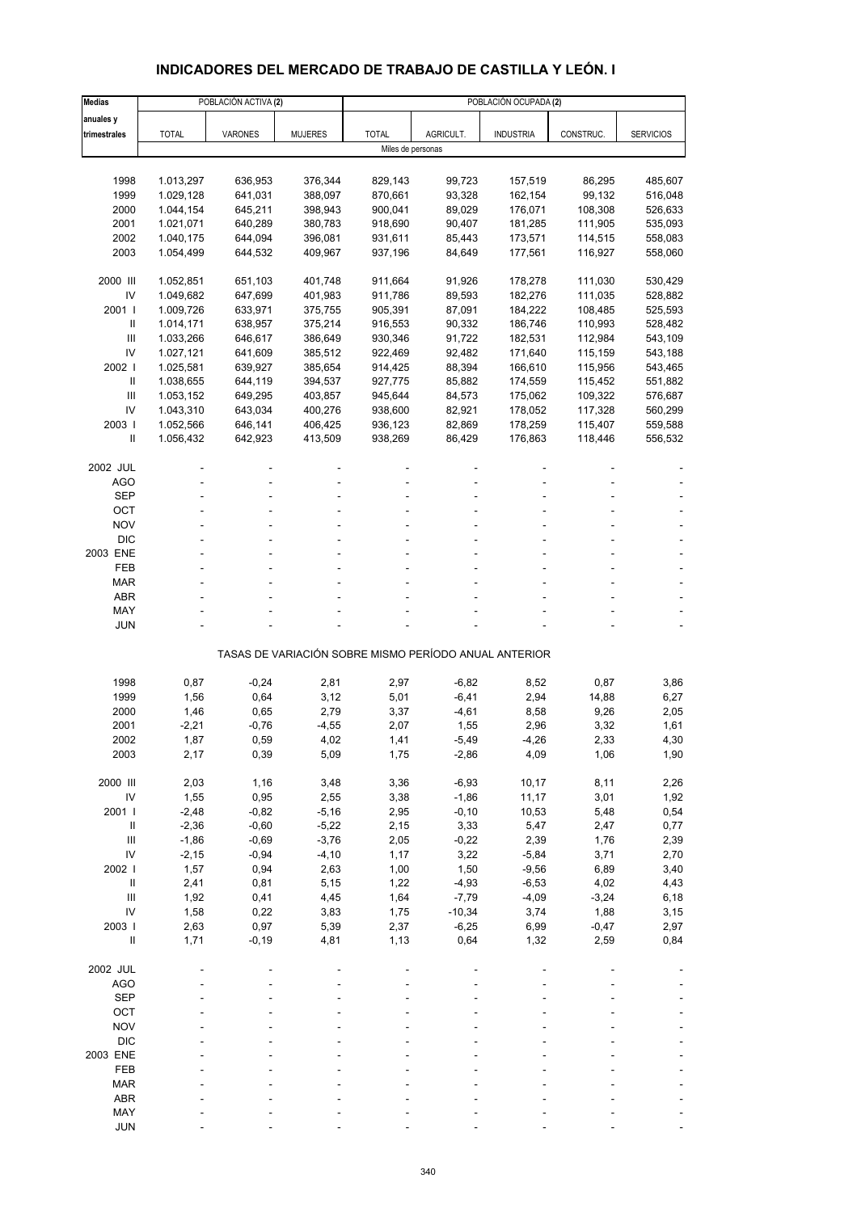# **INDICADORES DEL MERCADO DE TRABAJO DE CASTILLA Y LEÓN. I**

| <b>Medias</b>              |                        | POBLACIÓN ACTIVA (2) |                    | POBLACIÓN OCUPADA (2)                                 |                  |                    |                    |                    |  |  |  |
|----------------------------|------------------------|----------------------|--------------------|-------------------------------------------------------|------------------|--------------------|--------------------|--------------------|--|--|--|
| anuales y                  |                        |                      |                    |                                                       |                  |                    |                    |                    |  |  |  |
| trimestrales               | <b>TOTAL</b>           | VARONES              | <b>MUJERES</b>     | <b>TOTAL</b>                                          | AGRICULT.        | <b>INDUSTRIA</b>   | CONSTRUC.          | <b>SERVICIOS</b>   |  |  |  |
|                            |                        |                      |                    | Miles de personas                                     |                  |                    |                    |                    |  |  |  |
|                            |                        |                      |                    |                                                       |                  |                    |                    |                    |  |  |  |
| 1998                       | 1.013,297              | 636,953              | 376,344            | 829,143                                               | 99,723           | 157,519            | 86,295             | 485,607            |  |  |  |
| 1999                       | 1.029,128              | 641,031              | 388,097            | 870,661                                               | 93,328           | 162,154            | 99,132             | 516,048            |  |  |  |
| 2000<br>2001               | 1.044,154              | 645,211              | 398,943            | 900,041                                               | 89,029           | 176,071            | 108,308            | 526,633            |  |  |  |
| 2002                       | 1.021,071<br>1.040,175 | 640,289<br>644,094   | 380,783<br>396,081 | 918,690<br>931,611                                    | 90,407<br>85,443 | 181,285<br>173,571 | 111,905<br>114,515 | 535,093<br>558,083 |  |  |  |
| 2003                       | 1.054,499              | 644,532              | 409,967            | 937,196                                               | 84,649           | 177,561            | 116,927            | 558,060            |  |  |  |
|                            |                        |                      |                    |                                                       |                  |                    |                    |                    |  |  |  |
| 2000 III                   | 1.052,851              | 651,103              | 401,748            | 911,664                                               | 91,926           | 178,278            | 111,030            | 530,429            |  |  |  |
| IV                         | 1.049,682              | 647,699              | 401,983            | 911,786                                               | 89,593           | 182,276            | 111,035            | 528,882            |  |  |  |
| 2001 l                     | 1.009,726              | 633,971              | 375,755            | 905,391                                               | 87,091           | 184,222            | 108,485            | 525,593            |  |  |  |
| Ш                          | 1.014,171              | 638,957              | 375,214            | 916,553                                               | 90,332           | 186,746            | 110,993            | 528,482            |  |  |  |
| Ш                          | 1.033,266              | 646,617              | 386,649            | 930,346                                               | 91,722           | 182,531            | 112,984            | 543,109            |  |  |  |
| IV                         | 1.027,121              | 641,609              | 385,512            | 922,469                                               | 92,482           | 171,640            | 115,159            | 543,188            |  |  |  |
| 2002                       | 1.025,581              | 639,927              | 385,654            | 914,425                                               | 88,394           | 166,610            | 115,956            | 543,465            |  |  |  |
| Ш                          | 1.038,655              | 644,119              | 394,537            | 927,775                                               | 85,882           | 174,559            | 115,452            | 551,882            |  |  |  |
| Ш<br>IV                    | 1.053,152              | 649,295              | 403,857            | 945,644                                               | 84,573           | 175,062            | 109,322            | 576,687            |  |  |  |
| 2003                       | 1.043,310<br>1.052,566 | 643,034<br>646,141   | 400,276<br>406,425 | 938,600<br>936,123                                    | 82,921<br>82,869 | 178,052<br>178,259 | 117,328<br>115,407 | 560,299<br>559,588 |  |  |  |
| $\mathbf{II}$              | 1.056,432              | 642,923              | 413,509            | 938,269                                               | 86,429           | 176,863            | 118,446            | 556,532            |  |  |  |
|                            |                        |                      |                    |                                                       |                  |                    |                    |                    |  |  |  |
| 2002 JUL                   |                        |                      |                    |                                                       |                  |                    |                    |                    |  |  |  |
| <b>AGO</b>                 | ä,                     |                      |                    |                                                       |                  |                    | ÷.                 |                    |  |  |  |
| <b>SEP</b>                 |                        |                      |                    |                                                       |                  |                    |                    |                    |  |  |  |
| OCT                        |                        |                      |                    |                                                       |                  |                    |                    |                    |  |  |  |
| <b>NOV</b>                 |                        |                      |                    |                                                       |                  |                    |                    |                    |  |  |  |
| <b>DIC</b>                 |                        |                      |                    |                                                       |                  |                    |                    |                    |  |  |  |
| 2003 ENE                   |                        |                      |                    |                                                       |                  |                    |                    |                    |  |  |  |
| <b>FEB</b>                 |                        | ÷.                   |                    |                                                       |                  |                    |                    |                    |  |  |  |
| <b>MAR</b>                 |                        |                      |                    |                                                       |                  |                    |                    |                    |  |  |  |
| <b>ABR</b><br>MAY          |                        |                      |                    |                                                       |                  |                    |                    |                    |  |  |  |
| JUN                        |                        |                      |                    |                                                       |                  |                    |                    |                    |  |  |  |
|                            |                        |                      |                    |                                                       |                  |                    |                    |                    |  |  |  |
|                            |                        |                      |                    | TASAS DE VARIACIÓN SOBRE MISMO PERÍODO ANUAL ANTERIOR |                  |                    |                    |                    |  |  |  |
|                            |                        |                      |                    |                                                       |                  |                    |                    |                    |  |  |  |
| 1998                       | 0,87                   | $-0,24$              | 2,81               | 2,97                                                  | $-6,82$          | 8,52               | 0,87               | 3,86               |  |  |  |
| 1999                       | 1,56                   | 0,64                 | 3,12               | 5,01                                                  | $-6,41$          | 2,94               | 14,88              | 6,27               |  |  |  |
| 2000                       | 1,46                   | 0,65                 | 2,79               | 3,37                                                  | $-4,61$          | 8,58               | 9,26               | 2,05               |  |  |  |
| 2001                       | $-2,21$                | $-0,76$              | $-4,55$            | 2,07                                                  | 1,55             | 2,96               | 3,32               | 1,61               |  |  |  |
| 2002                       | 1,87                   | 0,59                 | 4,02               | 1,41                                                  | $-5,49$          | $-4,26$            | 2,33               | 4,30               |  |  |  |
| 2003                       | 2,17                   | 0,39                 | 5,09               | 1,75                                                  | $-2,86$          | 4,09               | 1,06               | 1,90               |  |  |  |
| 2000 III                   | 2,03                   | 1,16                 | 3,48               | 3,36                                                  | $-6,93$          | 10,17              | 8,11               | 2,26               |  |  |  |
| IV                         | 1,55                   | 0,95                 | 2,55               | 3,38                                                  | $-1,86$          | 11,17              | 3,01               | 1,92               |  |  |  |
| 2001 l                     | $-2,48$                | $-0,82$              | $-5,16$            | 2,95                                                  | $-0, 10$         | 10,53              | 5,48               | 0,54               |  |  |  |
| $\sf II$                   | $-2,36$                | $-0,60$              | $-5,22$            | 2,15                                                  | 3,33             | 5,47               | 2,47               | 0,77               |  |  |  |
| $\mathsf{III}$             | $-1,86$                | $-0,69$              | $-3,76$            | 2,05                                                  | $-0,22$          | 2,39               | 1,76               | 2,39               |  |  |  |
| IV                         | $-2,15$                | $-0,94$              | $-4,10$            | 1,17                                                  | 3,22             | $-5,84$            | 3,71               | 2,70               |  |  |  |
| 2002 l                     | 1,57                   | 0,94                 | 2,63               | 1,00                                                  | 1,50             | $-9,56$            | 6,89               | 3,40               |  |  |  |
| $\, \parallel$             | 2,41                   | 0,81                 | 5,15               | 1,22                                                  | $-4,93$          | $-6,53$            | 4,02               | 4,43               |  |  |  |
| III                        | 1,92                   | 0,41                 | 4,45               | 1,64                                                  | $-7,79$          | $-4,09$            | $-3,24$            | 6, 18              |  |  |  |
| IV                         | 1,58                   | 0,22                 | 3,83               | 1,75                                                  | $-10,34$         | 3,74               | 1,88               | 3,15               |  |  |  |
| 2003                       | 2,63                   | 0,97                 | 5,39               | 2,37                                                  | $-6,25$          | 6,99               | $-0,47$            | 2,97               |  |  |  |
| $\ensuremath{\mathsf{II}}$ | 1,71                   | $-0,19$              | 4,81               | 1,13                                                  | 0,64             | 1,32               | 2,59               | 0,84               |  |  |  |
| 2002 JUL                   |                        |                      |                    |                                                       |                  |                    |                    |                    |  |  |  |
| <b>AGO</b>                 |                        |                      |                    |                                                       |                  |                    |                    |                    |  |  |  |
| <b>SEP</b>                 |                        |                      |                    |                                                       |                  |                    |                    |                    |  |  |  |
| OCT                        |                        |                      |                    |                                                       |                  |                    |                    |                    |  |  |  |
| <b>NOV</b>                 |                        |                      |                    |                                                       |                  |                    |                    |                    |  |  |  |
| <b>DIC</b>                 |                        |                      |                    |                                                       |                  |                    |                    |                    |  |  |  |
| 2003 ENE                   |                        |                      |                    |                                                       |                  |                    |                    |                    |  |  |  |
| FEB                        |                        |                      |                    |                                                       |                  |                    |                    |                    |  |  |  |
| <b>MAR</b>                 |                        |                      |                    |                                                       |                  |                    |                    |                    |  |  |  |
| <b>ABR</b>                 |                        |                      |                    |                                                       |                  |                    |                    |                    |  |  |  |
| MAY                        |                        |                      |                    |                                                       |                  |                    |                    |                    |  |  |  |
| <b>JUN</b>                 |                        |                      |                    |                                                       |                  |                    |                    |                    |  |  |  |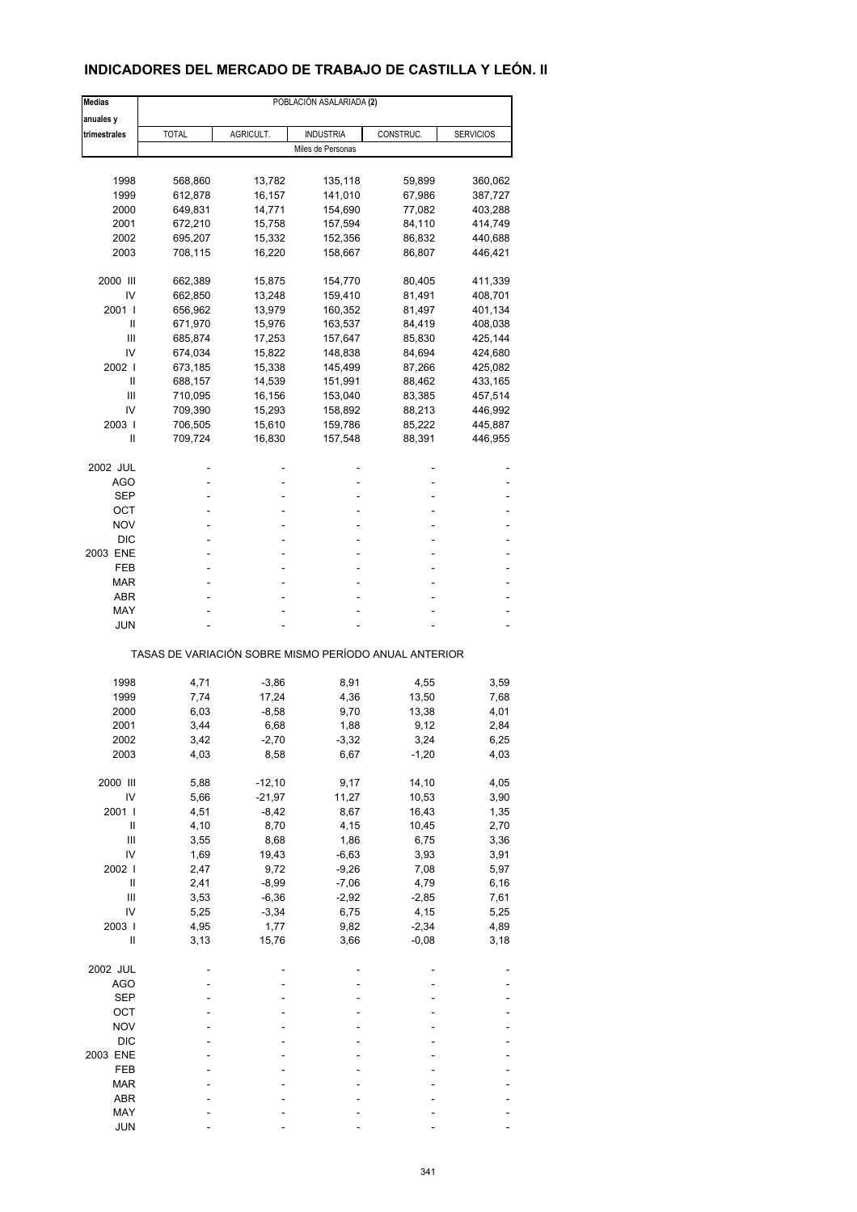### **INDICADORES DEL MERCADO DE TRABAJO DE CASTILLA Y LEÓN. II**

| <b>Medias</b>                                         |              |                  | POBLACIÓN ASALARIADA (2) |                 |                  |  |  |  |  |
|-------------------------------------------------------|--------------|------------------|--------------------------|-----------------|------------------|--|--|--|--|
| anuales y                                             |              |                  |                          |                 |                  |  |  |  |  |
| trimestrales                                          | <b>TOTAL</b> | AGRICULT.        | <b>INDUSTRIA</b>         | CONSTRUC.       | <b>SERVICIOS</b> |  |  |  |  |
|                                                       |              |                  | Miles de Personas        |                 |                  |  |  |  |  |
|                                                       |              |                  |                          |                 |                  |  |  |  |  |
| 1998                                                  | 568,860      | 13,782           | 135,118                  | 59,899          | 360,062          |  |  |  |  |
| 1999                                                  | 612,878      | 16,157           | 141,010                  | 67,986          | 387,727          |  |  |  |  |
| 2000                                                  | 649,831      | 14,771           | 154,690                  | 77,082          | 403,288          |  |  |  |  |
| 2001                                                  | 672,210      | 15,758           | 157,594                  | 84,110          | 414,749          |  |  |  |  |
| 2002                                                  | 695,207      | 15,332           | 152,356                  | 86,832          | 440,688          |  |  |  |  |
| 2003                                                  | 708,115      | 16,220           | 158,667                  | 86,807          | 446,421          |  |  |  |  |
| 2000 III                                              | 662,389      | 15,875           | 154,770                  | 80,405          | 411,339          |  |  |  |  |
| IV                                                    | 662,850      | 13,248           | 159,410                  | 81,491          | 408,701          |  |  |  |  |
| 2001 l                                                | 656,962      | 13,979           | 160,352                  | 81,497          | 401,134          |  |  |  |  |
| Ш                                                     | 671,970      | 15,976           | 163,537                  | 84,419          | 408,038          |  |  |  |  |
| Ш                                                     | 685,874      | 17,253           | 157,647                  | 85,830          | 425,144          |  |  |  |  |
| IV                                                    | 674,034      | 15,822           | 148,838                  | 84,694          | 424,680          |  |  |  |  |
| 2002 l                                                | 673,185      | 15,338           | 145,499                  | 87,266          | 425,082          |  |  |  |  |
| Ш                                                     | 688,157      | 14,539           | 151,991                  | 88,462          | 433,165          |  |  |  |  |
| Ш                                                     | 710,095      | 16,156           | 153,040                  | 83,385          | 457,514          |  |  |  |  |
| IV                                                    | 709,390      | 15,293           | 158,892                  | 88,213          | 446,992          |  |  |  |  |
| 2003                                                  | 706,505      | 15,610           | 159,786                  | 85,222          | 445,887          |  |  |  |  |
| Ш                                                     | 709,724      | 16,830           | 157,548                  | 88,391          | 446,955          |  |  |  |  |
| 2002 JUL                                              |              |                  |                          |                 |                  |  |  |  |  |
| AGO                                                   |              |                  | ä,                       |                 |                  |  |  |  |  |
| SEP                                                   |              |                  | ٠                        |                 |                  |  |  |  |  |
| ОСТ                                                   |              |                  |                          |                 |                  |  |  |  |  |
| NOV                                                   |              |                  |                          |                 |                  |  |  |  |  |
| <b>DIC</b>                                            |              |                  |                          |                 |                  |  |  |  |  |
| 2003 ENE                                              |              |                  |                          |                 |                  |  |  |  |  |
| FEB                                                   |              |                  | ä,                       |                 |                  |  |  |  |  |
| <b>MAR</b>                                            |              |                  |                          |                 |                  |  |  |  |  |
| ABR                                                   |              |                  |                          |                 |                  |  |  |  |  |
| MAY                                                   |              |                  |                          |                 |                  |  |  |  |  |
| JUN                                                   |              |                  |                          |                 |                  |  |  |  |  |
| TASAS DE VARIACIÓN SOBRE MISMO PERÍODO ANUAL ANTERIOR |              |                  |                          |                 |                  |  |  |  |  |
|                                                       |              |                  |                          |                 |                  |  |  |  |  |
| 1998<br>1999                                          | 4,71<br>7,74 | $-3,86$<br>17,24 | 8,91<br>4,36             | 4,55<br>13,50   | 3,59<br>7,68     |  |  |  |  |
|                                                       |              |                  |                          |                 |                  |  |  |  |  |
| 2000                                                  | 6,03         | $-8,58$          | 9,70                     | 13,38           | 4,01             |  |  |  |  |
| 2001                                                  | 3,44         | 6,68             | 1,88                     | 9,12            | 2,84             |  |  |  |  |
| 2002<br>2003                                          | 3,42<br>4,03 | -2,70<br>8,58    | -3,32                    | 3,24<br>$-1,20$ | 6,25<br>4,03     |  |  |  |  |
|                                                       |              |                  | 6,67                     |                 |                  |  |  |  |  |
| 2000 III                                              | 5,88         | $-12,10$         | 9,17                     | 14,10           | 4,05             |  |  |  |  |
| IV                                                    | 5,66         | $-21,97$         | 11,27                    | 10,53           | 3,90             |  |  |  |  |
| 2001 l                                                | 4,51         | $-8,42$          | 8,67                     | 16,43           | 1,35             |  |  |  |  |
| Ш                                                     | 4,10         | 8,70             | 4,15                     | 10,45           | 2,70             |  |  |  |  |
| Ш                                                     | 3,55         | 8,68             | 1,86                     | 6,75            | 3,36             |  |  |  |  |
| IV                                                    | 1,69         | 19,43            | $-6,63$                  | 3,93            | 3,91             |  |  |  |  |
| 2002                                                  | 2,47         | 9,72             | $-9,26$                  | 7,08            | 5,97             |  |  |  |  |
| Ш                                                     | 2,41         | $-8,99$          | $-7,06$                  | 4,79            | 6,16             |  |  |  |  |
| Ш                                                     | 3,53         | $-6,36$          | $-2,92$                  | $-2,85$         | 7,61             |  |  |  |  |
| IV                                                    | 5,25         | $-3,34$          | 6,75                     | 4,15            | 5,25             |  |  |  |  |
| 2003                                                  | 4,95         | 1,77             | 9,82                     | $-2,34$         | 4,89             |  |  |  |  |
| Ш                                                     | 3,13         | 15,76            | 3,66                     | $-0,08$         | 3,18             |  |  |  |  |
| 2002 JUL                                              |              |                  |                          |                 |                  |  |  |  |  |
| <b>AGO</b>                                            |              |                  |                          |                 |                  |  |  |  |  |
| <b>SEP</b>                                            |              |                  |                          |                 |                  |  |  |  |  |
| OCT                                                   |              |                  |                          |                 |                  |  |  |  |  |
| <b>NOV</b>                                            |              |                  |                          |                 |                  |  |  |  |  |
| <b>DIC</b>                                            |              |                  |                          |                 |                  |  |  |  |  |
| 2003 ENE                                              |              |                  |                          |                 |                  |  |  |  |  |
| FEB                                                   |              |                  |                          |                 |                  |  |  |  |  |
| <b>MAR</b>                                            |              |                  |                          |                 |                  |  |  |  |  |
| ABR                                                   |              |                  |                          |                 |                  |  |  |  |  |
| MAY                                                   |              |                  |                          |                 |                  |  |  |  |  |
| <b>JUN</b>                                            |              |                  |                          |                 |                  |  |  |  |  |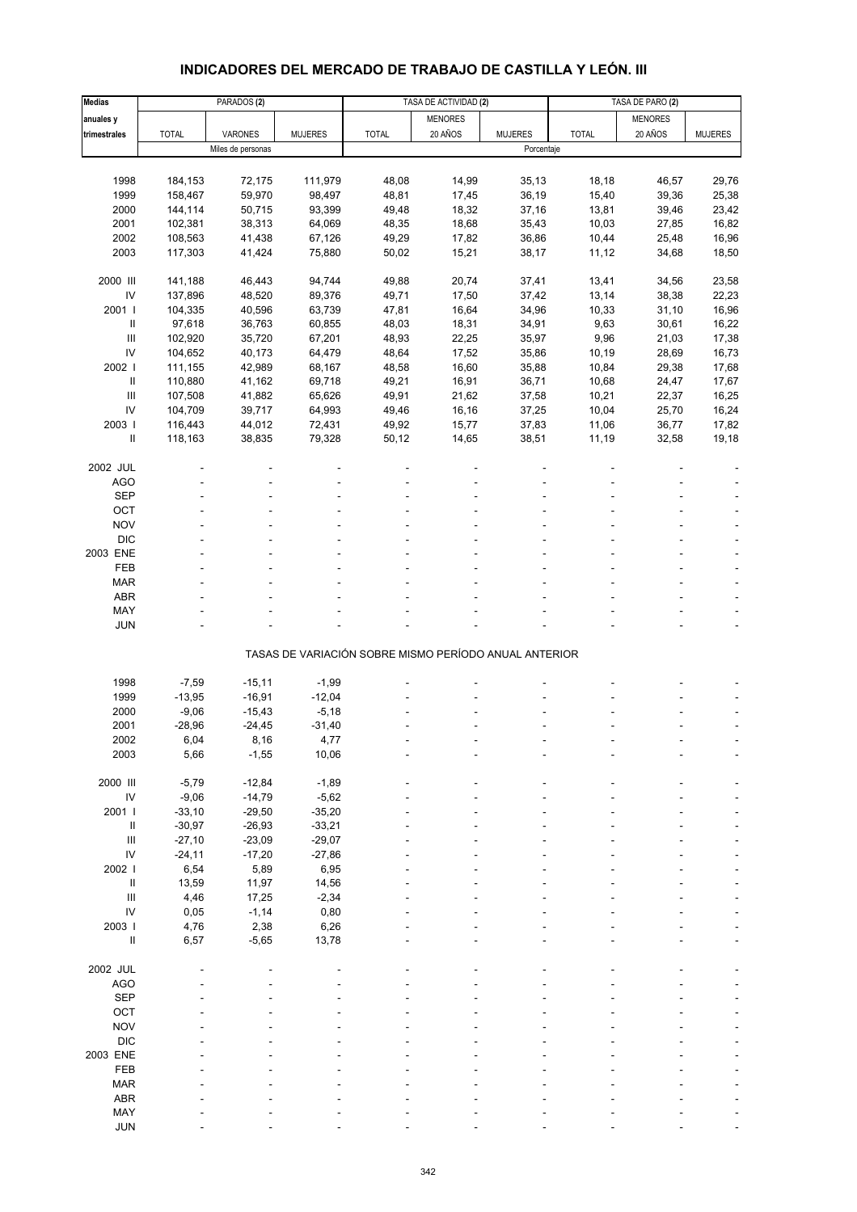# **INDICADORES DEL MERCADO DE TRABAJO DE CASTILLA Y LEÓN. III**

| <b>Medias</b>                    |              | PARADOS <sub>(2)</sub> |                |                                                       | TASA DE ACTIVIDAD (2) |                | TASA DE PARO (2) |                |                |
|----------------------------------|--------------|------------------------|----------------|-------------------------------------------------------|-----------------------|----------------|------------------|----------------|----------------|
| anuales y                        |              |                        |                |                                                       | <b>MENORES</b>        |                |                  | <b>MENORES</b> |                |
| trimestrales                     | <b>TOTAL</b> | VARONES                | <b>MUJERES</b> | <b>TOTAL</b>                                          | 20 AÑOS               | <b>MUJERES</b> | <b>TOTAL</b>     | 20 AÑOS        | <b>MUJERES</b> |
|                                  |              | Miles de personas      |                |                                                       |                       | Porcentaje     |                  |                |                |
|                                  |              |                        |                |                                                       |                       |                |                  |                |                |
| 1998                             | 184,153      | 72,175                 | 111,979        | 48,08                                                 | 14,99                 | 35, 13         | 18,18            | 46,57          | 29,76          |
| 1999                             | 158,467      | 59,970                 | 98,497         | 48,81                                                 | 17,45                 | 36,19          | 15,40            | 39,36          | 25,38          |
| 2000                             | 144,114      | 50,715                 | 93,399         | 49,48                                                 | 18,32                 | 37,16          | 13,81            | 39,46          | 23,42          |
| 2001                             | 102,381      | 38,313                 | 64,069         | 48,35                                                 | 18,68                 | 35,43          | 10,03            | 27,85          | 16,82          |
| 2002                             | 108,563      | 41,438                 | 67,126         | 49,29                                                 | 17,82                 | 36,86          | 10,44            | 25,48          | 16,96          |
| 2003                             | 117,303      | 41,424                 | 75,880         | 50,02                                                 | 15,21                 | 38,17          | 11,12            | 34,68          | 18,50          |
|                                  |              |                        |                |                                                       |                       |                |                  |                |                |
| 2000 III                         | 141,188      | 46,443                 | 94,744         | 49,88                                                 | 20,74                 | 37,41          | 13,41            | 34,56          | 23,58          |
| ${\sf IV}$                       | 137,896      | 48,520                 | 89,376         | 49,71                                                 | 17,50                 | 37,42          | 13,14            | 38,38          | 22,23          |
| 2001 l                           | 104,335      | 40,596                 | 63,739         | 47,81                                                 | 16,64                 | 34,96          | 10,33            | 31,10          | 16,96          |
| $\ensuremath{\mathsf{II}}$       | 97,618       | 36,763                 | 60,855         | 48,03                                                 | 18,31                 | 34,91          | 9,63             | 30,61          | 16,22          |
| $\mathbf{III}$                   | 102,920      | 35,720                 | 67,201         | 48,93                                                 | 22,25                 | 35,97          | 9,96             | 21,03          | 17,38          |
| IV                               | 104,652      | 40,173                 | 64,479         | 48,64                                                 | 17,52                 | 35,86          | 10,19            | 28,69          | 16,73          |
| 2002 l                           | 111,155      | 42,989                 | 68,167         | 48,58                                                 | 16,60                 | 35,88          | 10,84            | 29,38          | 17,68          |
| $\ensuremath{\mathsf{II}}$       | 110,880      | 41,162                 | 69,718         | 49,21                                                 | 16,91                 | 36,71          | 10,68            | 24,47          | 17,67          |
| $\mathbf{III}$                   | 107,508      | 41,882                 | 65,626         | 49,91                                                 | 21,62                 | 37,58          | 10,21            | 22,37          | 16,25          |
| IV                               | 104,709      | 39,717                 | 64,993         | 49,46                                                 | 16,16                 | 37,25          | 10,04            | 25,70          | 16,24          |
| 2003                             | 116,443      | 44,012                 | 72,431         | 49,92                                                 | 15,77                 | 37,83          | 11,06            | 36,77          | 17,82          |
| $\sf II$                         | 118,163      | 38,835                 | 79,328         | 50,12                                                 | 14,65                 | 38,51          | 11,19            | 32,58          | 19,18          |
|                                  |              |                        |                |                                                       |                       |                |                  |                |                |
| 2002 JUL                         |              |                        |                |                                                       |                       |                |                  |                |                |
|                                  |              |                        |                |                                                       |                       |                |                  |                |                |
| <b>AGO</b>                       |              |                        |                |                                                       |                       |                |                  |                |                |
| <b>SEP</b>                       |              |                        |                |                                                       |                       |                |                  |                |                |
| OCT                              |              |                        |                |                                                       |                       |                |                  |                |                |
| <b>NOV</b>                       |              |                        |                |                                                       |                       |                |                  |                |                |
| <b>DIC</b>                       |              |                        |                |                                                       |                       |                |                  |                |                |
| 2003 ENE                         |              |                        |                |                                                       |                       |                |                  |                |                |
| FEB                              |              |                        |                |                                                       |                       |                |                  |                |                |
| <b>MAR</b>                       |              |                        |                |                                                       |                       |                |                  |                |                |
| <b>ABR</b>                       |              |                        |                |                                                       |                       |                |                  |                |                |
| MAY                              |              |                        |                |                                                       |                       |                |                  |                |                |
| <b>JUN</b>                       |              |                        |                |                                                       |                       |                |                  |                |                |
|                                  |              |                        |                | TASAS DE VARIACIÓN SOBRE MISMO PERÍODO ANUAL ANTERIOR |                       |                |                  |                |                |
|                                  |              |                        |                |                                                       |                       |                |                  |                |                |
| 1998                             | $-7,59$      | $-15,11$               | $-1,99$        |                                                       |                       |                |                  |                |                |
| 1999                             | $-13,95$     | $-16,91$               | $-12,04$       |                                                       |                       |                |                  |                |                |
| 2000                             | $-9,06$      | $-15,43$               | $-5,18$        |                                                       |                       |                |                  |                |                |
| 2001                             | $-28,96$     | $-24,45$               | $-31,40$       |                                                       |                       |                |                  |                |                |
| 2002                             | 6,04         | 8,16                   | 4,77           |                                                       |                       |                |                  |                |                |
| 2003                             | 5,66         | $-1,55$                | 10,06          |                                                       |                       |                |                  |                |                |
|                                  |              |                        |                |                                                       |                       |                |                  |                |                |
| 2000 III                         | $-5,79$      | $-12,84$               | $-1,89$        |                                                       |                       |                |                  |                |                |
| ${\sf IV}$                       | $-9,06$      | $-14,79$               | $-5,62$        |                                                       |                       |                |                  |                |                |
| 2001 l                           | $-33,10$     | $-29,50$               | $-35,20$       |                                                       |                       |                |                  |                |                |
| $\, \parallel$                   | $-30,97$     | $-26,93$               | $-33,21$       |                                                       |                       |                |                  |                |                |
| $\mathop{\mathrm{III}}\nolimits$ | $-27,10$     | $-23,09$               | $-29,07$       |                                                       |                       |                |                  |                |                |
| IV                               | $-24, 11$    | $-17,20$               | $-27,86$       |                                                       |                       |                |                  |                |                |
| 2002                             | 6,54         | 5,89                   | 6,95           |                                                       |                       |                |                  |                |                |
| $\, \parallel$                   | 13,59        | 11,97                  | 14,56          |                                                       |                       |                |                  |                |                |
| $\mathbf{III}$                   | 4,46         | 17,25                  | $-2,34$        |                                                       |                       |                |                  |                |                |
| IV                               | 0,05         | $-1,14$                | 0,80           |                                                       |                       |                |                  |                |                |
| 2003                             | 4,76         | 2,38                   | 6,26           |                                                       |                       |                |                  |                |                |
| $\, \parallel$                   | 6,57         | $-5,65$                | 13,78          |                                                       |                       |                |                  |                |                |
|                                  |              |                        |                |                                                       |                       |                |                  |                |                |
| 2002 JUL                         |              |                        |                |                                                       |                       |                |                  |                |                |
| <b>AGO</b>                       |              |                        |                |                                                       |                       |                |                  |                |                |
| <b>SEP</b>                       |              |                        |                |                                                       |                       |                |                  |                |                |
| OCT                              |              |                        |                |                                                       |                       |                |                  |                |                |
| <b>NOV</b>                       |              |                        |                |                                                       |                       |                |                  |                |                |
| <b>DIC</b>                       |              |                        |                |                                                       |                       |                |                  |                |                |
| 2003 ENE                         |              |                        |                |                                                       |                       |                |                  |                |                |
| FEB                              |              |                        |                |                                                       |                       |                |                  |                |                |
| <b>MAR</b>                       |              |                        |                |                                                       |                       |                |                  |                |                |
| <b>ABR</b>                       |              |                        |                |                                                       |                       |                |                  |                |                |
| MAY                              |              |                        |                |                                                       |                       |                |                  |                |                |
| <b>JUN</b>                       |              |                        |                |                                                       |                       |                |                  |                |                |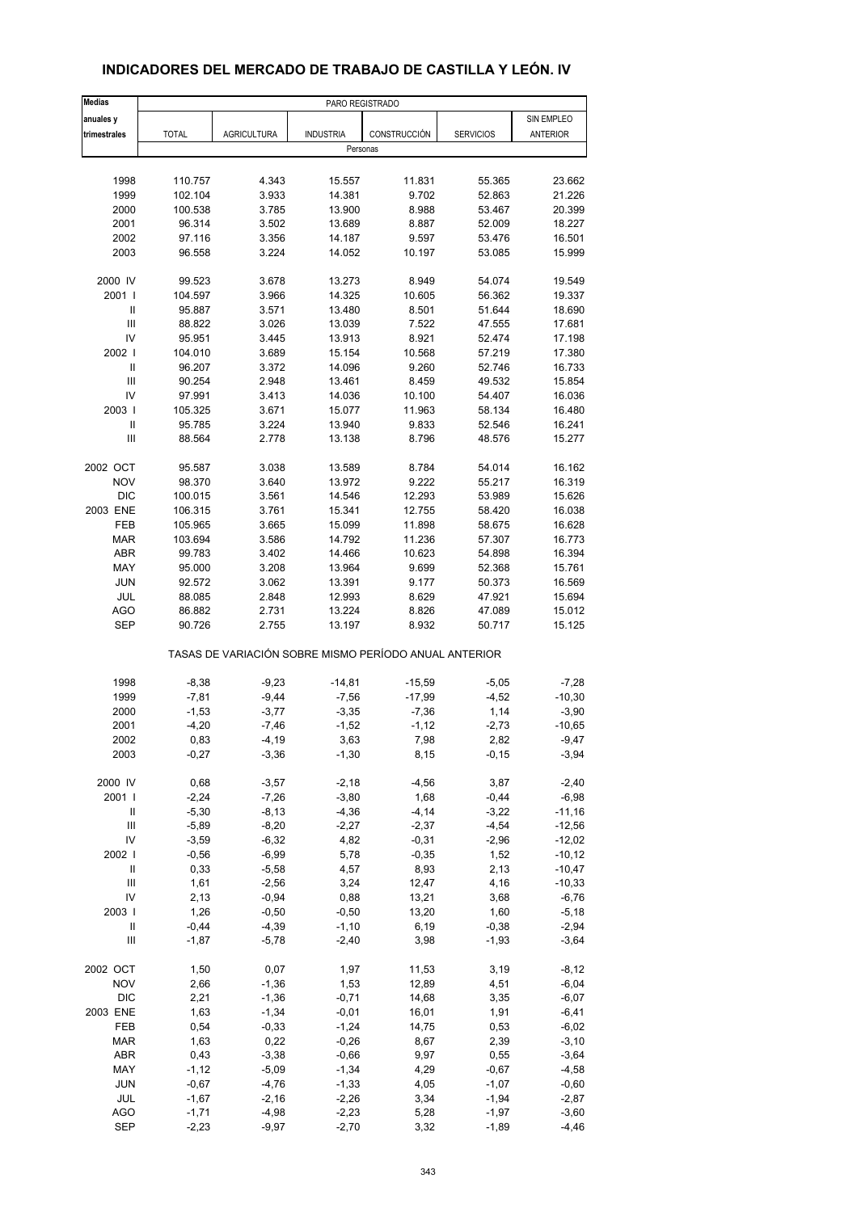| <b>Medias</b>              | PARO REGISTRADO                                       |                    |                    |                  |                    |                     |  |  |  |
|----------------------------|-------------------------------------------------------|--------------------|--------------------|------------------|--------------------|---------------------|--|--|--|
| anuales y                  |                                                       |                    |                    |                  |                    | SIN EMPLEO          |  |  |  |
| trimestrales               | <b>TOTAL</b>                                          | <b>AGRICULTURA</b> | <b>INDUSTRIA</b>   | CONSTRUCCIÓN     | <b>SERVICIOS</b>   | ANTERIOR            |  |  |  |
|                            |                                                       |                    | Personas           |                  |                    |                     |  |  |  |
|                            |                                                       |                    |                    |                  |                    |                     |  |  |  |
| 1998                       | 110.757                                               | 4.343              | 15.557             | 11.831           | 55.365             | 23.662              |  |  |  |
| 1999                       | 102.104                                               | 3.933              | 14.381             | 9.702            | 52.863             | 21.226              |  |  |  |
| 2000                       | 100.538                                               | 3.785              | 13.900             | 8.988            | 53.467             | 20.399              |  |  |  |
| 2001                       | 96.314                                                | 3.502              | 13.689             | 8.887            | 52.009             | 18.227              |  |  |  |
| 2002                       | 97.116                                                | 3.356              | 14.187             | 9.597            | 53.476             | 16.501              |  |  |  |
| 2003                       | 96.558                                                | 3.224              | 14.052             | 10.197           | 53.085             | 15.999              |  |  |  |
| 2000 IV                    | 99.523                                                | 3.678              | 13.273             | 8.949            | 54.074             | 19.549              |  |  |  |
| 2001                       | 104.597                                               | 3.966              | 14.325             | 10.605           | 56.362             | 19.337              |  |  |  |
| Ш                          | 95.887                                                | 3.571              | 13.480             | 8.501            | 51.644             | 18.690              |  |  |  |
| $\mathbf{III}$             | 88.822                                                | 3.026              | 13.039             | 7.522            | 47.555             | 17.681              |  |  |  |
| IV                         | 95.951                                                | 3.445              | 13.913             | 8.921            | 52.474             | 17.198              |  |  |  |
| 2002                       | 104.010                                               | 3.689              | 15.154             | 10.568           | 57.219             | 17.380              |  |  |  |
| $\ensuremath{\mathsf{II}}$ | 96.207                                                | 3.372              | 14.096             | 9.260            | 52.746             | 16.733              |  |  |  |
| Ш                          | 90.254                                                | 2.948              | 13.461             | 8.459            | 49.532             | 15.854              |  |  |  |
| IV                         | 97.991                                                | 3.413              | 14.036             | 10.100           | 54.407             | 16.036              |  |  |  |
| 2003                       | 105.325                                               | 3.671              | 15.077             | 11.963           | 58.134             | 16.480              |  |  |  |
| $\ensuremath{\mathsf{II}}$ | 95.785                                                | 3.224              | 13.940             | 9.833            | 52.546             | 16.241              |  |  |  |
| Ш                          | 88.564                                                | 2.778              | 13.138             | 8.796            | 48.576             | 15.277              |  |  |  |
|                            |                                                       |                    |                    |                  |                    |                     |  |  |  |
| 2002 OCT                   | 95.587                                                | 3.038              | 13.589             | 8.784            | 54.014             | 16.162              |  |  |  |
| <b>NOV</b>                 | 98.370                                                | 3.640              | 13.972             | 9.222            | 55.217             | 16.319              |  |  |  |
| <b>DIC</b>                 | 100.015                                               | 3.561              | 14.546             | 12.293           | 53.989             | 15.626              |  |  |  |
| 2003 ENE                   | 106.315                                               | 3.761              | 15.341             | 12.755           | 58.420             | 16.038              |  |  |  |
| FEB                        | 105.965                                               | 3.665              | 15.099             | 11.898           | 58.675             | 16.628              |  |  |  |
| <b>MAR</b>                 | 103.694                                               | 3.586              | 14.792             | 11.236           | 57.307             | 16.773              |  |  |  |
| ABR                        | 99.783                                                | 3.402              | 14.466             | 10.623           | 54.898             | 16.394              |  |  |  |
| MAY                        | 95.000                                                | 3.208              | 13.964             | 9.699            | 52.368             | 15.761              |  |  |  |
| <b>JUN</b>                 | 92.572                                                | 3.062              | 13.391             | 9.177            | 50.373             | 16.569              |  |  |  |
| <b>JUL</b>                 | 88.085                                                | 2.848              | 12.993             | 8.629            | 47.921             | 15.694              |  |  |  |
| <b>AGO</b>                 | 86.882                                                | 2.731              | 13.224             | 8.826            | 47.089             | 15.012              |  |  |  |
| <b>SEP</b>                 | 90.726                                                | 2.755              | 13.197             | 8.932            | 50.717             | 15.125              |  |  |  |
|                            | TASAS DE VARIACIÓN SOBRE MISMO PERÍODO ANUAL ANTERIOR |                    |                    |                  |                    |                     |  |  |  |
| 1998                       | $-8,38$                                               | $-9,23$            | $-14,81$           | $-15,59$         | $-5,05$            | $-7,28$             |  |  |  |
| 1999                       | $-7,81$                                               | $-9,44$            | $-7,56$            | $-17,99$         | $-4,52$            | $-10,30$            |  |  |  |
| 2000                       | $-1,53$                                               | $-3,77$            | $-3,35$            | $-7,36$          | 1,14               | $-3,90$             |  |  |  |
| 2001                       | $-4,20$                                               | $-7,46$            | $-1,52$            | $-1, 12$         | $-2,73$            | $-10,65$            |  |  |  |
| 2002                       | 0,83                                                  | -4,19              | 3,63               | 7,98             | 2,82               | -9,47               |  |  |  |
| 2003                       | $-0,27$                                               | $-3,36$            | $-1,30$            | 8,15             | $-0,15$            | $-3,94$             |  |  |  |
|                            |                                                       |                    |                    |                  |                    |                     |  |  |  |
| 2000 IV                    | 0,68                                                  | $-3,57$            | $-2,18$            | $-4,56$          | 3,87               | $-2,40$             |  |  |  |
| 2001 l<br>Ш                | $-2,24$<br>$-5,30$                                    | $-7,26$<br>$-8,13$ | $-3,80$<br>$-4,36$ | 1,68<br>$-4, 14$ | $-0,44$<br>$-3,22$ | $-6,98$<br>$-11,16$ |  |  |  |
| Ш                          | $-5,89$                                               | $-8,20$            | $-2,27$            | $-2,37$          | $-4,54$            | $-12,56$            |  |  |  |
| IV                         | $-3,59$                                               | $-6,32$            | 4,82               | $-0,31$          | $-2,96$            | $-12,02$            |  |  |  |
| 2002                       | $-0,56$                                               | $-6,99$            | 5,78               | $-0,35$          | 1,52               | $-10,12$            |  |  |  |
| $\sf II$                   | 0,33                                                  | $-5,58$            | 4,57               | 8,93             | 2,13               | $-10,47$            |  |  |  |
| $\mathsf{III}$             | 1,61                                                  | $-2,56$            | 3,24               | 12,47            | 4,16               | $-10,33$            |  |  |  |
| IV                         | 2,13                                                  | $-0,94$            | 0,88               | 13,21            | 3,68               | $-6,76$             |  |  |  |
| 2003                       | 1,26                                                  | $-0,50$            | $-0,50$            | 13,20            | 1,60               | $-5,18$             |  |  |  |
| $\ensuremath{\mathsf{II}}$ | $-0,44$                                               | $-4,39$            | $-1,10$            | 6,19             | $-0,38$            | $-2,94$             |  |  |  |
| Ш                          | $-1,87$                                               | $-5,78$            | $-2,40$            | 3,98             | $-1,93$            | $-3,64$             |  |  |  |
|                            |                                                       |                    |                    |                  |                    |                     |  |  |  |
| 2002 OCT                   | 1,50                                                  | 0,07               | 1,97               | 11,53            | 3,19               | $-8,12$             |  |  |  |
| <b>NOV</b>                 | 2,66                                                  | $-1,36$            | 1,53               | 12,89            | 4,51               | $-6,04$             |  |  |  |
| $DIC$                      | 2,21                                                  | $-1,36$            | $-0,71$            | 14,68            | 3,35               | $-6,07$             |  |  |  |
| 2003 ENE                   | 1,63                                                  | $-1,34$            | $-0,01$            | 16,01            | 1,91               | $-6,41$             |  |  |  |
| FEB                        | 0,54                                                  | $-0,33$            | $-1,24$            | 14,75            | 0,53               | $-6,02$             |  |  |  |
| <b>MAR</b>                 | 1,63                                                  | 0,22               | $-0,26$            | 8,67             | 2,39               | $-3,10$             |  |  |  |
| ABR                        | 0,43                                                  | $-3,38$            | $-0,66$            | 9,97             | 0,55               | $-3,64$             |  |  |  |
| MAY                        | $-1, 12$                                              | $-5,09$            | $-1,34$            | 4,29             | $-0,67$            | $-4,58$             |  |  |  |
| <b>JUN</b>                 | $-0,67$                                               | $-4,76$            | $-1,33$            | 4,05             | $-1,07$            | $-0,60$             |  |  |  |
| JUL<br><b>AGO</b>          | $-1,67$                                               | $-2,16$            | $-2,26$            | 3,34             | $-1,94$            | $-2,87$<br>$-3,60$  |  |  |  |
| <b>SEP</b>                 | $-1,71$<br>$-2,23$                                    | $-4,98$<br>$-9,97$ | $-2,23$<br>$-2,70$ | 5,28<br>3,32     | $-1,97$<br>$-1,89$ | $-4,46$             |  |  |  |
|                            |                                                       |                    |                    |                  |                    |                     |  |  |  |

### **INDICADORES DEL MERCADO DE TRABAJO DE CASTILLA Y LEÓN. IV**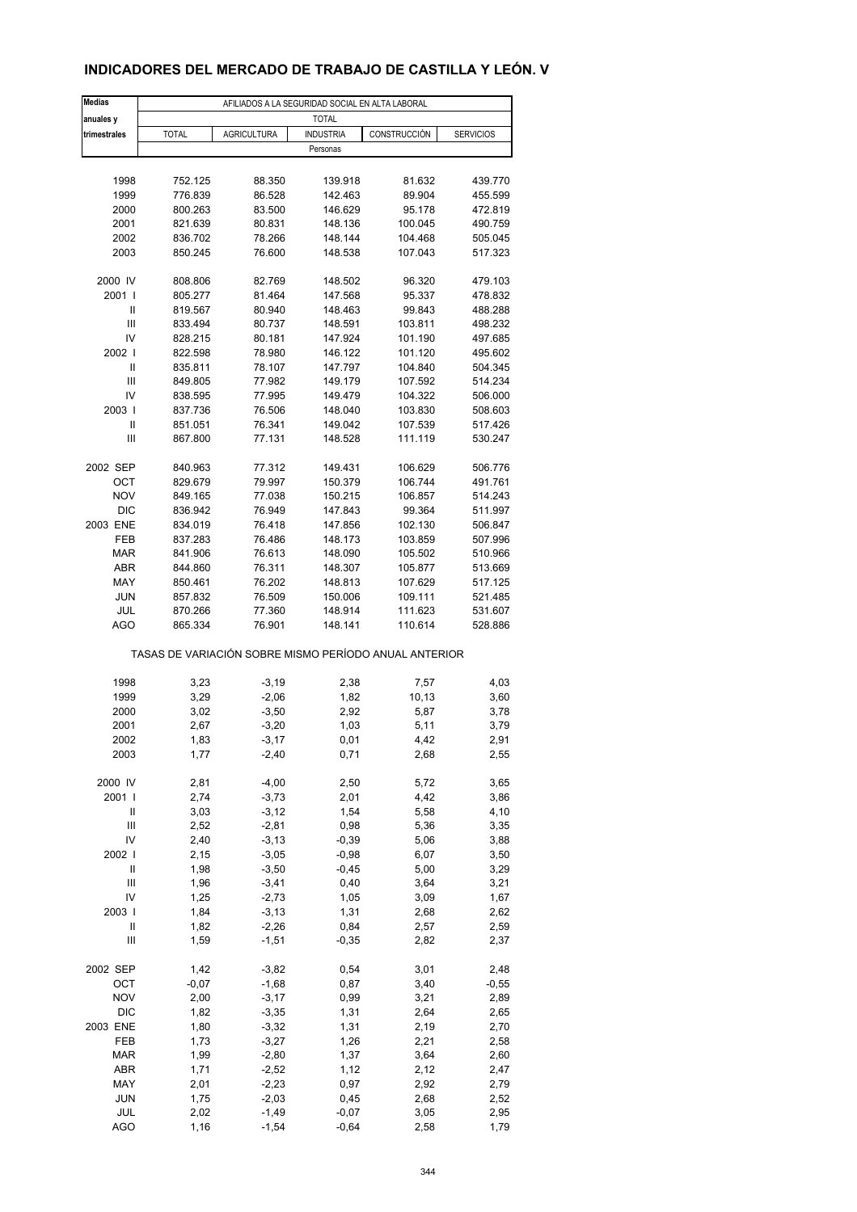### **INDICADORES DEL MERCADO DE TRABAJO DE CASTILLA Y LEÓN. V**

| <b>Medias</b>                      |              |                     | AFILIADOS A LA SEGURIDAD SOCIAL EN ALTA LABORAL       |              |                  |
|------------------------------------|--------------|---------------------|-------------------------------------------------------|--------------|------------------|
| anuales y                          |              |                     | <b>TOTAL</b>                                          |              |                  |
| trimestrales                       | <b>TOTAL</b> | <b>AGRICULTURA</b>  | <b>INDUSTRIA</b>                                      | CONSTRUCCIÓN | <b>SERVICIOS</b> |
|                                    |              |                     | Personas                                              |              |                  |
|                                    |              |                     |                                                       |              |                  |
| 1998                               | 752.125      | 88.350              | 139.918                                               | 81.632       | 439.770          |
| 1999                               | 776.839      | 86.528              | 142.463                                               | 89.904       | 455.599          |
| 2000                               | 800.263      | 83.500              | 146.629                                               | 95.178       | 472.819          |
| 2001                               | 821.639      | 80.831              | 148.136                                               | 100.045      | 490.759          |
| 2002                               | 836.702      | 78.266              | 148.144                                               | 104.468      | 505.045          |
| 2003                               | 850.245      | 76.600              | 148.538                                               | 107.043      | 517.323          |
|                                    |              |                     |                                                       |              |                  |
| 2000 IV                            | 808.806      | 82.769              | 148.502                                               | 96.320       | 479.103          |
| 2001 l                             | 805.277      | 81.464              | 147.568                                               | 95.337       | 478.832          |
| Ш                                  | 819.567      | 80.940              | 148.463                                               | 99.843       | 488.288          |
| $\ensuremath{\mathsf{III}}\xspace$ | 833.494      | 80.737              | 148.591                                               | 103.811      | 498.232          |
| IV                                 | 828.215      | 80.181              | 147.924                                               | 101.190      | 497.685          |
| 2002                               | 822.598      | 78.980              | 146.122                                               | 101.120      | 495.602          |
| Ш                                  | 835.811      | 78.107              | 147.797                                               | 104.840      | 504.345          |
| Ш                                  | 849.805      | 77.982              | 149.179                                               | 107.592      | 514.234          |
| IV                                 | 838.595      | 77.995              | 149.479                                               | 104.322      | 506.000          |
| 2003                               | 837.736      | 76.506              | 148.040                                               | 103.830      | 508.603          |
| Ш                                  | 851.051      | 76.341              | 149.042                                               | 107.539      | 517.426          |
| Ш                                  | 867.800      | 77.131              | 148.528                                               | 111.119      | 530.247          |
|                                    |              |                     |                                                       |              |                  |
| 2002 SEP                           | 840.963      | 77.312              | 149.431                                               | 106.629      | 506.776          |
| ОСТ                                | 829.679      | 79.997              | 150.379                                               | 106.744      | 491.761          |
| <b>NOV</b>                         | 849.165      | 77.038              | 150.215                                               | 106.857      | 514.243          |
| <b>DIC</b>                         | 836.942      | 76.949              | 147.843                                               | 99.364       | 511.997          |
| 2003 ENE                           | 834.019      | 76.418              | 147.856                                               | 102.130      | 506.847          |
| <b>FEB</b>                         | 837.283      | 76.486              | 148.173                                               | 103.859      | 507.996          |
| <b>MAR</b>                         | 841.906      | 76.613              | 148.090                                               | 105.502      | 510.966          |
| ABR                                | 844.860      | 76.311              | 148.307                                               | 105.877      | 513.669          |
| MAY                                | 850.461      | 76.202              | 148.813                                               | 107.629      | 517.125          |
| <b>JUN</b>                         | 857.832      | 76.509              | 150.006                                               | 109.111      | 521.485          |
| JUL                                | 870.266      | 77.360              | 148.914                                               | 111.623      | 531.607          |
| <b>AGO</b>                         | 865.334      | 76.901              | 148.141                                               | 110.614      | 528.886          |
|                                    |              |                     | TASAS DE VARIACIÓN SOBRE MISMO PERÍODO ANUAL ANTERIOR |              |                  |
|                                    |              |                     |                                                       |              |                  |
| 1998                               | 3,23         | $-3,19$             | 2,38                                                  | 7,57         | 4,03             |
| 1999                               | 3,29         | $-2,06$             | 1,82                                                  | 10,13        | 3,60             |
| 2000                               | 3,02         | $-3,50$             | 2,92                                                  | 5,87         | 3,78             |
| 2001                               | 2,67         | $-3,20$             | 1,03                                                  | 5,11         | 3,79             |
| 2002                               | 1,83         | -3,17               | 0,01                                                  | 4,42         | 2,91             |
| 2003                               | 1,77         | $-2,40$             | 0,71                                                  | 2,68         | 2,55             |
|                                    |              |                     |                                                       |              |                  |
| 2000 IV                            | 2,81         | $-4,00$             | 2,50                                                  | 5,72         | 3,65             |
| 2001 l                             | 2,74         | $-3,73$             | 2,01                                                  | 4,42         | 3,86             |
| Ш                                  | 3,03         | $-3, 12$            | 1,54                                                  | 5,58         | 4,10             |
| Ш                                  | 2,52         | $-2,81$             | 0,98                                                  | 5,36         | 3,35             |
| IV<br>2002                         | 2,40<br>2,15 | $-3, 13$<br>$-3,05$ | $-0,39$<br>$-0,98$                                    | 5,06<br>6,07 | 3,88             |
| $\ensuremath{\mathsf{II}}$         |              |                     |                                                       |              | 3,50             |
| $\ensuremath{\mathsf{III}}\xspace$ | 1,98         | $-3,50$             | $-0,45$                                               | 5,00         | 3,29             |
|                                    | 1,96         | $-3,41$             | 0,40                                                  | 3,64         | 3,21             |
| IV                                 | 1,25         | $-2,73$             | 1,05                                                  | 3,09         | 1,67             |
| 2003                               | 1,84         | $-3, 13$            | 1,31                                                  | 2,68         | 2,62             |
| Ш                                  | 1,82         | $-2,26$             | 0,84                                                  | 2,57         | 2,59             |
| Ш                                  | 1,59         | $-1,51$             | $-0,35$                                               | 2,82         | 2,37             |
| 2002 SEP                           | 1,42         | $-3,82$             | 0,54                                                  | 3,01         | 2,48             |
| OCT                                | $-0,07$      | $-1,68$             | 0,87                                                  | 3,40         | $-0,55$          |
| <b>NOV</b>                         | 2,00         | $-3,17$             | 0,99                                                  | 3,21         | 2,89             |
| DIC                                | 1,82         | $-3,35$             | 1,31                                                  | 2,64         | 2,65             |
| 2003 ENE                           | 1,80         | $-3,32$             | 1,31                                                  | 2,19         | 2,70             |
| FEB                                | 1,73         | $-3,27$             | 1,26                                                  | 2,21         | 2,58             |
| <b>MAR</b>                         | 1,99         | $-2,80$             | 1,37                                                  | 3,64         | 2,60             |
| ABR                                | 1,71         | $-2,52$             | 1,12                                                  | 2,12         | 2,47             |
| MAY                                | 2,01         | $-2,23$             | 0,97                                                  | 2,92         | 2,79             |
| <b>JUN</b>                         | 1,75         | $-2,03$             | 0,45                                                  | 2,68         | 2,52             |
| JUL                                | 2,02         | $-1,49$             | $-0,07$                                               | 3,05         | 2,95             |
| <b>AGO</b>                         | 1,16         | $-1,54$             | $-0,64$                                               | 2,58         | 1,79             |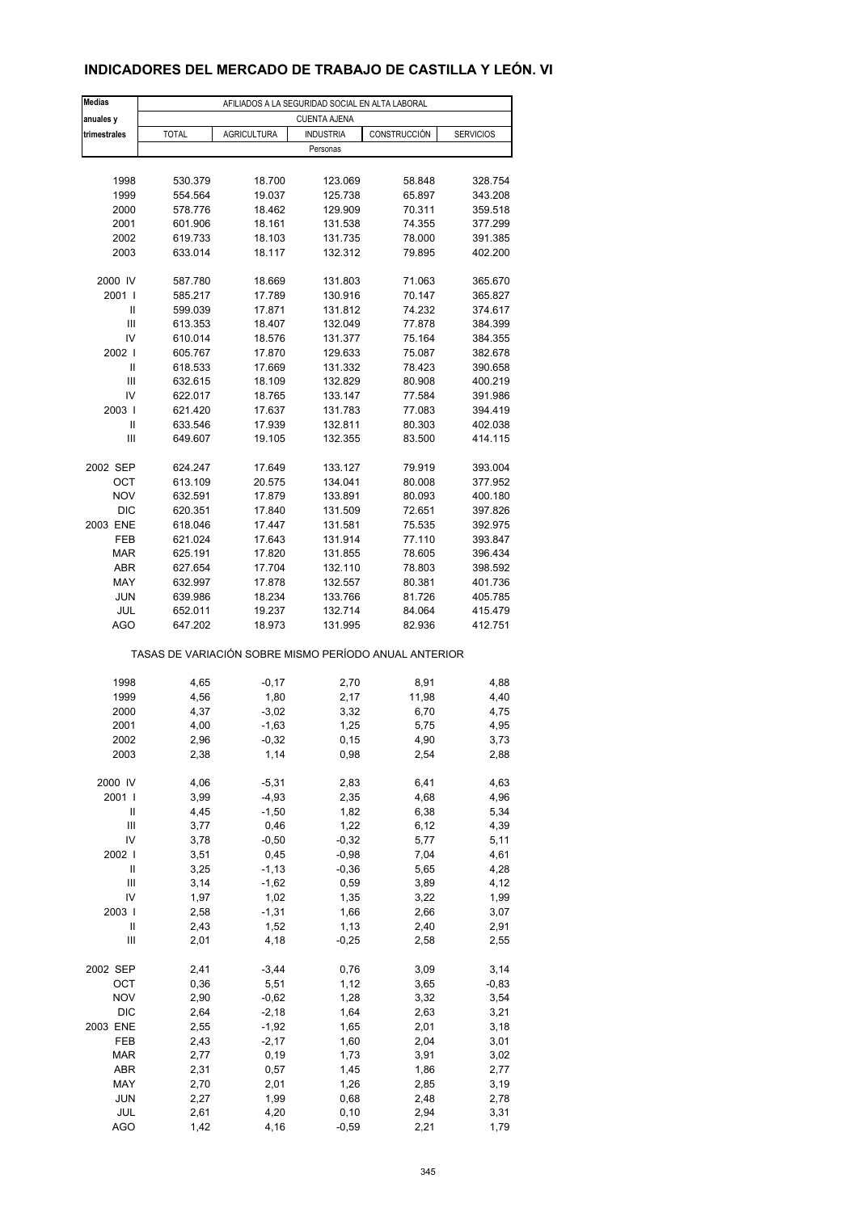### **INDICADORES DEL MERCADO DE TRABAJO DE CASTILLA Y LEÓN. VI**

| <b>Medias</b>                      | AFILIADOS A LA SEGURIDAD SOCIAL EN ALTA LABORAL |                    |                                                       |              |                  |  |  |  |
|------------------------------------|-------------------------------------------------|--------------------|-------------------------------------------------------|--------------|------------------|--|--|--|
| anuales y                          |                                                 |                    | <b>CUENTA AJENA</b>                                   |              |                  |  |  |  |
| trimestrales                       | <b>TOTAL</b>                                    | <b>AGRICULTURA</b> | <b>INDUSTRIA</b>                                      | CONSTRUCCIÓN | <b>SERVICIOS</b> |  |  |  |
|                                    |                                                 |                    | Personas                                              |              |                  |  |  |  |
|                                    |                                                 |                    |                                                       |              |                  |  |  |  |
| 1998                               | 530.379                                         | 18.700             | 123.069                                               | 58.848       | 328.754          |  |  |  |
| 1999                               | 554.564                                         | 19.037             | 125.738                                               | 65.897       | 343.208          |  |  |  |
| 2000                               | 578.776                                         | 18.462             | 129.909                                               | 70.311       | 359.518          |  |  |  |
| 2001                               | 601.906                                         | 18.161             | 131.538                                               | 74.355       | 377.299          |  |  |  |
| 2002                               | 619.733                                         | 18.103             | 131.735                                               | 78.000       | 391.385          |  |  |  |
| 2003                               | 633.014                                         | 18.117             | 132.312                                               | 79.895       | 402.200          |  |  |  |
| 2000 IV                            | 587.780                                         | 18.669             | 131.803                                               | 71.063       | 365.670          |  |  |  |
| 2001 l                             | 585.217                                         | 17.789             | 130.916                                               | 70.147       | 365.827          |  |  |  |
| Ш                                  | 599.039                                         | 17.871             | 131.812                                               | 74.232       | 374.617          |  |  |  |
| $\ensuremath{\mathsf{III}}\xspace$ | 613.353                                         | 18.407             | 132.049                                               | 77.878       | 384.399          |  |  |  |
| IV                                 | 610.014                                         | 18.576             | 131.377                                               | 75.164       | 384.355          |  |  |  |
| 2002                               | 605.767                                         | 17.870             | 129.633                                               | 75.087       | 382.678          |  |  |  |
| Ш                                  | 618.533                                         | 17.669             | 131.332                                               | 78.423       | 390.658          |  |  |  |
| Ш                                  | 632.615                                         | 18.109             | 132.829                                               | 80.908       | 400.219          |  |  |  |
| IV                                 | 622.017                                         | 18.765             | 133.147                                               | 77.584       | 391.986          |  |  |  |
| 2003                               | 621.420                                         | 17.637             | 131.783                                               | 77.083       | 394.419          |  |  |  |
| Ш                                  | 633.546                                         | 17.939             | 132.811                                               | 80.303       | 402.038          |  |  |  |
| Ш                                  | 649.607                                         | 19.105             | 132.355                                               | 83.500       | 414.115          |  |  |  |
|                                    |                                                 |                    |                                                       |              |                  |  |  |  |
| 2002 SEP                           | 624.247                                         | 17.649             | 133.127                                               | 79.919       | 393.004          |  |  |  |
| OCT                                | 613.109                                         | 20.575             | 134.041                                               | 80.008       | 377.952          |  |  |  |
| <b>NOV</b>                         | 632.591                                         | 17.879             | 133.891                                               | 80.093       | 400.180          |  |  |  |
| <b>DIC</b>                         | 620.351                                         | 17.840             | 131.509                                               | 72.651       | 397.826          |  |  |  |
| 2003 ENE                           | 618.046                                         | 17.447             | 131.581                                               | 75.535       | 392.975          |  |  |  |
| <b>FEB</b>                         | 621.024                                         | 17.643             | 131.914                                               | 77.110       | 393.847          |  |  |  |
| <b>MAR</b>                         | 625.191                                         | 17.820             | 131.855                                               | 78.605       | 396.434          |  |  |  |
| ABR                                | 627.654                                         | 17.704             | 132.110                                               | 78.803       | 398.592          |  |  |  |
| MAY                                | 632.997                                         | 17.878             | 132.557                                               | 80.381       | 401.736          |  |  |  |
| <b>JUN</b>                         | 639.986                                         | 18.234             | 133.766                                               | 81.726       | 405.785          |  |  |  |
| JUL                                | 652.011                                         | 19.237             | 132.714                                               | 84.064       | 415.479          |  |  |  |
| <b>AGO</b>                         | 647.202                                         | 18.973             | 131.995                                               | 82.936       | 412.751          |  |  |  |
|                                    |                                                 |                    | TASAS DE VARIACIÓN SOBRE MISMO PERÍODO ANUAL ANTERIOR |              |                  |  |  |  |
| 1998                               | 4,65                                            | $-0,17$            | 2,70                                                  | 8,91         | 4,88             |  |  |  |
| 1999                               | 4,56                                            | 1,80               | 2,17                                                  | 11,98        | 4,40             |  |  |  |
| 2000                               | 4,37                                            | $-3,02$            | 3,32                                                  | 6,70         | 4,75             |  |  |  |
| 2001                               | 4,00                                            | $-1,63$            | 1,25                                                  | 5,75         | 4,95             |  |  |  |
|                                    | 2,96                                            |                    |                                                       |              |                  |  |  |  |
| 2002<br>2003                       | 2,38                                            | $-0,32$<br>1,14    | 0,15<br>0,98                                          | 4,90<br>2,54 | 3,73<br>2,88     |  |  |  |
|                                    |                                                 |                    |                                                       |              |                  |  |  |  |
| 2000 IV                            | 4,06                                            | $-5,31$            | 2,83                                                  | 6,41         | 4,63             |  |  |  |
| 2001 l                             | 3,99                                            | $-4,93$            | 2,35                                                  | 4,68         | 4,96             |  |  |  |
| Ш                                  | 4,45                                            | $-1,50$            | 1,82                                                  | 6,38         | 5,34             |  |  |  |
| Ш                                  | 3,77                                            | 0,46               | 1,22                                                  | 6, 12        | 4,39             |  |  |  |
| IV                                 | 3,78                                            | $-0,50$            | $-0,32$                                               | 5,77         | 5,11             |  |  |  |
| 2002                               | 3,51                                            | 0,45               | $-0,98$                                               | 7,04         | 4,61             |  |  |  |
| Ш                                  | 3,25                                            | $-1, 13$           | $-0,36$                                               | 5,65         | 4,28             |  |  |  |
| $\ensuremath{\mathsf{III}}\xspace$ | 3,14                                            | $-1,62$            | 0,59                                                  | 3,89         | 4,12             |  |  |  |
| IV                                 | 1,97                                            | 1,02               | 1,35                                                  | 3,22         | 1,99             |  |  |  |
| 2003                               | 2,58                                            | $-1,31$            | 1,66                                                  | 2,66         | 3,07             |  |  |  |
| Ш                                  | 2,43                                            | 1,52               | 1,13                                                  | 2,40         | 2,91             |  |  |  |
| Ш                                  | 2,01                                            | 4,18               | $-0,25$                                               | 2,58         | 2,55             |  |  |  |
| 2002 SEP                           | 2,41                                            | $-3,44$            | 0,76                                                  | 3,09         | 3,14             |  |  |  |
| OCT                                | 0,36                                            | 5,51               | 1,12                                                  | 3,65         | $-0,83$          |  |  |  |
| <b>NOV</b>                         | 2,90                                            | $-0,62$            | 1,28                                                  | 3,32         | 3,54             |  |  |  |
| DIC                                | 2,64                                            | $-2,18$            | 1,64                                                  | 2,63         | 3,21             |  |  |  |
| 2003 ENE                           | 2,55                                            | $-1,92$            | 1,65                                                  | 2,01         | 3,18             |  |  |  |
| FEB                                | 2,43                                            | $-2,17$            | 1,60                                                  | 2,04         | 3,01             |  |  |  |
| <b>MAR</b>                         | 2,77                                            | 0, 19              | 1,73                                                  | 3,91         | 3,02             |  |  |  |
| ABR                                | 2,31                                            | 0,57               | 1,45                                                  | 1,86         | 2,77             |  |  |  |
| MAY                                | 2,70                                            | 2,01               | 1,26                                                  | 2,85         | 3,19             |  |  |  |
| <b>JUN</b>                         | 2,27                                            | 1,99               | 0,68                                                  | 2,48         | 2,78             |  |  |  |
| JUL                                | 2,61                                            | 4,20               | 0, 10                                                 | 2,94         | 3,31             |  |  |  |
| <b>AGO</b>                         | 1,42                                            | 4,16               | $-0,59$                                               | 2,21         | 1,79             |  |  |  |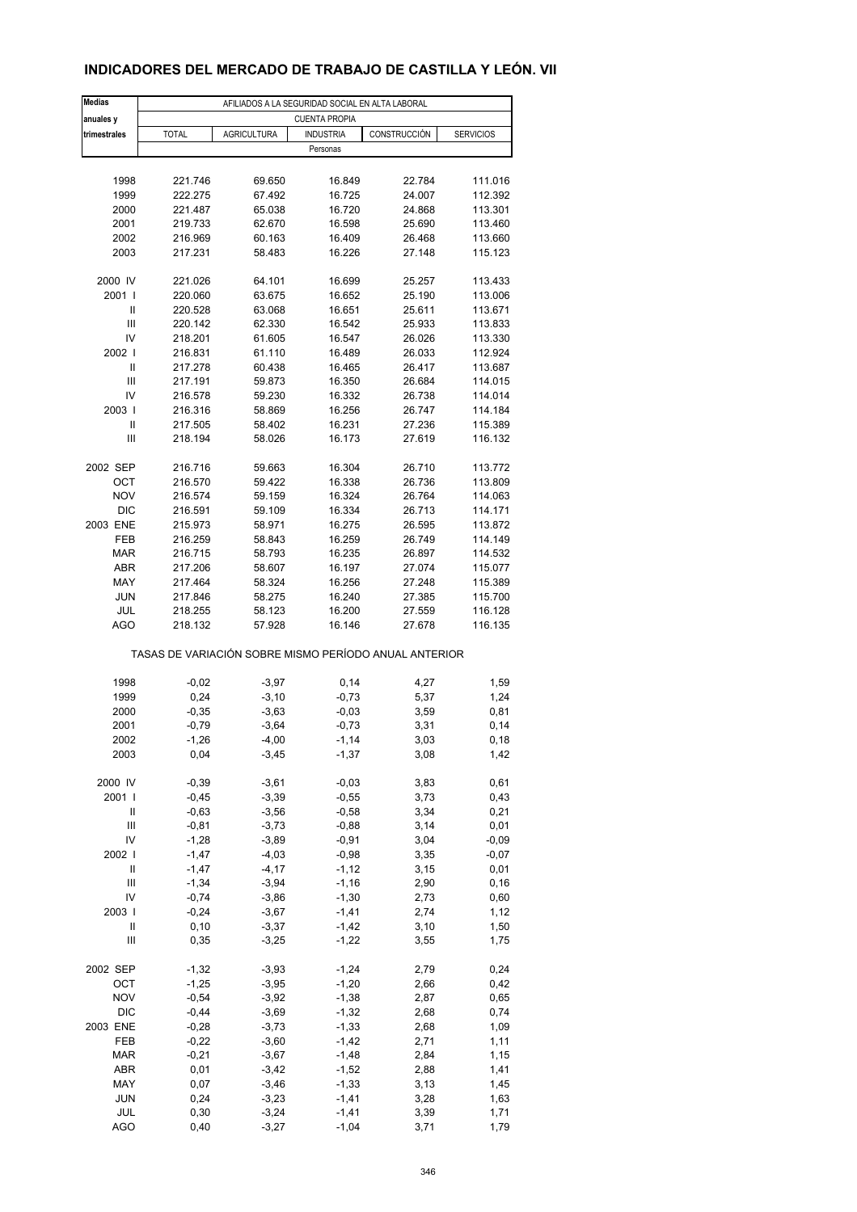### **INDICADORES DEL MERCADO DE TRABAJO DE CASTILLA Y LEÓN. VII**

| <b>Medias</b>     | AFILIADOS A LA SEGURIDAD SOCIAL EN ALTA LABORAL       |                    |                      |              |                    |  |  |  |
|-------------------|-------------------------------------------------------|--------------------|----------------------|--------------|--------------------|--|--|--|
| anuales y         |                                                       |                    | <b>CUENTA PROPIA</b> |              |                    |  |  |  |
| trimestrales      | <b>TOTAL</b>                                          | <b>AGRICULTURA</b> | <b>INDUSTRIA</b>     | CONSTRUCCIÓN | <b>SERVICIOS</b>   |  |  |  |
|                   |                                                       |                    | Personas             |              |                    |  |  |  |
|                   |                                                       |                    |                      |              |                    |  |  |  |
| 1998              | 221.746                                               | 69.650             | 16.849               | 22.784       | 111.016            |  |  |  |
| 1999              | 222.275                                               | 67.492             | 16.725               | 24.007       | 112.392            |  |  |  |
| 2000              | 221.487                                               | 65.038             | 16.720               | 24.868       | 113.301            |  |  |  |
| 2001              | 219.733                                               | 62.670             | 16.598               | 25.690       | 113.460            |  |  |  |
| 2002              | 216.969                                               | 60.163             | 16.409               | 26.468       | 113.660            |  |  |  |
| 2003              | 217.231                                               | 58.483             | 16.226               | 27.148       | 115.123            |  |  |  |
|                   |                                                       |                    |                      |              |                    |  |  |  |
| 2000 IV           | 221.026                                               | 64.101             | 16.699               | 25.257       | 113.433            |  |  |  |
| 2001 l            | 220.060                                               | 63.675             | 16.652               | 25.190       | 113.006            |  |  |  |
| Ш                 | 220.528                                               | 63.068             | 16.651               | 25.611       | 113.671            |  |  |  |
| Ш                 | 220.142                                               | 62.330             | 16.542               | 25.933       | 113.833            |  |  |  |
| IV                | 218.201                                               | 61.605             | 16.547               | 26.026       | 113.330            |  |  |  |
| 2002              | 216.831                                               | 61.110             | 16.489               | 26.033       | 112.924            |  |  |  |
| Ш                 | 217.278                                               | 60.438             | 16.465               | 26.417       | 113.687            |  |  |  |
| Ш                 | 217.191                                               | 59.873             | 16.350               | 26.684       | 114.015            |  |  |  |
| IV                | 216.578                                               | 59.230             | 16.332               | 26.738       | 114.014            |  |  |  |
| 2003              | 216.316                                               | 58.869             | 16.256               | 26.747       | 114.184            |  |  |  |
| Ш                 | 217.505                                               | 58.402             | 16.231               | 27.236       | 115.389            |  |  |  |
| Ш                 | 218.194                                               | 58.026             | 16.173               | 27.619       | 116.132            |  |  |  |
|                   |                                                       |                    |                      |              |                    |  |  |  |
| 2002 SEP          | 216.716                                               |                    |                      |              |                    |  |  |  |
|                   |                                                       | 59.663<br>59.422   | 16.304<br>16.338     | 26.710       | 113.772            |  |  |  |
| ОСТ<br><b>NOV</b> | 216.570                                               |                    |                      | 26.736       | 113.809<br>114.063 |  |  |  |
|                   | 216.574                                               | 59.159             | 16.324               | 26.764       |                    |  |  |  |
| <b>DIC</b>        | 216.591                                               | 59.109             | 16.334               | 26.713       | 114.171            |  |  |  |
| 2003 ENE          | 215.973                                               | 58.971             | 16.275               | 26.595       | 113.872            |  |  |  |
| FEB               | 216.259                                               | 58.843             | 16.259               | 26.749       | 114.149            |  |  |  |
| <b>MAR</b>        | 216.715                                               | 58.793             | 16.235               | 26.897       | 114.532            |  |  |  |
| <b>ABR</b>        | 217.206                                               | 58.607             | 16.197               | 27.074       | 115.077            |  |  |  |
| MAY               | 217.464                                               | 58.324             | 16.256               | 27.248       | 115.389            |  |  |  |
| <b>JUN</b>        | 217.846                                               | 58.275             | 16.240               | 27.385       | 115.700            |  |  |  |
| JUL               | 218.255                                               | 58.123             | 16.200               | 27.559       | 116.128            |  |  |  |
| <b>AGO</b>        | 218.132                                               | 57.928             | 16.146               | 27.678       | 116.135            |  |  |  |
|                   | TASAS DE VARIACIÓN SOBRE MISMO PERÍODO ANUAL ANTERIOR |                    |                      |              |                    |  |  |  |
|                   |                                                       |                    |                      |              |                    |  |  |  |
| 1998              | $-0,02$                                               | $-3,97$            | 0,14                 | 4,27         | 1,59               |  |  |  |
| 1999              | 0,24                                                  | $-3,10$            | $-0,73$              | 5,37         | 1,24               |  |  |  |
| 2000              | $-0,35$                                               | $-3,63$            | $-0,03$              | 3,59         | 0,81               |  |  |  |
| 2001              | $-0,79$                                               | $-3,64$            | $-0,73$              | 3,31         | 0,14               |  |  |  |
| 2002              | -1,26                                                 | -4,00              | -1,14                | 3,03         | 0,18               |  |  |  |
| 2003              | 0,04                                                  | $-3,45$            | $-1,37$              | 3,08         | 1,42               |  |  |  |
|                   |                                                       |                    |                      |              |                    |  |  |  |
| 2000 IV           | $-0,39$                                               | $-3,61$            | $-0,03$              | 3,83         | 0,61               |  |  |  |
| 2001              | $-0,45$                                               | $-3,39$            | $-0,55$              | 3,73         | 0,43               |  |  |  |
| Ш                 | $-0,63$                                               | $-3,56$            | $-0,58$              | 3,34         | 0,21               |  |  |  |
| Ш                 | $-0,81$                                               | $-3,73$            | $-0,88$              | 3,14         | 0,01               |  |  |  |
| IV                | $-1,28$                                               | $-3,89$            | $-0,91$              | 3,04         | $-0,09$            |  |  |  |
| 2002              | $-1,47$                                               | $-4,03$            | $-0,98$              | 3,35         | $-0,07$            |  |  |  |
| $\sf II$          | $-1,47$                                               | $-4, 17$           | $-1, 12$             | 3,15         | 0,01               |  |  |  |
| Ш                 | $-1,34$                                               | $-3,94$            | $-1,16$              | 2,90         | 0, 16              |  |  |  |
| IV                | $-0,74$                                               | $-3,86$            | $-1,30$              | 2,73         | 0,60               |  |  |  |
| 2003              | $-0,24$                                               | $-3,67$            | $-1,41$              | 2,74         | 1,12               |  |  |  |
| $\mathsf{II}$     | 0, 10                                                 | $-3,37$            | $-1,42$              | 3,10         | 1,50               |  |  |  |
| Ш                 | 0,35                                                  | $-3,25$            | $-1,22$              | 3,55         | 1,75               |  |  |  |
|                   |                                                       |                    |                      |              |                    |  |  |  |
| 2002 SEP          | $-1,32$                                               | $-3,93$            | $-1,24$              | 2,79         | 0,24               |  |  |  |
| OCT               | $-1,25$                                               | $-3,95$            | $-1,20$              | 2,66         | 0,42               |  |  |  |
| <b>NOV</b>        | $-0,54$                                               | $-3,92$            | $-1,38$              | 2,87         | 0,65               |  |  |  |
| DIC               | $-0,44$                                               | $-3,69$            | $-1,32$              | 2,68         | 0,74               |  |  |  |
| 2003 ENE          | $-0,28$                                               | $-3,73$            | $-1,33$              | 2,68         | 1,09               |  |  |  |
| FEB               | $-0,22$                                               | $-3,60$            | $-1,42$              | 2,71         | 1,11               |  |  |  |
| <b>MAR</b>        | $-0,21$                                               | $-3,67$            | $-1,48$              | 2,84         | 1,15               |  |  |  |
| ABR               | 0,01                                                  | $-3,42$            | $-1,52$              | 2,88         | 1,41               |  |  |  |
| MAY               | 0,07                                                  | $-3,46$            | $-1,33$              | 3,13         | 1,45               |  |  |  |
| <b>JUN</b>        | 0,24                                                  | $-3,23$            | $-1,41$              | 3,28         | 1,63               |  |  |  |
| JUL               | 0,30                                                  | $-3,24$            | $-1,41$              | 3,39         | 1,71               |  |  |  |
| <b>AGO</b>        | 0,40                                                  | $-3,27$            | $-1,04$              | 3,71         | 1,79               |  |  |  |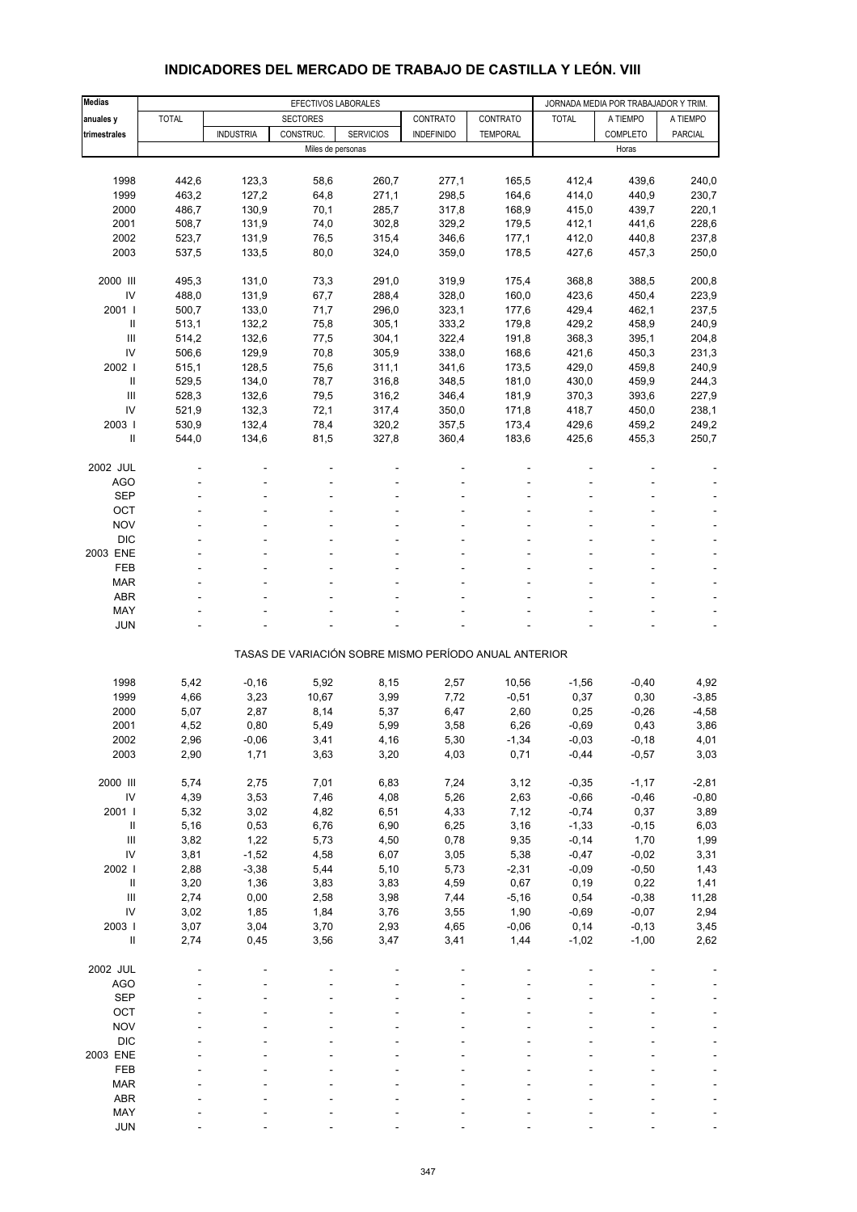| <b>Medias</b>                      |              | EFECTIVOS LABORALES |                   |                  |                                                       |                 |              | JORNADA MEDIA POR TRABAJADOR Y TRIM. |                |
|------------------------------------|--------------|---------------------|-------------------|------------------|-------------------------------------------------------|-----------------|--------------|--------------------------------------|----------------|
| anuales y                          | <b>TOTAL</b> |                     | <b>SECTORES</b>   |                  | CONTRATO                                              | CONTRATO        | <b>TOTAL</b> | A TIEMPO                             | A TIEMPO       |
| trimestrales                       |              | <b>INDUSTRIA</b>    | CONSTRUC.         | <b>SERVICIOS</b> | <b>INDEFINIDO</b>                                     | <b>TEMPORAL</b> |              | <b>COMPLETO</b>                      | <b>PARCIAL</b> |
|                                    |              |                     | Miles de personas |                  |                                                       |                 |              | Horas                                |                |
|                                    |              |                     |                   |                  |                                                       |                 |              |                                      |                |
| 1998                               | 442,6        | 123,3               | 58,6              | 260,7            | 277,1                                                 | 165,5           | 412,4        | 439,6                                | 240,0          |
| 1999                               | 463,2        | 127,2               | 64,8              | 271,1            | 298,5                                                 | 164,6           | 414,0        | 440,9                                | 230,7          |
| 2000                               | 486,7        | 130,9               | 70,1              | 285,7            | 317,8                                                 | 168,9           | 415,0        | 439,7                                | 220,1          |
| 2001                               | 508,7        | 131,9               | 74,0              | 302,8            | 329,2                                                 | 179,5           | 412,1        | 441,6                                | 228,6          |
| 2002                               | 523,7        | 131,9               | 76,5              | 315,4            | 346,6                                                 | 177,1           | 412,0        | 440,8                                | 237,8          |
| 2003                               | 537,5        | 133,5               | 80,0              | 324,0            | 359,0                                                 | 178,5           | 427,6        | 457,3                                | 250,0          |
| 2000 III                           | 495,3        | 131,0               | 73,3              | 291,0            | 319,9                                                 | 175,4           | 368,8        | 388,5                                | 200,8          |
| IV                                 | 488,0        | 131,9               | 67,7              | 288,4            | 328,0                                                 | 160,0           | 423,6        | 450,4                                | 223,9          |
| 2001 l                             | 500,7        | 133,0               | 71,7              | 296,0            | 323,1                                                 | 177,6           | 429,4        | 462,1                                | 237,5          |
| $\ensuremath{\mathsf{II}}$         | 513,1        | 132,2               | 75,8              | 305,1            | 333,2                                                 | 179,8           | 429,2        | 458,9                                | 240,9          |
| Ш                                  | 514,2        | 132,6               | 77,5              | 304,1            | 322,4                                                 | 191,8           | 368,3        | 395,1                                | 204,8          |
| IV                                 | 506,6        | 129,9               | 70,8              | 305,9            | 338,0                                                 | 168,6           | 421,6        | 450,3                                | 231,3          |
| 2002                               | 515,1        | 128,5               | 75,6              | 311,1            | 341,6                                                 | 173,5           | 429,0        | 459,8                                | 240,9          |
| Ш                                  | 529,5        | 134,0               | 78,7              | 316,8            | 348,5                                                 | 181,0           | 430,0        | 459,9                                | 244,3          |
| Ш                                  | 528,3        | 132,6               | 79,5              | 316,2            | 346,4                                                 | 181,9           | 370,3        | 393,6                                | 227,9          |
| IV                                 | 521,9        | 132,3               | 72,1              | 317,4            | 350,0                                                 | 171,8           | 418,7        | 450,0                                | 238,1          |
| 2003                               | 530,9        | 132,4               | 78,4              | 320,2            | 357,5                                                 | 173,4           | 429,6        | 459,2                                | 249,2          |
| Ш                                  | 544,0        | 134,6               | 81,5              | 327,8            | 360,4                                                 | 183,6           | 425,6        | 455,3                                | 250,7          |
|                                    |              |                     |                   |                  |                                                       |                 |              |                                      |                |
| 2002 JUL<br><b>AGO</b>             |              |                     |                   |                  |                                                       |                 |              |                                      |                |
| <b>SEP</b>                         |              |                     |                   |                  |                                                       |                 |              |                                      |                |
| OCT                                |              |                     |                   |                  |                                                       |                 |              |                                      |                |
| <b>NOV</b>                         |              |                     |                   |                  |                                                       |                 |              |                                      |                |
| <b>DIC</b>                         |              |                     |                   |                  |                                                       |                 |              |                                      |                |
| 2003 ENE                           |              |                     |                   |                  |                                                       |                 |              |                                      |                |
| <b>FEB</b>                         |              |                     |                   |                  |                                                       |                 |              |                                      |                |
| <b>MAR</b>                         |              |                     |                   |                  |                                                       |                 |              |                                      |                |
| <b>ABR</b>                         |              |                     |                   |                  |                                                       |                 |              |                                      |                |
| MAY                                |              |                     |                   |                  |                                                       |                 |              |                                      |                |
| <b>JUN</b>                         |              |                     |                   |                  |                                                       |                 |              |                                      |                |
|                                    |              |                     |                   |                  | TASAS DE VARIACIÓN SOBRE MISMO PERÍODO ANUAL ANTERIOR |                 |              |                                      |                |
| 1998                               | 5,42         | $-0,16$             | 5,92              | 8,15             | 2,57                                                  | 10,56           | $-1,56$      | $-0,40$                              | 4,92           |
| 1999                               | 4,66         | 3,23                | 10,67             | 3,99             | 7,72                                                  | $-0,51$         | 0,37         | 0,30                                 | $-3,85$        |
| 2000                               | 5,07         | 2,87                | 8,14              | 5,37             | 6,47                                                  | 2,60            | 0,25         | $-0,26$                              | $-4,58$        |
| 2001                               | 4,52         | 0,80                | 5,49              | 5,99             | 3,58                                                  | 6,26            | $-0,69$      | 0,43                                 | 3,86           |
| 2002                               | 2,96         | $-0,06$             | 3,41              | 4,16             | 5,30                                                  | $-1,34$         | $-0,03$      | $-0,18$                              | 4,01           |
| 2003                               | 2,90         | 1,71                | 3,63              | 3,20             | 4,03                                                  | 0,71            | $-0,44$      | $-0,57$                              | 3,03           |
|                                    |              |                     |                   |                  |                                                       |                 |              |                                      |                |
| 2000 III                           | 5,74         | 2,75                | 7,01              | 6,83             | 7,24                                                  | 3,12            | $-0,35$      | $-1,17$                              | $-2,81$        |
| ${\sf IV}$                         | 4,39         | 3,53                | 7,46              | 4,08             | 5,26                                                  | 2,63            | $-0,66$      | $-0,46$                              | $-0,80$        |
| 2001                               | 5,32         | 3,02                | 4,82              | 6,51             | 4,33                                                  | 7,12            | $-0,74$      | 0,37                                 | 3,89           |
| $\ensuremath{\mathsf{II}}$         | 5,16         | 0,53                | 6,76              | 6,90             | 6,25                                                  | 3,16            | $-1,33$      | $-0, 15$                             | 6,03           |
| $\ensuremath{\mathsf{III}}\xspace$ | 3,82         | 1,22                | 5,73              | 4,50             | 0,78                                                  | 9,35            | $-0,14$      | 1,70                                 | 1,99           |
| IV                                 | 3,81         | $-1,52$             | 4,58              | 6,07             | 3,05                                                  | 5,38            | $-0,47$      | $-0,02$                              | 3,31           |
| 2002 l                             | 2,88         | $-3,38$             | 5,44              | 5,10             | 5,73                                                  | $-2,31$         | $-0,09$      | $-0,50$                              | 1,43           |
| $\ensuremath{\mathsf{II}}$         | 3,20         | 1,36                | 3,83              | 3,83             | 4,59                                                  | 0,67            | 0, 19        | 0,22                                 | 1,41           |
| $\ensuremath{\mathsf{III}}\xspace$ | 2,74         | 0,00                | 2,58              | 3,98             | 7,44                                                  | $-5,16$         | 0,54         | $-0,38$                              | 11,28          |
| IV                                 | 3,02         | 1,85                | 1,84              | 3,76             | 3,55                                                  | 1,90            | $-0,69$      | $-0,07$                              | 2,94           |
| 2003 l                             | 3,07         | 3,04                | 3,70              | 2,93             | 4,65                                                  | $-0,06$         | 0,14         | $-0,13$                              | 3,45           |
| $\sf II$                           | 2,74         | 0,45                | 3,56              | 3,47             | 3,41                                                  | 1,44            | $-1,02$      | $-1,00$                              | 2,62           |
| 2002 JUL                           |              |                     |                   |                  |                                                       |                 |              |                                      |                |
| <b>AGO</b>                         |              |                     |                   |                  |                                                       |                 |              |                                      |                |
| <b>SEP</b>                         |              |                     |                   |                  |                                                       |                 |              |                                      |                |
| OCT                                |              |                     |                   |                  |                                                       |                 |              |                                      |                |
| <b>NOV</b>                         |              |                     |                   |                  |                                                       |                 |              |                                      |                |
| <b>DIC</b>                         |              |                     |                   |                  |                                                       |                 |              |                                      |                |
| 2003 ENE                           |              |                     |                   |                  |                                                       |                 |              |                                      |                |
| FEB                                |              |                     |                   |                  |                                                       |                 |              |                                      |                |
| <b>MAR</b>                         |              |                     |                   |                  |                                                       |                 |              |                                      |                |
| ABR                                |              |                     |                   |                  |                                                       |                 |              |                                      |                |
| MAY                                |              |                     |                   |                  |                                                       |                 |              |                                      |                |
| <b>JUN</b>                         |              |                     |                   |                  |                                                       |                 |              |                                      |                |

#### **INDICADORES DEL MERCADO DE TRABAJO DE CASTILLA Y LEÓN. VIII**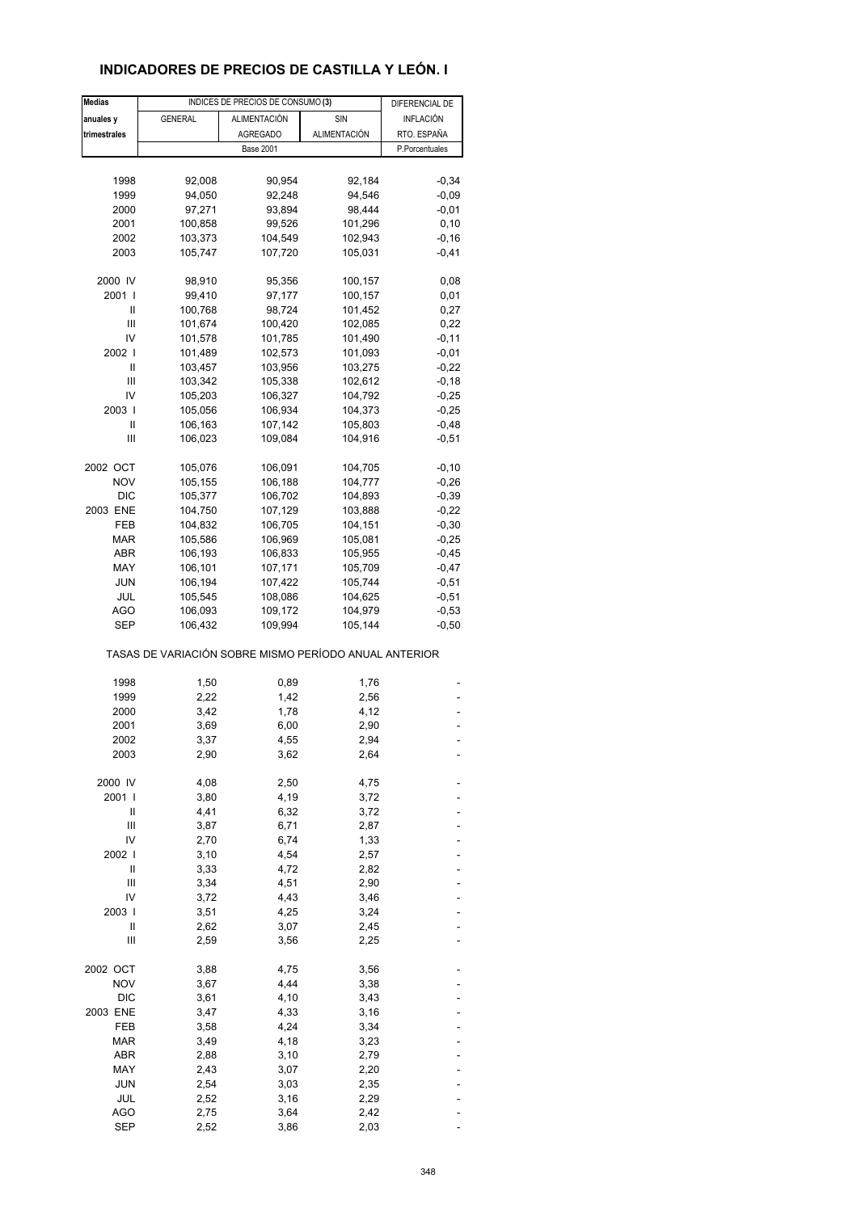### **INDICADORES DE PRECIOS DE CASTILLA Y LEÓN. I**

| <b>Medias</b> |                                                       | INDICES DE PRECIOS DE CONSUMO (3) |                     | DIFERENCIAL DE |
|---------------|-------------------------------------------------------|-----------------------------------|---------------------|----------------|
| anuales y     | <b>GENERAL</b>                                        | ALIMENTACIÓN                      | SIN                 | INFLACIÓN      |
| trimestrales  |                                                       | <b>AGREGADO</b>                   | <b>ALIMENTACIÓN</b> | RTO. ESPAÑA    |
|               |                                                       | <b>Base 2001</b>                  |                     | P.Porcentuales |
|               |                                                       |                                   |                     |                |
|               |                                                       |                                   |                     |                |
| 1998          | 92,008                                                | 90,954                            | 92,184              | $-0,34$        |
| 1999          | 94,050                                                | 92,248                            | 94,546              | $-0,09$        |
| 2000          | 97,271                                                | 93,894                            | 98,444              | $-0,01$        |
| 2001          | 100,858                                               | 99,526                            | 101,296             | 0, 10          |
| 2002          | 103,373                                               | 104,549                           | 102,943             | $-0,16$        |
| 2003          | 105,747                                               | 107,720                           | 105,031             | $-0,41$        |
| 2000 IV       | 98,910                                                | 95,356                            | 100,157             | 0,08           |
| 2001 l        | 99,410                                                | 97,177                            | 100,157             | 0,01           |
| Ш             | 100,768                                               | 98,724                            | 101,452             | 0,27           |
| Ш             | 101,674                                               | 100,420                           | 102,085             | 0,22           |
| IV            |                                                       | 101,785                           | 101,490             | $-0,11$        |
|               | 101,578                                               |                                   |                     |                |
| 2002 l        | 101,489                                               | 102,573                           | 101,093             | $-0,01$        |
| Ш             | 103,457                                               | 103,956                           | 103,275             | $-0,22$        |
| Ш             | 103,342                                               | 105,338                           | 102,612             | $-0,18$        |
| IV            | 105,203                                               | 106,327                           | 104,792             | $-0,25$        |
| 2003          | 105,056                                               | 106,934                           | 104,373             | $-0,25$        |
| Ш             | 106,163                                               | 107,142                           | 105,803             | $-0,48$        |
| Ш             | 106,023                                               | 109,084                           | 104,916             | $-0,51$        |
|               |                                                       |                                   |                     |                |
| 2002 OCT      | 105,076                                               | 106,091                           | 104,705             | $-0,10$        |
| <b>NOV</b>    | 105,155                                               | 106,188                           | 104,777             | $-0,26$        |
| <b>DIC</b>    | 105,377                                               | 106,702                           | 104,893             | $-0,39$        |
| 2003 ENE      | 104,750                                               | 107,129                           | 103,888             | $-0,22$        |
| FEB           | 104,832                                               | 106,705                           | 104,151             | $-0,30$        |
| MAR           | 105,586                                               | 106,969                           | 105,081             | $-0,25$        |
| ABR           | 106,193                                               | 106,833                           | 105,955             | $-0,45$        |
| MAY           | 106,101                                               | 107,171                           | 105,709             | $-0,47$        |
| <b>JUN</b>    | 106,194                                               | 107,422                           | 105,744             | $-0,51$        |
| JUL           | 105,545                                               | 108,086                           | 104,625             | $-0,51$        |
| AGO           | 106,093                                               | 109,172                           | 104,979             | $-0,53$        |
| SEP           | 106,432                                               | 109,994                           | 105,144             | $-0,50$        |
|               | TASAS DE VARIACIÓN SOBRE MISMO PERÍODO ANUAL ANTERIOR |                                   |                     |                |
|               |                                                       |                                   |                     |                |
| 1998          | 1,50                                                  | 0,89                              | 1,76                |                |
| 1999          | 2,22                                                  | 1,42                              | 2,56                |                |
| 2000          | 3,42                                                  | 1,78                              | 4,12                |                |
| 2001          | 3,69                                                  | 6,00                              | 2,90                |                |
| 2002          | 3,37                                                  | 4,55                              | 2,94                |                |
| 2003          | 2,90                                                  | 3,62                              | 2,64                |                |
| 2000 IV       | 4,08                                                  | 2,50                              | 4,75                |                |
| 2001 l        | 3,80                                                  | 4,19                              | 3,72                |                |
|               |                                                       |                                   |                     |                |
| Ш             | 4,41                                                  | 6,32                              | 3,72                |                |
| Ш             | 3,87                                                  | 6,71                              | 2,87                |                |
| IV            | 2,70                                                  | 6,74                              | 1,33                |                |
| 2002          | 3,10                                                  | 4,54                              | 2,57                |                |
| Ш             | 3,33                                                  | 4,72                              | 2,82                |                |
| Ш             | 3,34                                                  | 4,51                              | 2,90                |                |
| IV            | 3,72                                                  | 4,43                              | 3,46                |                |
| 2003          | 3,51                                                  | 4,25                              | 3,24                |                |
| Ш             | 2,62                                                  | 3,07                              | 2,45                |                |
| Ш             | 2,59                                                  | 3,56                              | 2,25                |                |
| 2002 OCT      | 3,88                                                  | 4,75                              | 3,56                |                |
| <b>NOV</b>    | 3,67                                                  | 4,44                              | 3,38                |                |
| <b>DIC</b>    | 3,61                                                  | 4,10                              | 3,43                |                |
| 2003 ENE      | 3,47                                                  | 4,33                              | 3,16                |                |
| FEB           | 3,58                                                  | 4,24                              | 3,34                |                |
| <b>MAR</b>    | 3,49                                                  | 4,18                              | 3,23                |                |
|               |                                                       |                                   |                     |                |
| ABR           | 2,88                                                  | 3,10                              | 2,79                |                |
| MAY           | 2,43                                                  | 3,07                              | 2,20                |                |
| JUN           | 2,54                                                  | 3,03                              | 2,35                |                |
| JUL           | 2,52                                                  | 3,16                              | 2,29                |                |
| <b>AGO</b>    | 2,75                                                  | 3,64                              | 2,42                |                |
| <b>SEP</b>    | 2,52                                                  | 3,86                              | 2,03                |                |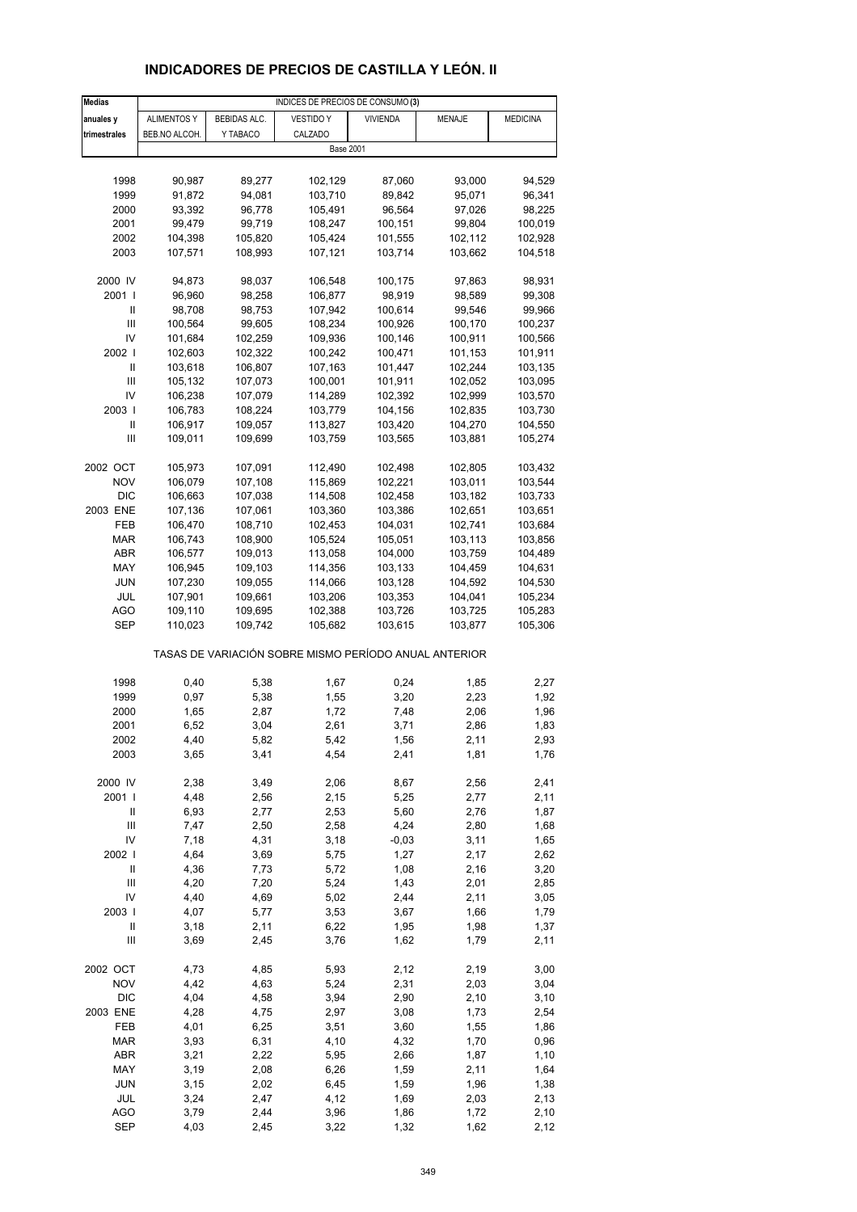# **INDICADORES DE PRECIOS DE CASTILLA Y LEÓN. II**

| <b>Medias</b>  |                    |                     | INDICES DE PRECIOS DE CONSUMO (3)                     |                    |                    |                    |
|----------------|--------------------|---------------------|-------------------------------------------------------|--------------------|--------------------|--------------------|
| anuales y      | <b>ALIMENTOS Y</b> | <b>BEBIDAS ALC.</b> | <b>VESTIDO Y</b>                                      | <b>VIVIENDA</b>    | <b>MENAJE</b>      | <b>MEDICINA</b>    |
| trimestrales   | BEB.NO ALCOH.      | Y TABACO            | CALZADO                                               |                    |                    |                    |
|                |                    |                     | <b>Base 2001</b>                                      |                    |                    |                    |
|                |                    |                     |                                                       |                    |                    |                    |
| 1998           | 90,987             | 89,277              | 102,129                                               | 87,060             | 93,000             | 94,529             |
| 1999           | 91,872             | 94,081              | 103,710                                               | 89,842             | 95,071             | 96,341             |
| 2000           | 93,392             | 96,778              | 105,491                                               | 96,564             | 97,026             | 98,225             |
| 2001           | 99,479             | 99,719              | 108,247                                               | 100,151            | 99,804             | 100,019            |
| 2002           | 104,398            | 105,820             | 105,424                                               | 101,555            | 102,112            | 102,928            |
| 2003           | 107,571            | 108,993             | 107,121                                               | 103,714            | 103,662            | 104,518            |
|                |                    |                     |                                                       |                    |                    |                    |
| 2000 IV        | 94,873             | 98,037              | 106,548                                               | 100,175            | 97,863             | 98,931             |
| 2001 l         | 96,960             | 98,258              | 106,877                                               | 98,919             | 98,589             | 99,308             |
| Ш              | 98,708             | 98,753              | 107,942                                               | 100,614            | 99,546             | 99,966             |
| Ш              | 100,564            | 99,605              | 108,234                                               | 100,926            | 100,170            | 100,237            |
| IV             | 101,684            | 102,259             | 109,936                                               | 100,146            | 100,911            | 100,566            |
| 2002           | 102,603            | 102,322             | 100,242                                               | 100,471            | 101,153            | 101,911            |
| Ш              | 103,618            | 106,807             | 107,163                                               | 101,447            | 102,244            | 103,135            |
| Ш              | 105,132            | 107,073             | 100,001                                               | 101,911            | 102,052            | 103,095            |
| IV             | 106,238            | 107,079             | 114,289                                               | 102,392            | 102,999            | 103,570            |
|                |                    |                     |                                                       | 104,156            |                    |                    |
| 2003           | 106,783            | 108,224             | 103,779                                               | 103,420            | 102,835            | 103,730            |
| Ш<br>Ш         | 106,917            | 109,057<br>109,699  | 113,827                                               | 103,565            | 104,270            | 104,550<br>105,274 |
|                | 109,011            |                     | 103,759                                               |                    | 103,881            |                    |
| 2002 OCT       |                    | 107,091             |                                                       |                    |                    |                    |
| <b>NOV</b>     | 105,973<br>106,079 | 107,108             | 112,490<br>115,869                                    | 102,498<br>102,221 | 102,805<br>103,011 | 103,432<br>103,544 |
|                |                    |                     |                                                       |                    |                    |                    |
| <b>DIC</b>     | 106,663            | 107,038             | 114,508                                               | 102,458            | 103,182            | 103,733            |
| 2003 ENE       | 107,136            | 107,061             | 103,360                                               | 103,386            | 102,651            | 103,651            |
| FEB            | 106,470            | 108,710             | 102,453                                               | 104,031            | 102,741            | 103,684            |
| <b>MAR</b>     | 106,743            | 108,900             | 105,524                                               | 105,051            | 103,113            | 103,856            |
| ABR            | 106,577            | 109,013             | 113,058                                               | 104,000            | 103,759            | 104,489            |
| MAY            | 106,945            | 109,103             | 114,356                                               | 103,133            | 104,459            | 104,631            |
| JUN            | 107,230            | 109,055             | 114,066                                               | 103,128            | 104,592            | 104,530            |
| JUL            | 107,901            | 109,661             | 103,206                                               | 103,353            | 104,041            | 105,234            |
| AGO            | 109,110            | 109,695             | 102,388                                               | 103,726            | 103,725            | 105,283            |
| <b>SEP</b>     | 110,023            | 109,742             | 105,682                                               | 103,615            | 103,877            | 105,306            |
|                |                    |                     | TASAS DE VARIACIÓN SOBRE MISMO PERÍODO ANUAL ANTERIOR |                    |                    |                    |
| 1998           | 0,40               | 5,38                | 1,67                                                  | 0,24               | 1,85               | 2,27               |
| 1999           | 0,97               | 5,38                | 1,55                                                  | 3,20               | 2,23               | 1,92               |
| 2000           | 1,65               | 2,87                | 1,72                                                  | 7,48               | 2,06               | 1,96               |
| 2001           | 6,52               | 3,04                | 2,61                                                  | 3,71               | 2,86               | 1,83               |
| 2002           | 4,40               | 5,82                | 5,42                                                  | 1,56               | 2,11               | 2,93               |
| 2003           | 3,65               | 3,41                | 4,54                                                  | 2,41               | 1,81               | 1,76               |
|                |                    |                     |                                                       |                    |                    |                    |
| 2000 IV        | 2,38               | 3,49                | 2,06                                                  | 8,67               | 2,56               | 2,41               |
| 2001 l         | 4,48               | 2,56                | 2,15                                                  | 5,25               | 2,77               | 2,11               |
| Ш              | 6,93               | 2,77                | 2,53                                                  | 5,60               | 2,76               | 1,87               |
| $\mathbf{III}$ | 7,47               | 2,50                | 2,58                                                  | 4,24               | 2,80               | 1,68               |
| IV             | 7,18               | 4,31                | 3,18                                                  | $-0,03$            | 3,11               | 1,65               |
| 2002           | 4,64               | 3,69                | 5,75                                                  | 1,27               | 2,17               | 2,62               |
| Ш              | 4,36               | 7,73                | 5,72                                                  | 1,08               | 2,16               | 3,20               |
| Ш              | 4,20               | 7,20                | 5,24                                                  | 1,43               | 2,01               | 2,85               |
| IV             | 4,40               | 4,69                | 5,02                                                  | 2,44               | 2,11               | 3,05               |
| 2003           | 4,07               | 5,77                | 3,53                                                  | 3,67               | 1,66               | 1,79               |
| Ш              | 3,18               | 2,11                | 6,22                                                  | 1,95               | 1,98               | 1,37               |
| Ш              | 3,69               | 2,45                | 3,76                                                  | 1,62               | 1,79               | 2,11               |
| 2002 OCT       | 4,73               | 4,85                | 5,93                                                  | 2,12               | 2,19               | 3,00               |
| <b>NOV</b>     | 4,42               | 4,63                | 5,24                                                  | 2,31               | 2,03               | 3,04               |
| <b>DIC</b>     | 4,04               | 4,58                | 3,94                                                  | 2,90               | 2,10               | 3,10               |
| 2003 ENE       | 4,28               | 4,75                | 2,97                                                  | 3,08               | 1,73               | 2,54               |
| FEB            | 4,01               | 6,25                | 3,51                                                  | 3,60               | 1,55               | 1,86               |
| <b>MAR</b>     | 3,93               | 6,31                | 4,10                                                  | 4,32               | 1,70               | 0,96               |
| ABR            | 3,21               | 2,22                | 5,95                                                  | 2,66               | 1,87               | 1,10               |
| MAY            | 3,19               | 2,08                | 6,26                                                  | 1,59               | 2,11               | 1,64               |
| JUN            | 3,15               | 2,02                | 6,45                                                  | 1,59               | 1,96               | 1,38               |
| JUL            | 3,24               | 2,47                | 4,12                                                  | 1,69               | 2,03               | 2,13               |
| <b>AGO</b>     | 3,79               | 2,44                | 3,96                                                  | 1,86               | 1,72               | 2,10               |
| <b>SEP</b>     | 4,03               | 2,45                | 3,22                                                  | 1,32               | 1,62               | 2,12               |
|                |                    |                     |                                                       |                    |                    |                    |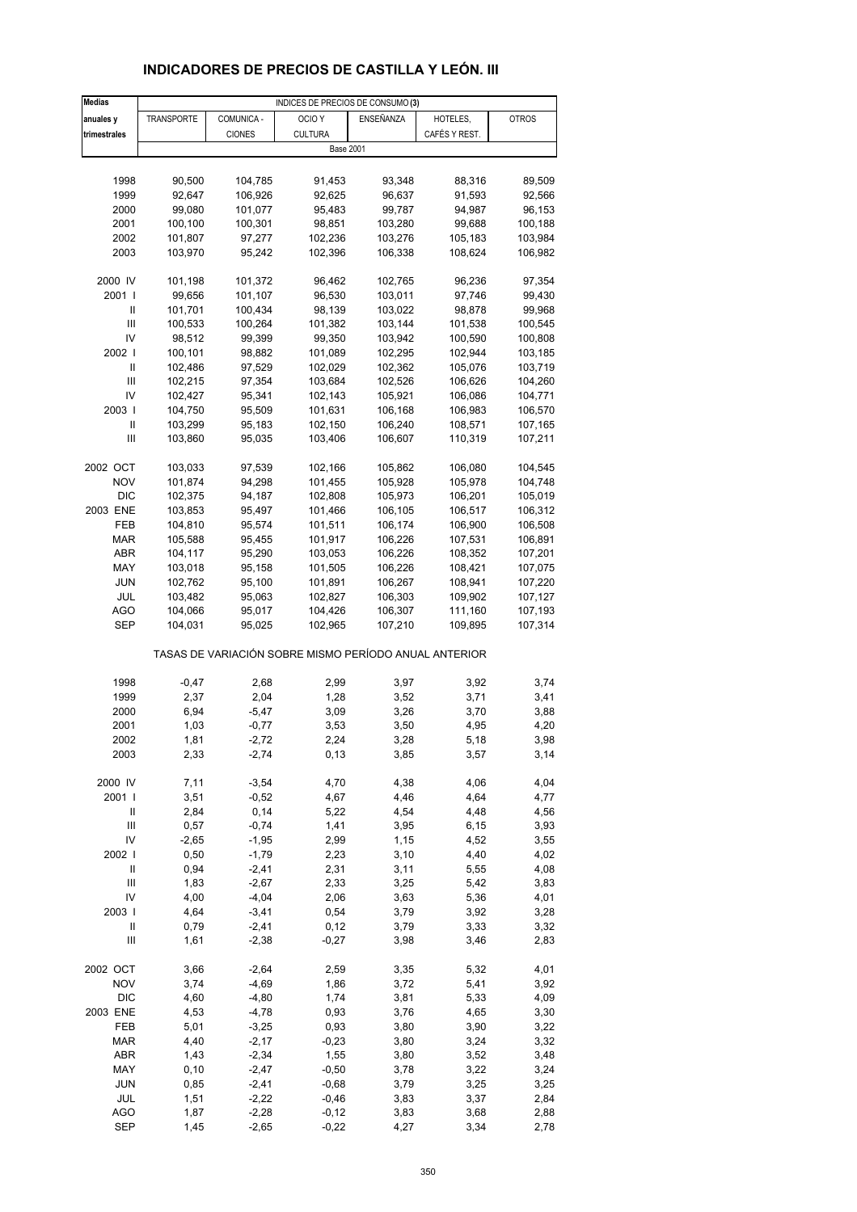# **INDICADORES DE PRECIOS DE CASTILLA Y LEÓN. III**

| <b>Medias</b>  |            |               | INDICES DE PRECIOS DE CONSUMO (3)                     |           |               |              |
|----------------|------------|---------------|-------------------------------------------------------|-----------|---------------|--------------|
| anuales y      | TRANSPORTE | COMUNICA -    | OCIO <sub>Y</sub>                                     | ENSEÑANZA | HOTELES,      | <b>OTROS</b> |
| trimestrales   |            | <b>CIONES</b> | <b>CULTURA</b>                                        |           | CAFÉS Y REST. |              |
|                |            |               | <b>Base 2001</b>                                      |           |               |              |
|                |            |               |                                                       |           |               |              |
| 1998           | 90,500     | 104,785       | 91,453                                                | 93,348    | 88,316        | 89,509       |
|                |            |               |                                                       |           |               |              |
| 1999           | 92,647     | 106,926       | 92,625                                                | 96,637    | 91,593        | 92,566       |
| 2000           | 99,080     | 101,077       | 95,483                                                | 99,787    | 94,987        | 96,153       |
| 2001           | 100,100    | 100,301       | 98,851                                                | 103,280   | 99,688        | 100,188      |
| 2002           | 101,807    | 97,277        | 102,236                                               | 103,276   | 105,183       | 103,984      |
| 2003           | 103,970    | 95,242        | 102,396                                               | 106,338   | 108,624       | 106,982      |
|                |            |               |                                                       |           |               |              |
| 2000 IV        | 101,198    | 101,372       | 96,462                                                | 102,765   | 96,236        | 97,354       |
| 2001 l         | 99,656     | 101,107       | 96,530                                                | 103,011   | 97,746        | 99,430       |
| Ш              | 101,701    | 100,434       | 98,139                                                | 103,022   | 98,878        |              |
|                |            |               |                                                       |           |               | 99,968       |
| Ш              | 100,533    | 100,264       | 101,382                                               | 103,144   | 101,538       | 100,545      |
| IV             | 98,512     | 99,399        | 99,350                                                | 103,942   | 100,590       | 100,808      |
| 2002           | 100,101    | 98,882        | 101,089                                               | 102,295   | 102,944       | 103,185      |
| Ш              | 102,486    | 97,529        | 102,029                                               | 102,362   | 105,076       | 103,719      |
| Ш              | 102,215    | 97,354        | 103,684                                               | 102,526   | 106,626       | 104,260      |
| IV             | 102,427    | 95,341        | 102,143                                               | 105,921   | 106,086       | 104,771      |
| 2003           | 104,750    | 95,509        | 101,631                                               | 106,168   | 106,983       | 106,570      |
|                |            |               |                                                       |           |               |              |
| Ш              | 103,299    | 95,183        | 102,150                                               | 106,240   | 108,571       | 107,165      |
| $\mathbf{III}$ | 103,860    | 95,035        | 103,406                                               | 106,607   | 110,319       | 107,211      |
|                |            |               |                                                       |           |               |              |
| 2002 OCT       | 103,033    | 97,539        | 102,166                                               | 105,862   | 106,080       | 104,545      |
| <b>NOV</b>     | 101,874    | 94,298        | 101,455                                               | 105,928   | 105,978       | 104,748      |
| <b>DIC</b>     | 102,375    | 94,187        | 102,808                                               | 105,973   | 106,201       | 105,019      |
| 2003 ENE       | 103,853    | 95,497        | 101,466                                               | 106,105   | 106,517       | 106,312      |
|                |            |               |                                                       | 106,174   |               |              |
| FEB            | 104,810    | 95,574        | 101,511                                               |           | 106,900       | 106,508      |
| <b>MAR</b>     | 105,588    | 95,455        | 101,917                                               | 106,226   | 107,531       | 106,891      |
| ABR            | 104,117    | 95,290        | 103,053                                               | 106,226   | 108,352       | 107,201      |
| MAY            | 103,018    | 95,158        | 101,505                                               | 106,226   | 108,421       | 107,075      |
| <b>JUN</b>     | 102,762    | 95,100        | 101,891                                               | 106,267   | 108,941       | 107,220      |
| JUL            | 103,482    | 95,063        | 102,827                                               | 106,303   | 109,902       | 107,127      |
| AGO            | 104,066    | 95,017        | 104,426                                               | 106,307   | 111,160       | 107,193      |
| SEP            | 104,031    | 95,025        | 102,965                                               | 107,210   | 109,895       | 107,314      |
|                |            |               |                                                       |           |               |              |
|                |            |               | TASAS DE VARIACIÓN SOBRE MISMO PERÍODO ANUAL ANTERIOR |           |               |              |
| 1998           | $-0,47$    | 2,68          | 2,99                                                  | 3,97      | 3,92          | 3,74         |
| 1999           | 2,37       | 2,04          | 1,28                                                  | 3,52      | 3,71          | 3,41         |
|                |            |               |                                                       |           |               |              |
| 2000           | 6,94       | $-5,47$       | 3,09                                                  | 3,26      | 3,70          | 3,88         |
| 2001           | 1,03       | $-0,77$       | 3,53                                                  | 3,50      | 4,95          | 4,20         |
| 2002           | 1,81       | $-2,72$       | 2,24                                                  | 3,28      | 5,18          | 3,98         |
| 2003           | 2,33       | $-2,74$       | 0,13                                                  | 3,85      | 3,57          | 3,14         |
|                |            |               |                                                       |           |               |              |
| 2000 IV        | 7,11       | $-3,54$       | 4,70                                                  | 4,38      | 4,06          | 4,04         |
| 2001 l         | 3,51       | $-0,52$       | 4,67                                                  | 4,46      | 4,64          | 4,77         |
| Ш              | 2,84       | 0,14          | 5,22                                                  | 4,54      | 4,48          | 4,56         |
| Ш              | 0,57       | $-0,74$       | 1,41                                                  | 3,95      | 6, 15         | 3,93         |
| IV             | $-2,65$    | $-1,95$       | 2,99                                                  | 1,15      | 4,52          | 3,55         |
| 2002 l         | 0,50       | $-1,79$       | 2,23                                                  | 3,10      | 4,40          | 4,02         |
| Ш              | 0,94       | $-2,41$       | 2,31                                                  | 3,11      | 5,55          | 4,08         |
|                |            |               |                                                       |           |               |              |
| Ш              | 1,83       | $-2,67$       | 2,33                                                  | 3,25      | 5,42          | 3,83         |
| IV             | 4,00       | $-4,04$       | 2,06                                                  | 3,63      | 5,36          | 4,01         |
| 2003           | 4,64       | $-3,41$       | 0,54                                                  | 3,79      | 3,92          | 3,28         |
| Ш              | 0,79       | $-2,41$       | 0,12                                                  | 3,79      | 3,33          | 3,32         |
| Ш              | 1,61       | $-2,38$       | $-0,27$                                               | 3,98      | 3,46          | 2,83         |
|                |            |               |                                                       |           |               |              |
| 2002 OCT       | 3,66       | $-2,64$       | 2,59                                                  | 3,35      | 5,32          | 4,01         |
| <b>NOV</b>     | 3,74       | $-4,69$       | 1,86                                                  | 3,72      | 5,41          | 3,92         |
| <b>DIC</b>     | 4,60       | $-4,80$       | 1,74                                                  | 3,81      | 5,33          | 4,09         |
| 2003 ENE       | 4,53       | $-4,78$       | 0,93                                                  | 3,76      | 4,65          | 3,30         |
| FEB            | 5,01       | $-3,25$       | 0,93                                                  | 3,80      | 3,90          | 3,22         |
| <b>MAR</b>     | 4,40       | $-2,17$       | $-0,23$                                               | 3,80      | 3,24          | 3,32         |
| ABR            | 1,43       | $-2,34$       | 1,55                                                  | 3,80      | 3,52          | 3,48         |
| MAY            | 0, 10      | $-2,47$       | $-0,50$                                               |           |               |              |
|                |            |               |                                                       | 3,78      | 3,22          | 3,24         |
| <b>JUN</b>     | 0,85       | $-2,41$       | $-0,68$                                               | 3,79      | 3,25          | 3,25         |
| JUL            | 1,51       | $-2,22$       | $-0,46$                                               | 3,83      | 3,37          | 2,84         |
| AGO            | 1,87       | $-2,28$       | $-0,12$                                               | 3,83      | 3,68          | 2,88         |
| <b>SEP</b>     | 1,45       | $-2,65$       | $-0,22$                                               | 4,27      | 3,34          | 2,78         |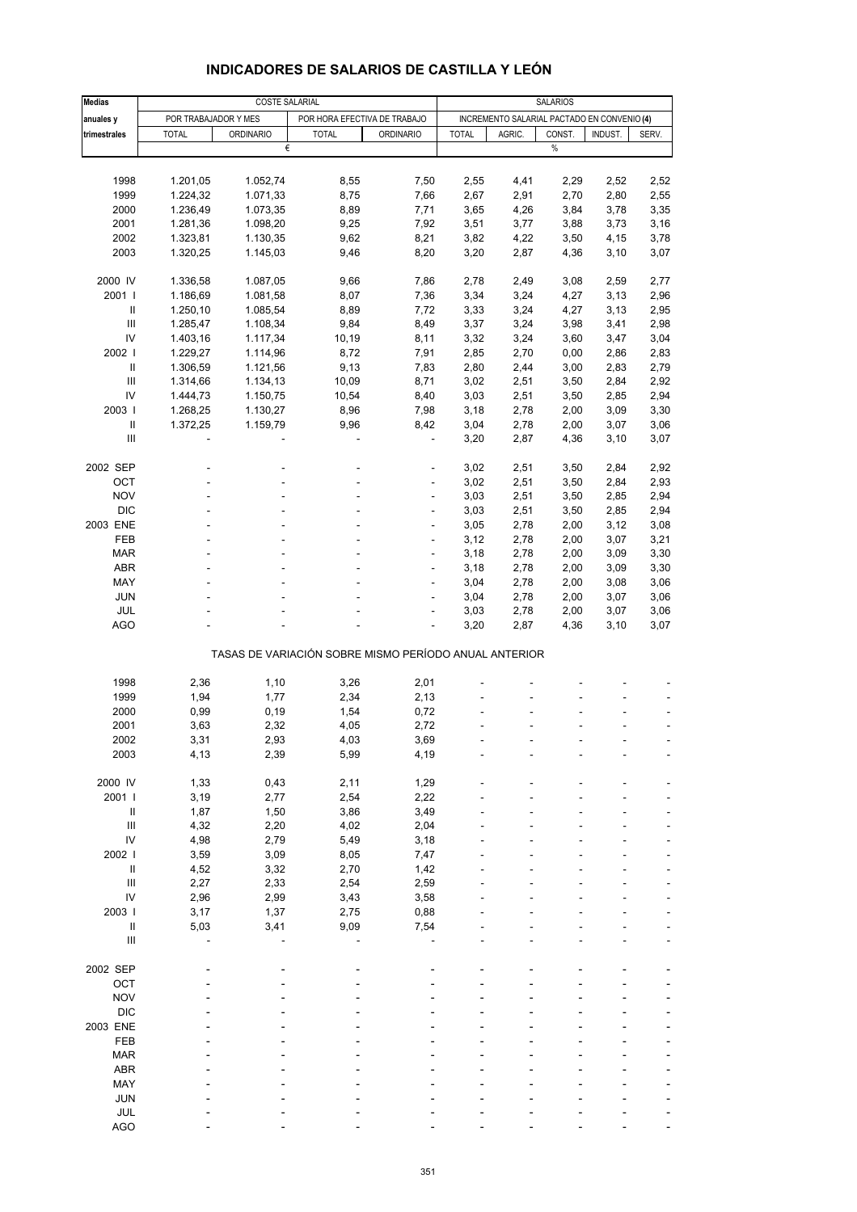| <b>Medias</b>                      |                      |                       | SALARIOS                                              |                  |              |                                             |                |         |       |
|------------------------------------|----------------------|-----------------------|-------------------------------------------------------|------------------|--------------|---------------------------------------------|----------------|---------|-------|
|                                    |                      | <b>COSTE SALARIAL</b> |                                                       |                  |              |                                             |                |         |       |
| anuales y                          | POR TRABAJADOR Y MES |                       | POR HORA EFECTIVA DE TRABAJO                          |                  |              | INCREMENTO SALARIAL PACTADO EN CONVENIO (4) |                |         |       |
| trimestrales                       | <b>TOTAL</b>         | <b>ORDINARIO</b><br>€ | <b>TOTAL</b>                                          | <b>ORDINARIO</b> | <b>TOTAL</b> | AGRIC.                                      | CONST.<br>$\%$ | INDUST. | SERV. |
|                                    |                      |                       |                                                       |                  |              |                                             |                |         |       |
|                                    |                      |                       |                                                       |                  |              |                                             |                |         |       |
| 1998                               | 1.201,05             | 1.052,74              | 8,55                                                  | 7,50             | 2,55         | 4,41                                        | 2,29           | 2,52    | 2,52  |
| 1999                               | 1.224,32             | 1.071,33              | 8,75                                                  | 7,66             | 2,67         | 2,91                                        | 2,70           | 2,80    | 2,55  |
| 2000                               | 1.236,49             | 1.073,35              | 8,89                                                  | 7,71             | 3,65         | 4,26                                        | 3,84           | 3,78    | 3,35  |
| 2001                               | 1.281,36             | 1.098,20              | 9,25                                                  | 7,92             | 3,51         | 3,77                                        | 3,88           | 3,73    | 3,16  |
| 2002                               | 1.323,81             | 1.130,35              | 9,62                                                  | 8,21             | 3,82         | 4,22                                        | 3,50           | 4,15    | 3,78  |
| 2003                               | 1.320,25             | 1.145,03              | 9,46                                                  | 8,20             | 3,20         | 2,87                                        | 4,36           | 3,10    | 3,07  |
| 2000 IV                            | 1.336,58             | 1.087,05              | 9,66                                                  | 7,86             | 2,78         | 2,49                                        | 3,08           | 2,59    | 2,77  |
| 2001 l                             | 1.186,69             | 1.081,58              | 8,07                                                  | 7,36             | 3,34         | 3,24                                        | 4,27           | 3,13    | 2,96  |
| Ш                                  | 1.250,10             | 1.085,54              | 8,89                                                  | 7,72             | 3,33         | 3,24                                        | 4,27           | 3,13    | 2,95  |
| Ш                                  | 1.285,47             | 1.108,34              | 9,84                                                  | 8,49             | 3,37         | 3,24                                        | 3,98           | 3,41    | 2,98  |
| IV                                 | 1.403,16             |                       | 10,19                                                 | 8,11             | 3,32         | 3,24                                        | 3,60           |         | 3,04  |
|                                    |                      | 1.117,34              |                                                       |                  |              |                                             |                | 3,47    |       |
| 2002                               | 1.229,27             | 1.114,96              | 8,72                                                  | 7,91             | 2,85         | 2,70                                        | 0,00           | 2,86    | 2,83  |
| Ш                                  | 1.306,59             | 1.121,56              | 9,13                                                  | 7,83             | 2,80         | 2,44                                        | 3,00           | 2,83    | 2,79  |
| Ш                                  | 1.314,66             | 1.134,13              | 10,09                                                 | 8,71             | 3,02         | 2,51                                        | 3,50           | 2,84    | 2,92  |
| IV                                 | 1.444,73             | 1.150,75              | 10,54                                                 | 8,40             | 3,03         | 2,51                                        | 3,50           | 2,85    | 2,94  |
| 2003                               | 1.268,25             | 1.130,27              | 8,96                                                  | 7,98             | 3,18         | 2,78                                        | 2,00           | 3,09    | 3,30  |
| $\ensuremath{\mathsf{II}}$         | 1.372,25             | 1.159,79              | 9,96                                                  | 8,42             | 3,04         | 2,78                                        | 2,00           | 3,07    | 3,06  |
| Ш                                  |                      |                       | L,                                                    | ÷,               | 3,20         | 2,87                                        | 4,36           | 3,10    | 3,07  |
| 2002 SEP                           |                      |                       |                                                       |                  | 3,02         | 2,51                                        | 3,50           | 2,84    | 2,92  |
| OCT                                |                      |                       |                                                       | ÷,               | 3,02         | 2,51                                        | 3,50           | 2,84    | 2,93  |
|                                    |                      |                       |                                                       |                  |              |                                             |                |         |       |
| <b>NOV</b>                         |                      |                       |                                                       | ÷                | 3,03         | 2,51                                        | 3,50           | 2,85    | 2,94  |
| <b>DIC</b>                         |                      |                       |                                                       | ÷,               | 3,03         | 2,51                                        | 3,50           | 2,85    | 2,94  |
| 2003 ENE                           |                      |                       |                                                       | ÷,               | 3,05         | 2,78                                        | 2,00           | 3,12    | 3,08  |
| FEB                                |                      |                       |                                                       | ÷                | 3,12         | 2,78                                        | 2,00           | 3,07    | 3,21  |
| <b>MAR</b>                         |                      |                       |                                                       | ÷,               | 3,18         | 2,78                                        | 2,00           | 3,09    | 3,30  |
| ABR                                |                      |                       |                                                       | ÷,               | 3,18         | 2,78                                        | 2,00           | 3,09    | 3,30  |
| MAY                                |                      |                       |                                                       |                  | 3,04         | 2,78                                        | 2,00           | 3,08    | 3,06  |
| <b>JUN</b>                         |                      |                       |                                                       |                  | 3,04         | 2,78                                        | 2,00           | 3,07    | 3,06  |
| JUL                                |                      |                       |                                                       | ÷,               | 3,03         | 2,78                                        | 2,00           | 3,07    | 3,06  |
| <b>AGO</b>                         |                      |                       |                                                       |                  | 3,20         | 2,87                                        | 4,36           | 3,10    | 3,07  |
|                                    |                      |                       | TASAS DE VARIACIÓN SOBRE MISMO PERÍODO ANUAL ANTERIOR |                  |              |                                             |                |         |       |
|                                    |                      |                       |                                                       |                  |              |                                             |                |         |       |
| 1998                               | 2,36                 | 1,10                  | 3,26                                                  | 2,01             |              |                                             |                |         |       |
| 1999                               | 1,94                 | 1,77                  | 2,34                                                  | 2,13             |              |                                             |                |         |       |
| 2000                               | 0,99                 | 0, 19                 | 1,54                                                  | 0,72             |              |                                             |                |         |       |
| 2001                               | 3,63                 | 2,32                  | 4,05                                                  | 2,72             |              |                                             |                |         | ä,    |
| 2002                               | 3,31                 | 2,93                  | 4,03                                                  | 3,69             |              |                                             |                |         |       |
| 2003                               | 4,13                 | 2,39                  | 5,99                                                  | 4,19             |              |                                             |                |         |       |
|                                    |                      |                       |                                                       |                  |              |                                             |                |         |       |
| 2000 IV                            | 1,33                 | 0,43                  | 2,11                                                  | 1,29             |              |                                             |                |         |       |
| 2001                               | 3,19                 | 2,77                  | 2,54                                                  | 2,22             |              |                                             |                |         |       |
| $\ensuremath{\mathsf{II}}$         | 1,87                 | 1,50                  | 3,86                                                  | 3,49             |              |                                             |                |         |       |
| $\ensuremath{\mathsf{III}}\xspace$ | 4,32                 | 2,20                  | 4,02                                                  | 2,04             |              |                                             |                |         |       |
| IV                                 | 4,98                 | 2,79                  | 5,49                                                  | 3,18             |              |                                             |                |         |       |
| 2002                               | 3,59                 | 3,09                  | 8,05                                                  | 7,47             |              |                                             |                |         |       |
| Ш                                  | 4,52                 | 3,32                  | 2,70                                                  | 1,42             |              |                                             |                |         |       |
| $\ensuremath{\mathsf{III}}\xspace$ | 2,27                 | 2,33                  | 2,54                                                  | 2,59             |              |                                             |                |         |       |
| IV                                 | 2,96                 | 2,99                  | 3,43                                                  | 3,58             |              |                                             |                |         |       |
| 2003                               | 3,17                 | 1,37                  | 2,75                                                  | 0,88             |              |                                             |                |         |       |
| $\ensuremath{\mathsf{II}}$         | 5,03                 | 3,41                  | 9,09                                                  | 7,54             |              |                                             |                |         |       |
| $\ensuremath{\mathsf{III}}\xspace$ |                      |                       |                                                       |                  |              |                                             |                |         |       |
|                                    |                      |                       |                                                       |                  |              |                                             |                |         |       |
| 2002 SEP                           |                      |                       |                                                       |                  |              |                                             |                |         |       |
| OCT                                |                      |                       |                                                       |                  |              |                                             |                |         |       |
| <b>NOV</b>                         |                      |                       |                                                       |                  |              |                                             |                |         |       |
| <b>DIC</b>                         |                      |                       |                                                       |                  |              |                                             |                |         |       |
| 2003 ENE                           |                      |                       |                                                       |                  |              |                                             |                |         |       |
| FEB                                |                      |                       |                                                       |                  |              |                                             |                |         |       |
| <b>MAR</b>                         |                      |                       |                                                       |                  |              |                                             |                |         |       |
| ABR                                |                      |                       |                                                       |                  |              |                                             |                |         |       |
| MAY                                |                      |                       |                                                       |                  |              |                                             |                |         |       |
| <b>JUN</b>                         |                      |                       |                                                       |                  |              |                                             |                |         |       |
| JUL                                |                      |                       |                                                       |                  |              |                                             |                |         |       |

#### **INDICADORES DE SALARIOS DE CASTILLA Y LEÓN**

AGO - - - - - - ---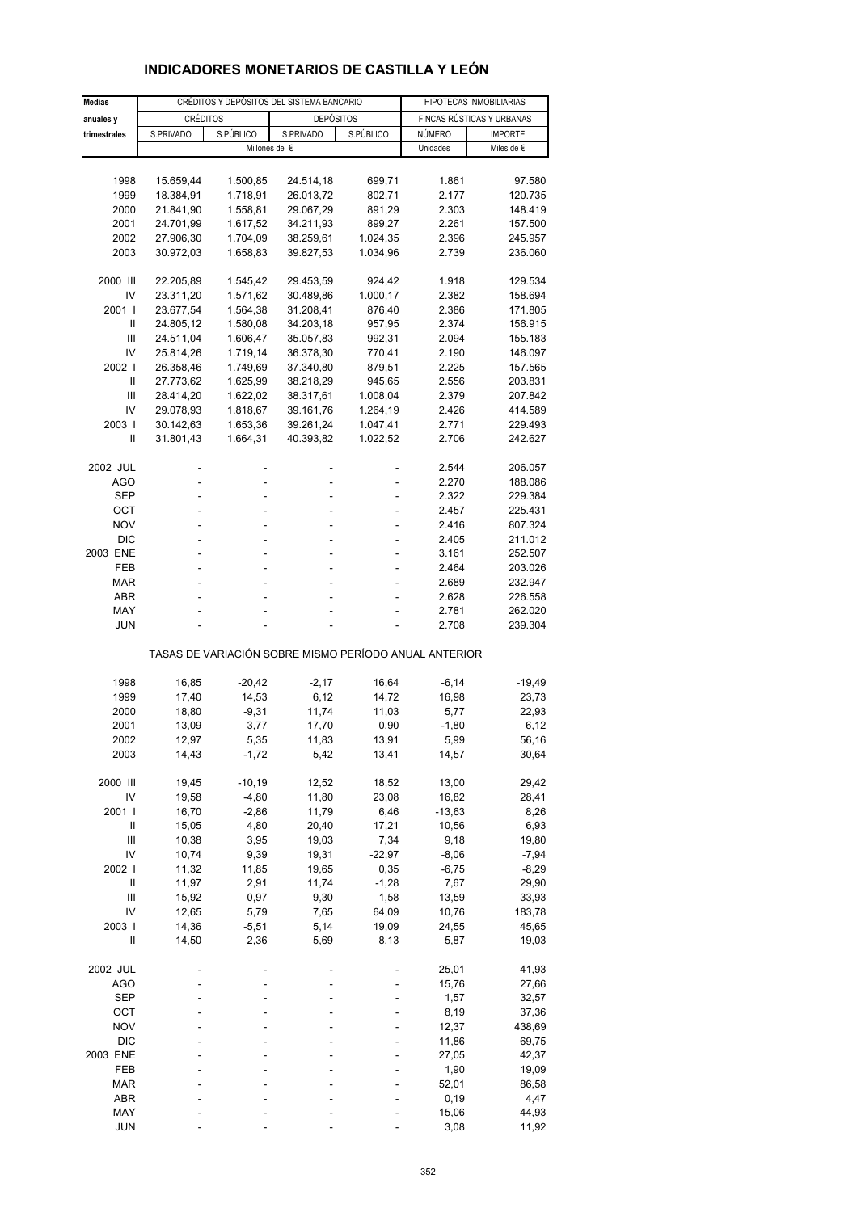# **INDICADORES MONETARIOS DE CASTILLA Y LEÓN**

| <b>Medias</b>                                         |                        |                      | CRÉDITOS Y DEPÓSITOS DEL SISTEMA BANCARIO |                    | HIPOTECAS INMOBILIARIAS |                           |  |  |  |
|-------------------------------------------------------|------------------------|----------------------|-------------------------------------------|--------------------|-------------------------|---------------------------|--|--|--|
| anuales y                                             | CRÉDITOS               |                      | <b>DEPÓSITOS</b>                          |                    |                         | FINCAS RÚSTICAS Y URBANAS |  |  |  |
| trimestrales                                          | S.PRIVADO              | S.PÚBLICO            | S.PRIVADO                                 | S.PÚBLICO          | NÚMERO                  | <b>IMPORTE</b>            |  |  |  |
|                                                       |                        | Millones de €        |                                           |                    | Unidades                | Miles de $\epsilon$       |  |  |  |
|                                                       |                        |                      |                                           |                    |                         |                           |  |  |  |
| 1998                                                  | 15.659,44              | 1.500,85             | 24.514,18                                 | 699,71             | 1.861                   | 97.580                    |  |  |  |
| 1999                                                  | 18.384,91              | 1.718,91             | 26.013,72                                 | 802,71             | 2.177                   | 120.735                   |  |  |  |
| 2000                                                  | 21.841,90              | 1.558,81             | 29.067,29                                 | 891,29             | 2.303                   | 148.419                   |  |  |  |
| 2001                                                  | 24.701,99              | 1.617,52             | 34.211,93                                 | 899,27             | 2.261                   | 157.500                   |  |  |  |
| 2002                                                  | 27.906,30              | 1.704,09             | 38.259,61                                 | 1.024,35           | 2.396                   | 245.957                   |  |  |  |
| 2003                                                  | 30.972,03              | 1.658,83             | 39.827,53                                 | 1.034,96           | 2.739                   | 236.060                   |  |  |  |
| 2000 III                                              |                        |                      | 29.453,59                                 |                    |                         |                           |  |  |  |
| IV                                                    | 22.205,89<br>23.311,20 | 1.545,42<br>1.571,62 | 30.489,86                                 | 924,42<br>1.000,17 | 1.918<br>2.382          | 129.534<br>158.694        |  |  |  |
| 2001 l                                                | 23.677,54              | 1.564,38             | 31.208,41                                 | 876,40             | 2.386                   | 171.805                   |  |  |  |
| Ш                                                     | 24.805,12              | 1.580,08             | 34.203,18                                 | 957,95             | 2.374                   | 156.915                   |  |  |  |
| Ш                                                     | 24.511,04              | 1.606,47             | 35.057,83                                 | 992,31             | 2.094                   | 155.183                   |  |  |  |
| IV                                                    | 25.814,26              | 1.719,14             | 36.378,30                                 | 770,41             | 2.190                   | 146.097                   |  |  |  |
| 2002                                                  | 26.358,46              | 1.749,69             | 37.340,80                                 | 879,51             | 2.225                   | 157.565                   |  |  |  |
| Ш                                                     | 27.773,62              | 1.625,99             | 38.218,29                                 | 945,65             | 2.556                   | 203.831                   |  |  |  |
| Ш                                                     | 28.414,20              | 1.622,02             | 38.317,61                                 | 1.008,04           | 2.379                   | 207.842                   |  |  |  |
| IV                                                    | 29.078,93              | 1.818,67             | 39.161,76                                 | 1.264,19           | 2.426                   | 414.589                   |  |  |  |
| 2003                                                  | 30.142,63              | 1.653,36             | 39.261,24                                 | 1.047,41           | 2.771                   | 229.493                   |  |  |  |
| Ш                                                     | 31.801,43              | 1.664,31             | 40.393,82                                 | 1.022,52           | 2.706                   | 242.627                   |  |  |  |
|                                                       |                        |                      |                                           |                    |                         |                           |  |  |  |
| 2002 JUL                                              |                        | L,                   |                                           |                    | 2.544                   | 206.057                   |  |  |  |
| AGO                                                   |                        | ÷,                   |                                           |                    | 2.270                   | 188.086                   |  |  |  |
| SEP                                                   |                        | L,                   |                                           |                    | 2.322                   | 229.384                   |  |  |  |
| ОСТ                                                   |                        | ÷,                   | ÷,                                        | ÷,                 | 2.457                   | 225.431                   |  |  |  |
| <b>NOV</b>                                            |                        |                      |                                           | ä,                 | 2.416                   | 807.324                   |  |  |  |
| <b>DIC</b>                                            |                        |                      |                                           |                    | 2.405                   | 211.012                   |  |  |  |
| 2003 ENE                                              | L,                     | ÷,                   | ÷,                                        | ÷,                 | 3.161                   | 252.507                   |  |  |  |
| FEB                                                   |                        | ä,                   |                                           |                    | 2.464                   | 203.026                   |  |  |  |
| <b>MAR</b>                                            |                        |                      |                                           |                    | 2.689                   | 232.947                   |  |  |  |
| <b>ABR</b>                                            |                        |                      |                                           |                    | 2.628                   | 226.558                   |  |  |  |
| MAY                                                   |                        |                      |                                           |                    | 2.781                   | 262.020                   |  |  |  |
| JUN                                                   |                        |                      |                                           |                    | 2.708                   | 239.304                   |  |  |  |
| TASAS DE VARIACIÓN SOBRE MISMO PERÍODO ANUAL ANTERIOR |                        |                      |                                           |                    |                         |                           |  |  |  |
| 1998                                                  | 16,85                  | $-20,42$             | $-2,17$                                   | 16,64              | $-6, 14$                | $-19,49$                  |  |  |  |
| 1999                                                  | 17,40                  | 14,53                | 6,12                                      | 14,72              | 16,98                   | 23,73                     |  |  |  |
| 2000                                                  | 18,80                  | $-9,31$              | 11,74                                     | 11,03              | 5,77                    | 22,93                     |  |  |  |
| 2001                                                  | 13,09                  | 3,77                 | 17,70                                     | 0,90               | $-1,80$                 | 6,12                      |  |  |  |
| 2002                                                  | 12,97                  | 5,35                 | 11,83                                     | 13,91              | 5,99                    | 56,16                     |  |  |  |
| 2003                                                  | 14,43                  | $-1,72$              | 5,42                                      | 13,41              | 14,57                   | 30,64                     |  |  |  |
|                                                       |                        |                      |                                           |                    |                         |                           |  |  |  |
| 2000 III                                              | 19,45                  | $-10,19$             | 12,52                                     | 18,52              | 13,00                   | 29,42                     |  |  |  |
| IV                                                    | 19,58                  | $-4,80$              | 11,80                                     | 23,08              | 16,82                   | 28,41                     |  |  |  |
| 2001 l                                                | 16,70                  | $-2,86$              | 11,79                                     | 6,46               | $-13,63$                | 8,26                      |  |  |  |
| Ш                                                     | 15,05                  | 4,80                 | 20,40                                     | 17,21              | 10,56                   | 6,93                      |  |  |  |
| Ш                                                     | 10,38                  | 3,95                 | 19,03                                     | 7,34               | 9,18                    | 19,80                     |  |  |  |
| IV                                                    | 10,74                  | 9,39                 | 19,31                                     | $-22,97$           | $-8,06$                 | $-7,94$                   |  |  |  |
| 2002 l                                                | 11,32                  | 11,85                | 19,65                                     | 0,35               | $-6,75$                 | $-8,29$                   |  |  |  |
| Ш                                                     | 11,97                  | 2,91                 | 11,74                                     | $-1,28$            | 7,67                    | 29,90                     |  |  |  |
| Ш                                                     | 15,92                  | 0,97                 | 9,30                                      | 1,58               | 13,59                   | 33,93                     |  |  |  |
| IV                                                    | 12,65                  | 5,79                 | 7,65                                      | 64,09              | 10,76                   | 183,78                    |  |  |  |
| 2003                                                  | 14,36                  | $-5,51$              | 5,14                                      | 19,09              | 24,55                   | 45,65                     |  |  |  |
| $\mathsf{II}$                                         | 14,50                  | 2,36                 | 5,69                                      | 8,13               | 5,87                    | 19,03                     |  |  |  |
|                                                       |                        |                      |                                           |                    |                         |                           |  |  |  |
| 2002 JUL                                              |                        |                      |                                           |                    | 25,01                   | 41,93                     |  |  |  |
| <b>AGO</b>                                            |                        |                      |                                           |                    | 15,76                   | 27,66                     |  |  |  |
| <b>SEP</b>                                            |                        |                      |                                           |                    | 1,57                    | 32,57                     |  |  |  |
| OCT                                                   |                        |                      |                                           |                    | 8,19                    | 37,36                     |  |  |  |
| <b>NOV</b>                                            |                        |                      |                                           |                    | 12,37                   | 438,69                    |  |  |  |
| <b>DIC</b>                                            |                        |                      |                                           |                    | 11,86                   | 69,75                     |  |  |  |
| 2003 ENE                                              |                        |                      |                                           |                    | 27,05                   | 42,37                     |  |  |  |
| FEB                                                   |                        |                      |                                           |                    | 1,90                    | 19,09                     |  |  |  |
| <b>MAR</b>                                            |                        |                      |                                           |                    | 52,01                   | 86,58                     |  |  |  |
| ABR                                                   |                        |                      |                                           |                    | 0, 19                   | 4,47                      |  |  |  |
| MAY                                                   |                        |                      |                                           |                    | 15,06                   | 44,93                     |  |  |  |
| JUN                                                   |                        |                      |                                           |                    | 3,08                    | 11,92                     |  |  |  |